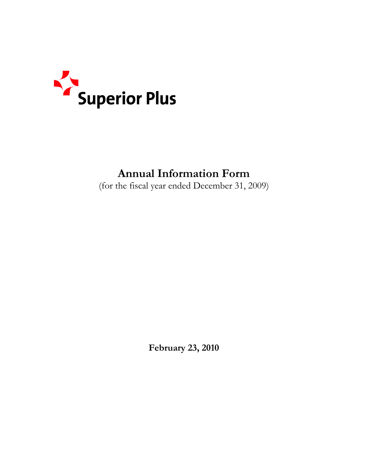

# **Annual Information Form**

(for the fiscal year ended December 31, 2009)

**February 23, 2010**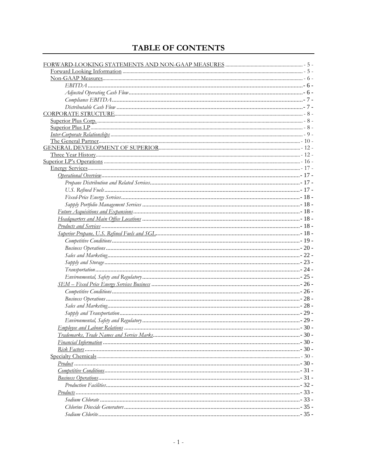# TABLE OF CONTENTS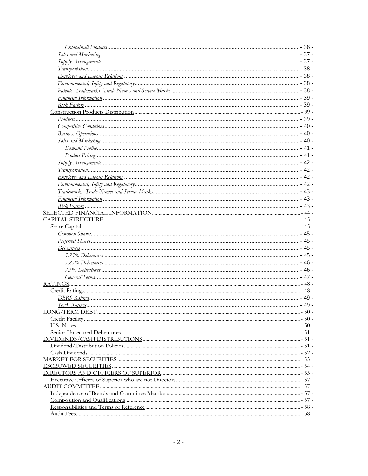| ـ 48 - سيستنسب المستنسب المستنسب المستنسب المستنسب المستنسب المستنسب المستنسب المستنسب المستنسب والمستنسر المستنسر |  |
|--------------------------------------------------------------------------------------------------------------------|--|
|                                                                                                                    |  |
|                                                                                                                    |  |
|                                                                                                                    |  |
|                                                                                                                    |  |
|                                                                                                                    |  |
|                                                                                                                    |  |
|                                                                                                                    |  |
|                                                                                                                    |  |
|                                                                                                                    |  |
|                                                                                                                    |  |
|                                                                                                                    |  |
|                                                                                                                    |  |
|                                                                                                                    |  |
|                                                                                                                    |  |
|                                                                                                                    |  |
|                                                                                                                    |  |
|                                                                                                                    |  |
|                                                                                                                    |  |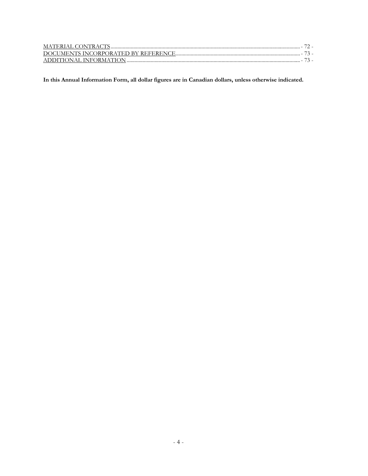**In this Annual Information Form, all dollar figures are in Canadian dollars, unless otherwise indicated.**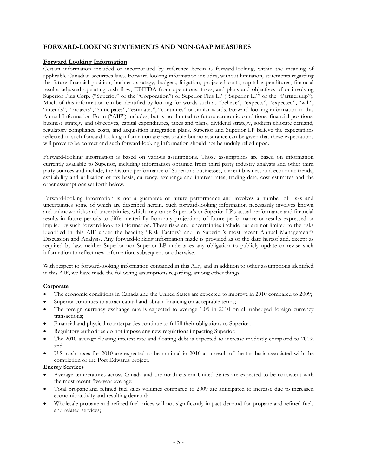# **FORWARD-LOOKING STATEMENTS AND NON-GAAP MEASURES**

#### **Forward Looking Information**

Certain information included or incorporated by reference herein is forward-looking, within the meaning of applicable Canadian securities laws. Forward-looking information includes, without limitation, statements regarding the future financial position, business strategy, budgets, litigation, projected costs, capital expenditures, financial results, adjusted operating cash flow, EBITDA from operations, taxes, and plans and objectives of or involving Superior Plus Corp. ("Superior" or the "Corporation") or Superior Plus LP ("Superior LP" or the "Partnership"). Much of this information can be identified by looking for words such as "believe", "expects", "expected", "will", "intends", "projects", "anticipates", "estimates", "continues" or similar words. Forward-looking information in this Annual Information Form ("AIF") includes, but is not limited to future economic conditions, financial positions, business strategy and objectives, capital expenditures, taxes and plans, dividend strategy, sodium chlorate demand, regulatory compliance costs, and acquisition integration plans. Superior and Superior LP believe the expectations reflected in such forward-looking information are reasonable but no assurance can be given that these expectations will prove to be correct and such forward-looking information should not be unduly relied upon.

Forward-looking information is based on various assumptions. Those assumptions are based on information currently available to Superior, including information obtained from third party industry analysts and other third party sources and include, the historic performance of Superior's businesses, current business and economic trends, availability and utilization of tax basis, currency, exchange and interest rates, trading data, cost estimates and the other assumptions set forth below.

Forward-looking information is not a guarantee of future performance and involves a number of risks and uncertainties some of which are described herein. Such forward-looking information necessarily involves known and unknown risks and uncertainties, which may cause Superior's or Superior LP's actual performance and financial results in future periods to differ materially from any projections of future performance or results expressed or implied by such forward-looking information. These risks and uncertainties include but are not limited to the risks identified in this AIF under the heading "Risk Factors" and in Superior's most recent Annual Management's Discussion and Analysis. Any forward-looking information made is provided as of the date hereof and, except as required by law, neither Superior nor Superior LP undertakes any obligation to publicly update or revise such information to reflect new information, subsequent or otherwise.

With respect to forward-looking information contained in this AIF, and in addition to other assumptions identified in this AIF, we have made the following assumptions regarding, among other things:

#### **Corporate**

- The economic conditions in Canada and the United States are expected to improve in 2010 compared to 2009;
- Superior continues to attract capital and obtain financing on acceptable terms;
- The foreign currency exchange rate is expected to average 1.05 in 2010 on all unhedged foreign currency transactions;
- Financial and physical counterparties continue to fulfill their obligations to Superior;
- Regulatory authorities do not impose any new regulations impacting Superior;
- The 2010 average floating interest rate and floating debt is expected to increase modestly compared to 2009; and
- U.S. cash taxes for 2010 are expected to be minimal in 2010 as a result of the tax basis associated with the completion of the Port Edwards project.

#### **Energy Services**

- Average temperatures across Canada and the north-eastern United States are expected to be consistent with the most recent five-year average;
- Total propane and refined fuel sales volumes compared to 2009 are anticipated to increase due to increased economic activity and resulting demand;
- Wholesale propane and refined fuel prices will not significantly impact demand for propane and refined fuels and related services;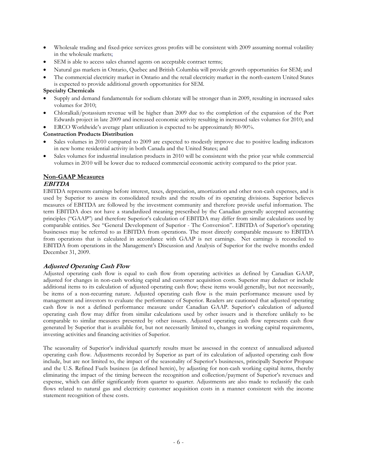- Wholesale trading and fixed-price services gross profits will be consistent with 2009 assuming normal volatility in the wholesale markets;
- SEM is able to access sales channel agents on acceptable contract terms;
- Natural gas markets in Ontario, Quebec and British Columbia will provide growth opportunities for SEM; and
- The commercial electricity market in Ontario and the retail electricity market in the north-eastern United States is expected to provide additional growth opportunities for SEM.

#### **Specialty Chemicals**

- Supply and demand fundamentals for sodium chlorate will be stronger than in 2009, resulting in increased sales volumes for 2010;
- Chloralkali/potassium revenue will be higher than 2009 due to the completion of the expansion of the Port Edwards project in late 2009 and increased economic activity resulting in increased sales volumes for 2010; and

• ERCO Worldwide's average plant utilization is expected to be approximately 80-90%.

#### **Construction Products Distribution**

- Sales volumes in 2010 compared to 2009 are expected to modestly improve due to positive leading indicators in new home residential activity in both Canada and the United States; and
- Sales volumes for industrial insulation products in 2010 will be consistent with the prior year while commercial volumes in 2010 will be lower due to reduced commercial economic activity compared to the prior year.

# **Non-GAAP Measures**

#### **EBITDA**

EBITDA represents earnings before interest, taxes, depreciation, amortization and other non-cash expenses, and is used by Superior to assess its consolidated results and the results of its operating divisions. Superior believes measures of EBITDA are followed by the investment community and therefore provide useful information. The term EBITDA does not have a standardized meaning prescribed by the Canadian generally accepted accounting principles ("GAAP") and therefore Superior's calculation of EBITDA may differ from similar calculations used by comparable entities. See "General Development of Superior - The Conversion". EBITDA of Superior's operating businesses may be referred to as EBITDA from operations. The most directly comparable measure to EBITDA from operations that is calculated in accordance with GAAP is net earnings. Net earnings is reconciled to EBITDA from operations in the Management's Discussion and Analysis of Superior for the twelve months ended December 31, 2009.

#### **Adjusted Operating Cash Flow**

Adjusted operating cash flow is equal to cash flow from operating activities as defined by Canadian GAAP, adjusted for changes in non-cash working capital and customer acquisition costs. Superior may deduct or include additional items to its calculation of adjusted operating cash flow; these items would generally, but not necessarily, be items of a non-recurring nature. Adjusted operating cash flow is the main performance measure used by management and investors to evaluate the performance of Superior. Readers are cautioned that adjusted operating cash flow is not a defined performance measure under Canadian GAAP. Superior's calculation of adjusted operating cash flow may differ from similar calculations used by other issuers and is therefore unlikely to be comparable to similar measures presented by other issuers. Adjusted operating cash flow represents cash flow generated by Superior that is available for, but not necessarily limited to, changes in working capital requirements, investing activities and financing activities of Superior.

The seasonality of Superior's individual quarterly results must be assessed in the context of annualized adjusted operating cash flow. Adjustments recorded by Superior as part of its calculation of adjusted operating cash flow include, but are not limited to, the impact of the seasonality of Superior's businesses, principally Superior Propane and the U.S. Refined Fuels business (as defined herein), by adjusting for non-cash working capital items, thereby eliminating the impact of the timing between the recognition and collection/payment of Superior's revenues and expense, which can differ significantly from quarter to quarter. Adjustments are also made to reclassify the cash flows related to natural gas and electricity customer acquisition costs in a manner consistent with the income statement recognition of these costs.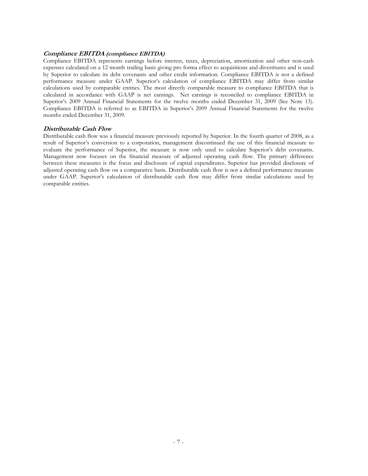#### **Compliance EBITDA (compliance EBITDA)**

Compliance EBITDA represents earnings before interest, taxes, depreciation, amortization and other non-cash expenses calculated on a 12 month trailing basis giving pro forma effect to acquisitions and divestitures and is used by Superior to calculate its debt covenants and other credit information. Compliance EBITDA is not a defined performance measure under GAAP. Superior's calculation of compliance EBITDA may differ from similar calculations used by comparable entities. The most directly comparable measure to compliance EBITDA that is calculated in accordance with GAAP is net earnings. Net earnings is reconciled to compliance EBITDA in Superior's 2009 Annual Financial Statements for the twelve months ended December 31, 2009 (See Note 13). Compliance EBITDA is referred to as EBITDA in Superior's 2009 Annual Financial Statements for the twelve months ended December 31, 2009.

#### **Distributable Cash Flow**

Distributable cash flow was a financial measure previously reported by Superior. In the fourth quarter of 2008, as a result of Superior's conversion to a corporation, management discontinued the use of this financial measure to evaluate the performance of Superior, the measure is now only used to calculate Superior's debt covenants. Management now focuses on the financial measure of adjusted operating cash flow. The primary difference between these measures is the focus and disclosure of capital expenditures. Superior has provided disclosure of adjusted operating cash flow on a comparative basis. Distributable cash flow is not a defined performance measure under GAAP. Superior's calculation of distributable cash flow may differ from similar calculations used by comparable entities.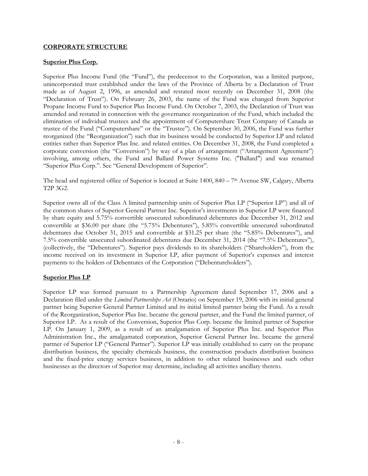# **CORPORATE STRUCTURE**

#### **Superior Plus Corp.**

Superior Plus Income Fund (the "Fund"), the predecessor to the Corporation, was a limited purpose, unincorporated trust established under the laws of the Province of Alberta by a Declaration of Trust made as of August 2, 1996, as amended and restated most recently on December 31, 2008 (the "Declaration of Trust"). On February 26, 2003, the name of the Fund was changed from Superior Propane Income Fund to Superior Plus Income Fund. On October 7, 2003, the Declaration of Trust was amended and restated in connection with the governance reorganization of the Fund, which included the elimination of individual trustees and the appointment of Computershare Trust Company of Canada as trustee of the Fund ("Computershare" or the "Trustee"). On September 30, 2006, the Fund was further reorganized (the "Reorganization") such that its business would be conducted by Superior LP and related entities rather than Superior Plus Inc. and related entities. On December 31, 2008, the Fund completed a corporate conversion (the "Conversion") by way of a plan of arrangement ("Arrangement Agreement") involving, among others, the Fund and Ballard Power Systems Inc. ("Ballard") and was renamed "Superior Plus Corp.". See "General Development of Superior".

The head and registered office of Superior is located at Suite 1400, 840 – 7th Avenue SW, Calgary, Alberta T2P 3G2.

Superior owns all of the Class A limited partnership units of Superior Plus LP ("Superior LP") and all of the common shares of Superior General Partner Inc. Superior's investments in Superior LP were financed by share equity and 5.75% convertible unsecured subordinated debentures due December 31, 2012 and convertible at \$36.00 per share (the "5.75% Debentures"), 5.85% convertible unsecured subordinated debentures due October 31, 2015 and convertible at \$31.25 per share (the "5.85% Debentures"), and 7.5% convertible unsecured subordinated debentures due December 31, 2014 (the "7.5% Debentures"), (collectively, the "Debentures"). Superior pays dividends to its shareholders ("Shareholders"), from the income received on its investment in Superior LP, after payment of Superior's expenses and interest payments to the holders of Debentures of the Corporation ("Debentureholders").

# **Superior Plus LP**

Superior LP was formed pursuant to a Partnership Agreement dated September 17, 2006 and a Declaration filed under the *Limited Partnerships Act* (Ontario) on September 19, 2006 with its initial general partner being Superior General Partner Limited and its initial limited partner being the Fund. As a result of the Reorganization, Superior Plus Inc. became the general partner, and the Fund the limited partner, of Superior LP. As a result of the Conversion, Superior Plus Corp. became the limited partner of Superior LP. On January 1, 2009, as a result of an amalgamation of Superior Plus Inc. and Superior Plus Administration Inc., the amalgamated corporation, Superior General Partner Inc. became the general partner of Superior LP ("General Partner"). Superior LP was initially established to carry on the propane distribution business, the specialty chemicals business, the construction products distribution business and the fixed-price energy services business, in addition to other related businesses and such other businesses as the directors of Superior may determine, including all activities ancillary thereto.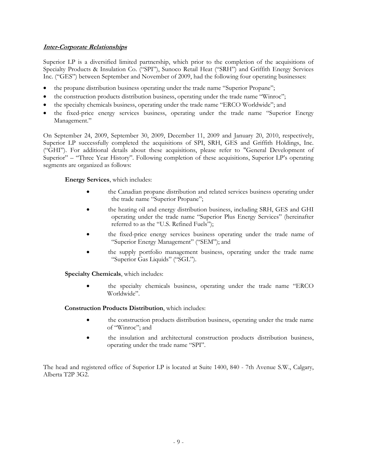# **Inter-Corporate Relationships**

Superior LP is a diversified limited partnership, which prior to the completion of the acquisitions of Specialty Products & Insulation Co. ("SPI"), Sunoco Retail Heat ("SRH") and Griffith Energy Services Inc. ("GES") between September and November of 2009, had the following four operating businesses:

- the propane distribution business operating under the trade name "Superior Propane";
- the construction products distribution business, operating under the trade name "Winroc";
- the specialty chemicals business, operating under the trade name "ERCO Worldwide"; and
- the fixed-price energy services business, operating under the trade name "Superior Energy Management."

On September 24, 2009, September 30, 2009, December 11, 2009 and January 20, 2010, respectively, Superior LP successfully completed the acquisitions of SPI, SRH, GES and Griffith Holdings, Inc. ("GHI"). For additional details about these acquisitions, please refer to "General Development of Superior" – "Three Year History". Following completion of these acquisitions, Superior LP's operating segments are organized as follows:

# **Energy Services**, which includes:

- the Canadian propane distribution and related services business operating under the trade name "Superior Propane";
- the heating oil and energy distribution business, including SRH, GES and GHI operating under the trade name "Superior Plus Energy Services" (hereinafter referred to as the "U.S. Refined Fuels");
- the fixed-price energy services business operating under the trade name of "Superior Energy Management" ("SEM"); and
- the supply portfolio management business, operating under the trade name "Superior Gas Liquids" ("SGL").

**Specialty Chemicals**, which includes:

• the specialty chemicals business, operating under the trade name "ERCO Worldwide".

**Construction Products Distribution**, which includes:

- the construction products distribution business, operating under the trade name of "Winroc"; and
- the insulation and architectural construction products distribution business, operating under the trade name "SPI".

The head and registered office of Superior LP is located at Suite 1400, 840 - 7th Avenue S.W., Calgary, Alberta T2P 3G2.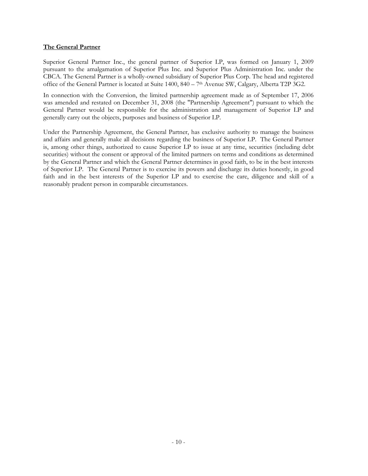# **The General Partner**

Superior General Partner Inc., the general partner of Superior LP, was formed on January 1, 2009 pursuant to the amalgamation of Superior Plus Inc. and Superior Plus Administration Inc. under the CBCA. The General Partner is a wholly-owned subsidiary of Superior Plus Corp. The head and registered office of the General Partner is located at Suite 1400, 840 – 7th Avenue SW, Calgary, Alberta T2P 3G2.

In connection with the Conversion, the limited partnership agreement made as of September 17, 2006 was amended and restated on December 31, 2008 (the "Partnership Agreement") pursuant to which the General Partner would be responsible for the administration and management of Superior LP and generally carry out the objects, purposes and business of Superior LP.

Under the Partnership Agreement, the General Partner, has exclusive authority to manage the business and affairs and generally make all decisions regarding the business of Superior LP. The General Partner is, among other things, authorized to cause Superior LP to issue at any time, securities (including debt securities) without the consent or approval of the limited partners on terms and conditions as determined by the General Partner and which the General Partner determines in good faith, to be in the best interests of Superior LP. The General Partner is to exercise its powers and discharge its duties honestly, in good faith and in the best interests of the Superior LP and to exercise the care, diligence and skill of a reasonably prudent person in comparable circumstances.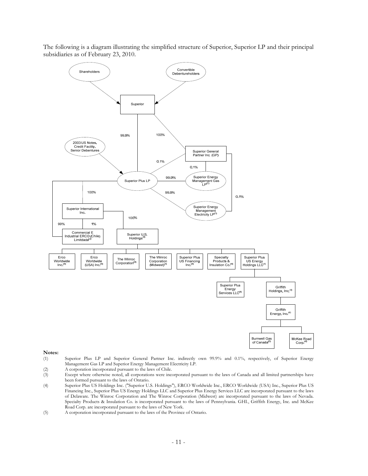The following is a diagram illustrating the simplified structure of Superior, Superior LP and their principal subsidiaries as of February 23, 2010.



#### **Notes:**

- (1) Superior Plus LP and Superior General Partner Inc. indirectly own 99.9% and 0.1%, respectively, of Superior Energy Management Gas LP and Superior Energy Management Electricity LP.<br>
(2) A corporation incorporated pursuant to the laws of Chile.
- 
- (2) A corporation incorporated pursuant to the laws of Chile.<br>
(3) Except where otherwise noted, all corporations were inc Except where otherwise noted, all corporations were incorporated pursuant to the laws of Canada and all limited partnerships have been formed pursuant to the laws of Ontario.
- (4) Superior Plus US Holdings Inc. ("Superior U.S. Holdings"), ERCO Worldwide Inc., ERCO Worldwide (USA) Inc., Superior Plus US Financing Inc., Superior Plus US Energy Holdings LLC and Superior Plus Energy Services LLC are incorporated pursuant to the laws of Delaware. The Winroc Corporation and The Winroc Corporation (Midwest) are incorporated pursuant to the laws of Nevada. Specialty Products & Insulation Co. is incorporated pursuant to the laws of Pennsylvania. GHI., Griffith Energy, Inc. and McKee Road Corp. are incorporated pursuant to the laws of New York.
- (5) A corporation incorporated pursuant to the laws of the Province of Ontario.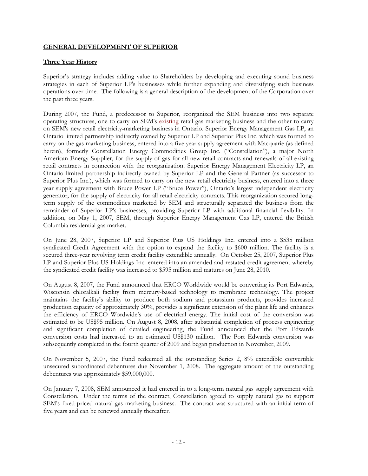# **GENERAL DEVELOPMENT OF SUPERIOR**

# **Three Year History**

Superior's strategy includes adding value to Shareholders by developing and executing sound business strategies in each of Superior LP's businesses while further expanding and diversifying such business operations over time. The following is a general description of the development of the Corporation over the past three years.

During 2007, the Fund, a predecessor to Superior, reorganized the SEM business into two separate operating structures, one to carry on SEM's existing retail gas marketing business and the other to carry on SEM's new retail electricity marketing business in Ontario. Superior Energy Management Gas LP, an Ontario limited partnership indirectly owned by Superior LP and Superior Plus Inc. which was formed to carry on the gas marketing business, entered into a five year supply agreement with Macquarie (as defined herein), formerly Constellation Energy Commodities Group Inc. ("Constellation"), a major North American Energy Supplier, for the supply of gas for all new retail contracts and renewals of all existing retail contracts in connection with the reorganization. Superior Energy Management Electricity LP, an Ontario limited partnership indirectly owned by Superior LP and the General Partner (as successor to Superior Plus Inc.), which was formed to carry on the new retail electricity business, entered into a three year supply agreement with Bruce Power LP ("Bruce Power"), Ontario's largest independent electricity generator, for the supply of electricity for all retail electricity contracts. This reorganization secured longterm supply of the commodities marketed by SEM and structurally separated the business from the remainder of Superior LP's businesses, providing Superior LP with additional financial flexibility. In addition, on May 1, 2007, SEM, through Superior Energy Management Gas LP, entered the British Columbia residential gas market.

On June 28, 2007, Superior LP and Superior Plus US Holdings Inc. entered into a \$535 million syndicated Credit Agreement with the option to expand the facility to \$600 million. The facility is a secured three-year revolving term credit facility extendible annually. On October 25, 2007, Superior Plus LP and Superior Plus US Holdings Inc. entered into an amended and restated credit agreement whereby the syndicated credit facility was increased to \$595 million and matures on June 28, 2010.

On August 8, 2007, the Fund announced that ERCO Worldwide would be converting its Port Edwards, Wisconsin chloralkali facility from mercury-based technology to membrane technology. The project maintains the facility's ability to produce both sodium and potassium products, provides increased production capacity of approximately 30%, provides a significant extension of the plant life and enhances the efficiency of ERCO Wordwide's use of electrical energy. The initial cost of the conversion was estimated to be US\$95 million. On August 8, 2008, after substantial completion of process engineering and significant completion of detailed engineering, the Fund announced that the Port Edwards conversion costs had increased to an estimated US\$130 million. The Port Edwards conversion was subsequently completed in the fourth quarter of 2009 and began production in November, 2009.

On November 5, 2007, the Fund redeemed all the outstanding Series 2, 8% extendible convertible unsecured subordinated debentures due November 1, 2008. The aggregate amount of the outstanding debentures was approximately \$59,000,000.

On January 7, 2008, SEM announced it had entered in to a long-term natural gas supply agreement with Constellation. Under the terms of the contract, Constellation agreed to supply natural gas to support SEM's fixed-priced natural gas marketing business. The contract was structured with an initial term of five years and can be renewed annually thereafter.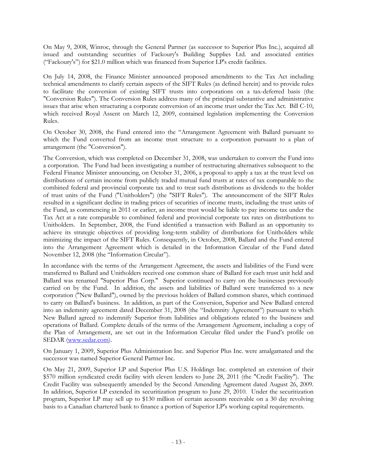On May 9, 2008, Winroc, through the General Partner (as successor to Superior Plus Inc.), acquired all issued and outstanding securities of Fackoury's Building Supplies Ltd. and associated entities ("Fackoury's") for \$21.0 million which was financed from Superior LP's credit facilities.

On July 14, 2008, the Finance Minister announced proposed amendments to the Tax Act including technical amendments to clarify certain aspects of the SIFT Rules (as defined herein) and to provide rules to facilitate the conversion of existing SIFT trusts into corporations on a tax-deferred basis (the "Conversion Rules"). The Conversion Rules address many of the principal substantive and administrative issues that arise when structuring a corporate conversion of an income trust under the Tax Act. Bill C-10, which received Royal Assent on March 12, 2009, contained legislation implementing the Conversion Rules.

On October 30, 2008, the Fund entered into the "Arrangement Agreement with Ballard pursuant to which the Fund converted from an income trust structure to a corporation pursuant to a plan of arrangement (the "Conversion").

The Conversion, which was completed on December 31, 2008, was undertaken to convert the Fund into a corporation. The Fund had been investigating a number of restructuring alternatives subsequent to the Federal Finance Minister announcing, on October 31, 2006, a proposal to apply a tax at the trust level on distributions of certain income from publicly traded mutual fund trusts at rates of tax comparable to the combined federal and provincial corporate tax and to treat such distributions as dividends to the holder of trust units of the Fund ("Unitholders") (the "SIFT Rules"). The announcement of the SIFT Rules resulted in a significant decline in trading prices of securities of income trusts, including the trust units of the Fund, as commencing in 2011 or earlier, an income trust would be liable to pay income tax under the Tax Act at a rate comparable to combined federal and provincial corporate tax rates on distributions to Unitholders. In September, 2008, the Fund identified a transaction with Ballard as an opportunity to achieve its strategic objectives of providing long-term stability of distributions for Unitholders while minimizing the impact of the SIFT Rules. Consequently, in October, 2008, Ballard and the Fund entered into the Arrangement Agreement which is detailed in the Information Circular of the Fund dated November 12, 2008 (the "Information Circular").

In accordance with the terms of the Arrangement Agreement, the assets and liabilities of the Fund were transferred to Ballard and Unitholders received one common share of Ballard for each trust unit held and Ballard was renamed "Superior Plus Corp." Superior continued to carry on the businesses previously carried on by the Fund. In addition, the assets and liabilities of Ballard were transferred to a new corporation ("New Ballard"), owned by the previous holders of Ballard common shares, which continued to carry on Ballard's business. In addition, as part of the Conversion, Superior and New Ballard entered into an indemnity agreement dated December 31, 2008 (the "Indemnity Agreement") pursuant to which New Ballard agreed to indemnify Superior from liabilities and obligations related to the business and operations of Ballard. Complete details of the terms of the Arrangement Agreement, including a copy of the Plan of Arrangement, are set out in the Information Circular filed under the Fund's profile on SEDAR (www.sedar.com).

On January 1, 2009, Superior Plus Administration Inc. and Superior Plus Inc. were amalgamated and the successor was named Superior General Partner Inc.

On May 21, 2009, Superior LP and Superior Plus U.S. Holdings Inc. completed an extension of their \$570 million syndicated credit facility with eleven lenders to June 28, 2011 (the "Credit Facility"). The Credit Facility was subsequently amended by the Second Amending Agreement dated August 26, 2009. In addition, Superior LP extended its securitization program to June 29, 2010. Under the securitization program, Superior LP may sell up to \$130 million of certain accounts receivable on a 30 day revolving basis to a Canadian chartered bank to finance a portion of Superior LP's working capital requirements.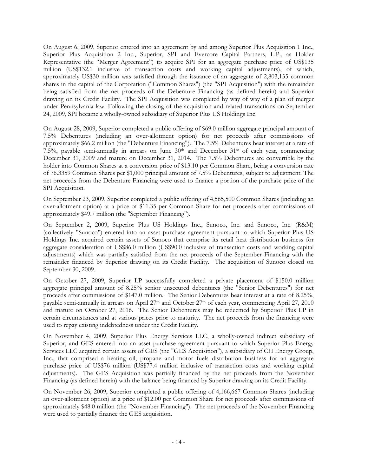On August 6, 2009, Superior entered into an agreement by and among Superior Plus Acquisition 1 Inc., Superior Plus Acquisition 2 Inc., Superior, SPI and Evercore Capital Partners, L.P., as Holder Representative (the "Merger Agreement") to acquire SPI for an aggregate purchase price of US\$135 million (US\$132.1 inclusive of transaction costs and working capital adjustments), of which, approximately US\$30 million was satisfied through the issuance of an aggregate of 2,803,135 common shares in the capital of the Corporation ("Common Shares") (the "SPI Acquisition") with the remainder being satisfied from the net proceeds of the Debenture Financing (as defined herein) and Superior drawing on its Credit Facility. The SPI Acquisition was completed by way of way of a plan of merger under Pennsylvania law. Following the closing of the acquisition and related transactions on September 24, 2009, SPI became a wholly-owned subsidiary of Superior Plus US Holdings Inc.

On August 28, 2009, Superior completed a public offering of \$69.0 million aggregate principal amount of 7.5% Debentures (including an over-allotment option) for net proceeds after commissions of approximately \$66.2 million (the "Debenture Financing"). The 7.5% Debentures bear interest at a rate of 7.5%, payable semi-annually in arrears on June  $30<sup>th</sup>$  and December  $31<sup>st</sup>$  of each year, commencing December 31, 2009 and mature on December 31, 2014. The 7.5% Debentures are convertible by the holder into Common Shares at a conversion price of \$13.10 per Common Share, being a conversion rate of 76.3359 Common Shares per \$1,000 principal amount of 7.5% Debentures, subject to adjustment. The net proceeds from the Debenture Financing were used to finance a portion of the purchase price of the SPI Acquisition.

On September 23, 2009, Superior completed a public offering of 4,565,500 Common Shares (including an over-allotment option) at a price of \$11.35 per Common Share for net proceeds after commissions of approximately \$49.7 million (the "September Financing").

On September 2, 2009, Superior Plus US Holdings Inc., Sunoco, Inc. and Sunoco, Inc. (R&M) (collectively "Sunoco") entered into an asset purchase agreement pursuant to which Superior Plus US Holdings Inc. acquired certain assets of Sunoco that comprise its retail heat distribution business for aggregate consideration of US\$86.0 million (US\$90.0 inclusive of transaction costs and working capital adjustments) which was partially satisfied from the net proceeds of the September Financing with the remainder financed by Superior drawing on its Credit Facility. The acquisition of Sunoco closed on September 30, 2009.

On October 27, 2009, Superior LP successfully completed a private placement of \$150.0 million aggregate principal amount of 8.25% senior unsecured debentures (the "Senior Debentures") for net proceeds after commissions of \$147.0 million. The Senior Debentures bear interest at a rate of 8.25%, payable semi-annually in arrears on April  $27<sup>th</sup>$  and October  $27<sup>th</sup>$  of each year, commencing April 27, 2010 and mature on October 27, 2016. The Senior Debentures may be redeemed by Superior Plus LP in certain circumstances and at various prices prior to maturity. The net proceeds from the financing were used to repay existing indebtedness under the Credit Facility.

On November 4, 2009, Superior Plus Energy Services LLC, a wholly-owned indirect subsidiary of Superior, and GES entered into an asset purchase agreement pursuant to which Superior Plus Energy Services LLC acquired certain assets of GES (the "GES Acquisition"), a subsidiary of CH Energy Group, Inc., that comprised a heating oil, propane and motor fuels distribution business for an aggregate purchase price of US\$76 million (US\$77.4 million inclusive of transaction costs and working capital adjustments). The GES Acquisition was partially financed by the net proceeds from the November Financing (as defined herein) with the balance being financed by Superior drawing on its Credit Facility.

On November 26, 2009, Superior completed a public offering of 4,166,667 Common Shares (including an over-allotment option) at a price of \$12.00 per Common Share for net proceeds after commissions of approximately \$48.0 million (the "November Financing"). The net proceeds of the November Financing were used to partially finance the GES acquisition.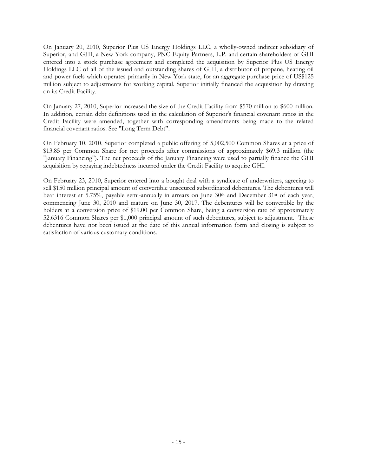On January 20, 2010, Superior Plus US Energy Holdings LLC, a wholly-owned indirect subsidiary of Superior, and GHI, a New York company, PNC Equity Partners, L.P. and certain shareholders of GHI entered into a stock purchase agreement and completed the acquisition by Superior Plus US Energy Holdings LLC of all of the issued and outstanding shares of GHI, a distributor of propane, heating oil and power fuels which operates primarily in New York state, for an aggregate purchase price of US\$125 million subject to adjustments for working capital. Superior initially financed the acquisition by drawing on its Credit Facility.

On January 27, 2010, Superior increased the size of the Credit Facility from \$570 million to \$600 million. In addition, certain debt definitions used in the calculation of Superior's financial covenant ratios in the Credit Facility were amended, together with corresponding amendments being made to the related financial covenant ratios. See "Long Term Debt".

On February 10, 2010, Superior completed a public offering of 5,002,500 Common Shares at a price of \$13.85 per Common Share for net proceeds after commissions of approximately \$69.3 million (the "January Financing"). The net proceeds of the January Financing were used to partially finance the GHI acquisition by repaying indebtedness incurred under the Credit Facility to acquire GHI.

On February 23, 2010, Superior entered into a bought deal with a syndicate of underwriters, agreeing to sell \$150 million principal amount of convertible unsecured subordinated debentures. The debentures will bear interest at 5.75%, payable semi-annually in arrears on June  $30<sup>th</sup>$  and December  $31<sup>st</sup>$  of each year, commencing June 30, 2010 and mature on June 30, 2017. The debentures will be convertible by the holders at a conversion price of \$19.00 per Common Share, being a conversion rate of approximately 52.6316 Common Shares per \$1,000 principal amount of such debentures, subject to adjustment. These debentures have not been issued at the date of this annual information form and closing is subject to satisfaction of various customary conditions.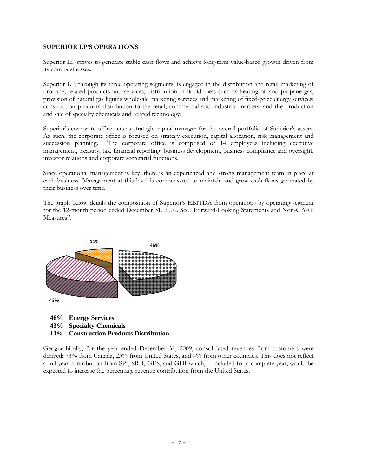# **SUPERIOR LP'S OPERATIONS**

Superior LP strives to generate stable cash flows and achieve long-term value-based growth driven from its core businesses.

Superior LP, through its three operating segments, is engaged in the distribution and retail marketing of propane, related products and services, distribution of liquid fuels such as heating oil and propane gas, provision of natural gas liquids wholesale marketing services and marketing of fixed-price energy services; construction products distribution to the retail, commercial and industrial markets; and the production and sale of specialty chemicals and related technology.

Superior's corporate office acts as strategic capital manager for the overall portfolio of Superior's assets. As such, the corporate office is focused on strategy execution, capital allocation, risk management and succession planning. The corporate office is comprised of 14 employees including executive management, treasury, tax, financial reporting, business development, business compliance and oversight, investor relations and corporate secretarial functions.

Since operational management is key, there is an experienced and strong management team in place at each business. Management at this level is compensated to maintain and grow cash flows generated by their business over time.

The graph below details the composition of Superior's EBITDA from operations by operating segment for the 12-month period ended December 31, 2009. See "Forward-Looking Statements and Non-GAAP Measures".



- **46% Energy Services**
- **43% Specialty Chemicals**
- **11% Construction Products Distribution**

Geographically, for the year ended December 31, 2009, consolidated revenues from customers were derived: 73% from Canada, 23% from United States, and 4% from other countries. This does not reflect a full year contribution from SPI, SRH, GES, and GHI which, if included for a complete year, would be expected to increase the percentage revenue contribution from the United States.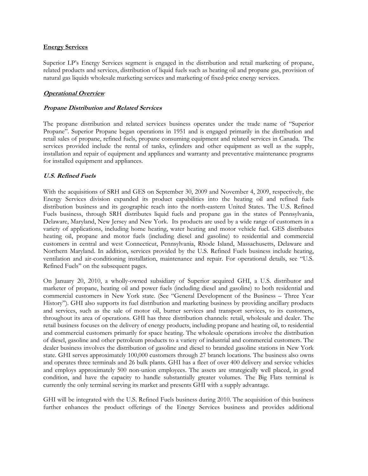#### **Energy Services**

Superior LP's Energy Services segment is engaged in the distribution and retail marketing of propane, related products and services, distribution of liquid fuels such as heating oil and propane gas, provision of natural gas liquids wholesale marketing services and marketing of fixed-price energy services.

# **Operational Overview**

# **Propane Distribution and Related Services**

The propane distribution and related services business operates under the trade name of "Superior Propane". Superior Propane began operations in 1951 and is engaged primarily in the distribution and retail sales of propane, refined fuels, propane consuming equipment and related services in Canada. The services provided include the rental of tanks, cylinders and other equipment as well as the supply, installation and repair of equipment and appliances and warranty and preventative maintenance programs for installed equipment and appliances.

# **U.S. Refined Fuels**

With the acquisitions of SRH and GES on September 30, 2009 and November 4, 2009, respectively, the Energy Services division expanded its product capabilities into the heating oil and refined fuels distribution business and its geographic reach into the north-eastern United States. The U.S. Refined Fuels business, through SRH distributes liquid fuels and propane gas in the states of Pennsylvania, Delaware, Maryland, New Jersey and New York. Its products are used by a wide range of customers in a variety of applications, including home heating, water heating and motor vehicle fuel. GES distributes heating oil, propane and motor fuels (including diesel and gasoline) to residential and commercial customers in central and west Connecticut, Pennsylvania, Rhode Island, Massachusetts, Delaware and Northern Maryland. In addition, services provided by the U.S. Refined Fuels business include heating, ventilation and air-conditioning installation, maintenance and repair. For operational details, see "U.S. Refined Fuels" on the subsequent pages.

On January 20, 2010, a wholly-owned subsidiary of Superior acquired GHI, a U.S. distributor and marketer of propane, heating oil and power fuels (including diesel and gasoline) to both residential and commercial customers in New York state. (See "General Development of the Business – Three Year History"). GHI also supports its fuel distribution and marketing business by providing ancillary products and services, such as the sale of motor oil, burner services and transport services, to its customers, throughout its area of operations. GHI has three distribution channels: retail, wholesale and dealer. The retail business focuses on the delivery of energy products, including propane and heating oil, to residential and commercial customers primarily for space heating. The wholesale operations involve the distribution of diesel, gasoline and other petroleum products to a variety of industrial and commercial customers. The dealer business involves the distribution of gasoline and diesel to branded gasoline stations in New York state. GHI serves approximately 100,000 customers through 27 branch locations. The business also owns and operates three terminals and 26 bulk plants. GHI has a fleet of over 400 delivery and service vehicles and employs approximately 500 non-union employees. The assets are strategically well placed, in good condition, and have the capacity to handle substantially greater volumes. The Big Flats terminal is currently the only terminal serving its market and presents GHI with a supply advantage.

GHI will be integrated with the U.S. Refined Fuels business during 2010. The acquisition of this business further enhances the product offerings of the Energy Services business and provides additional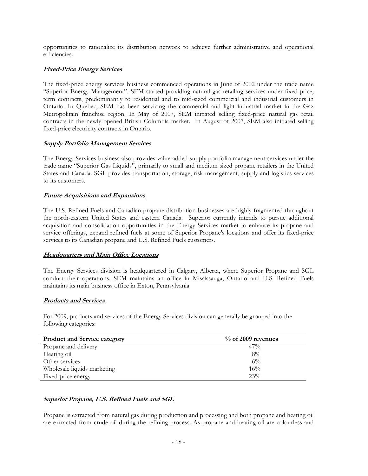opportunities to rationalize its distribution network to achieve further administrative and operational efficiencies.

# **Fixed-Price Energy Services**

The fixed-price energy services business commenced operations in June of 2002 under the trade name "Superior Energy Management". SEM started providing natural gas retailing services under fixed-price, term contracts, predominantly to residential and to mid-sized commercial and industrial customers in Ontario. In Quebec, SEM has been servicing the commercial and light industrial market in the Gaz Metropolitain franchise region. In May of 2007, SEM initiated selling fixed-price natural gas retail contracts in the newly opened British Columbia market. In August of 2007, SEM also initiated selling fixed-price electricity contracts in Ontario.

# **Supply Portfolio Management Services**

The Energy Services business also provides value-added supply portfolio management services under the trade name "Superior Gas Liquids", primarily to small and medium sized propane retailers in the United States and Canada. SGL provides transportation, storage, risk management, supply and logistics services to its customers.

# **Future Acquisitions and Expansions**

The U.S. Refined Fuels and Canadian propane distribution businesses are highly fragmented throughout the north-eastern United States and eastern Canada. Superior currently intends to pursue additional acquisition and consolidation opportunities in the Energy Services market to enhance its propane and service offerings, expand refined fuels at some of Superior Propane's locations and offer its fixed-price services to its Canadian propane and U.S. Refined Fuels customers.

# **Headquarters and Main Office Locations**

The Energy Services division is headquartered in Calgary, Alberta, where Superior Propane and SGL conduct their operations. SEM maintains an office in Mississauga, Ontario and U.S. Refined Fuels maintains its main business office in Exton, Pennsylvania.

# **Products and Services**

For 2009, products and services of the Energy Services division can generally be grouped into the following categories:

| <b>Product and Service category</b> | $\%$ of 2009 revenues |
|-------------------------------------|-----------------------|
| Propane and delivery                | 47%                   |
| Heating oil                         | 8%                    |
| Other services                      | $6\%$                 |
| Wholesale liquids marketing         | 16%                   |
| Fixed-price energy                  | 23%                   |

# **Superior Propane, U.S. Refined Fuels and SGL**

Propane is extracted from natural gas during production and processing and both propane and heating oil are extracted from crude oil during the refining process. As propane and heating oil are colourless and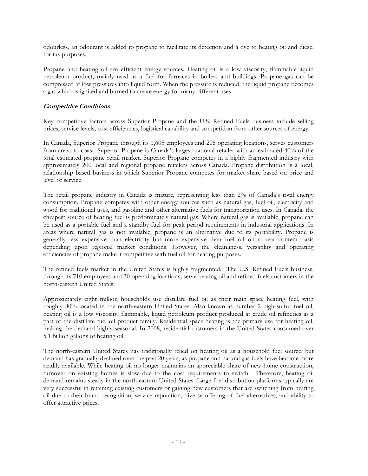odourless, an odourant is added to propane to facilitate its detection and a dye to heating oil and diesel for tax purposes.

Propane and heating oil are efficient energy sources. Heating oil is a low viscosity, flammable liquid petroleum product, mainly used as a fuel for furnaces in boilers and buildings. Propane gas can be compressed at low pressures into liquid form. When the pressure is reduced, the liquid propane becomes a gas which is ignited and burned to create energy for many different uses.

# **Competitive Conditions**

Key competitive factors across Superior Propane and the U.S. Refined Fuels business include selling prices, service levels, cost efficiencies, logistical capability and competition from other sources of energy.

In Canada, Superior Propane through its 1,605 employees and 205 operating locations, serves customers from coast to coast. Superior Propane is Canada's largest national retailer with an estimated 40% of the total estimated propane retail market. Superior Propane competes in a highly fragmented industry with approximately 200 local and regional propane retailers across Canada. Propane distribution is a local, relationship based business in which Superior Propane competes for market share based on price and level of service.

The retail propane industry in Canada is mature, representing less than 2% of Canada's total energy consumption. Propane competes with other energy sources such as natural gas, fuel oil, electricity and wood for traditional uses, and gasoline and other alternative fuels for transportation uses. In Canada, the cheapest source of heating fuel is predominately natural gas. Where natural gas is available, propane can be used as a portable fuel and a standby fuel for peak period requirements in industrial applications. In areas where natural gas is not available, propane is an alternative due to its portability. Propane is generally less expensive than electricity but more expensive than fuel oil on a heat content basis depending upon regional market conditions. However, the cleanliness, versatility and operating efficiencies of propane make it competitive with fuel oil for heating purposes.

The refined fuels market in the United States is highly fragmented. The U.S. Refined Fuels business, through its 710 employees and 30 operating locations, serve heating oil and refined fuels customers in the north-eastern United States.

Approximately eight million households use distillate fuel oil as their main space heating fuel, with roughly 80% located in the north-eastern United States. Also known as number 2 high-sulfur fuel oil, heating oil is a low viscosity, flammable, liquid petroleum product produced at crude oil refineries as a part of the distillate fuel oil product family. Residential space heating is the primary use for heating oil, making the demand highly seasonal. In 2008, residential customers in the United States consumed over 5.1 billion gallons of heating oil.

The north-eastern United States has traditionally relied on heating oil as a household fuel source, but demand has gradually declined over the past 20 years, as propane and natural gas fuels have become more readily available. While heating oil no longer maintains an appreciable share of new home construction, turnover on existing homes is slow due to the cost requirements to switch. Therefore, heating oil demand remains steady in the north-eastern United States. Large fuel distribution platforms typically are very successful in retaining existing customers or gaining new customers that are switching from heating oil due to their brand recognition, service reputation, diverse offering of fuel alternatives, and ability to offer attractive prices.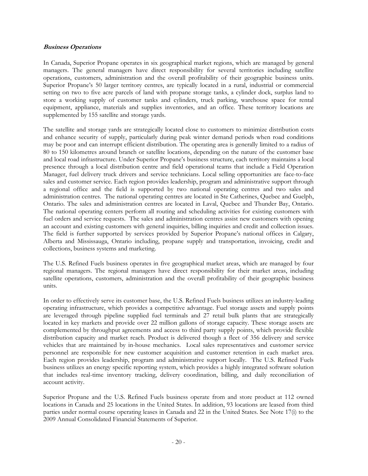# **Business Operations**

In Canada, Superior Propane operates in six geographical market regions, which are managed by general managers. The general managers have direct responsibility for several territories including satellite operations, customers, administration and the overall profitability of their geographic business units. Superior Propane's 50 larger territory centres, are typically located in a rural, industrial or commercial setting on two to five acre parcels of land with propane storage tanks, a cylinder dock, surplus land to store a working supply of customer tanks and cylinders, truck parking, warehouse space for rental equipment, appliance, materials and supplies inventories, and an office. These territory locations are supplemented by 155 satellite and storage yards.

The satellite and storage yards are strategically located close to customers to minimize distribution costs and enhance security of supply, particularly during peak winter demand periods when road conditions may be poor and can interrupt efficient distribution. The operating area is generally limited to a radius of 80 to 150 kilometres around branch or satellite locations, depending on the nature of the customer base and local road infrastructure. Under Superior Propane's business structure, each territory maintains a local presence through a local distribution centre and field operational teams that include a Field Operation Manager, fuel delivery truck drivers and service technicians. Local selling opportunities are face-to-face sales and customer service. Each region provides leadership, program and administrative support through a regional office and the field is supported by two national operating centres and two sales and administration centres. The national operating centres are located in Ste Catherines, Quebec and Guelph, Ontario. The sales and administration centres are located in Laval, Quebec and Thunder Bay, Ontario. The national operating centers perform all routing and scheduling activities for existing customers with fuel orders and service requests. The sales and administration centres assist new customers with opening an account and existing customers with general inquiries, billing inquiries and credit and collection issues. The field is further supported by services provided by Superior Propane's national offices in Calgary, Alberta and Mississauga, Ontario including, propane supply and transportation, invoicing, credit and collections, business systems and marketing.

The U.S. Refined Fuels business operates in five geographical market areas, which are managed by four regional managers. The regional managers have direct responsibility for their market areas, including satellite operations, customers, administration and the overall profitability of their geographic business units.

In order to effectively serve its customer base, the U.S. Refined Fuels business utilizes an industry-leading operating infrastructure, which provides a competitive advantage. Fuel storage assets and supply points are leveraged through pipeline supplied fuel terminals and 27 retail bulk plants that are strategically located in key markets and provide over 22 million gallons of storage capacity. These storage assets are complemented by throughput agreements and access to third party supply points, which provide flexible distribution capacity and market reach. Product is delivered though a fleet of 356 delivery and service vehicles that are maintained by in-house mechanics. Local sales representatives and customer service personnel are responsible for new customer acquisition and customer retention in each market area. Each region provides leadership, program and administrative support locally. The U.S. Refined Fuels business utilizes an energy specific reporting system, which provides a highly integrated software solution that includes real-time inventory tracking, delivery coordination, billing, and daily reconciliation of account activity.

Superior Propane and the U.S. Refined Fuels business operate from and store product at 112 owned locations in Canada and 25 locations in the United States. In addition, 93 locations are leased from third parties under normal course operating leases in Canada and 22 in the United States. See Note 17(i) to the 2009 Annual Consolidated Financial Statements of Superior.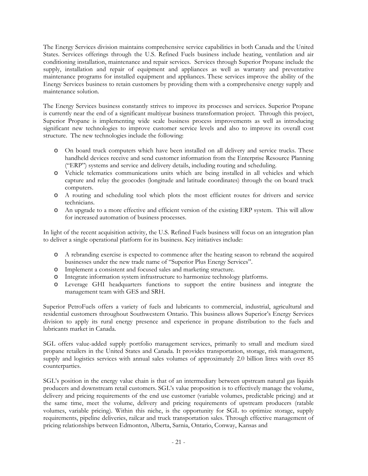The Energy Services division maintains comprehensive service capabilities in both Canada and the United States. Services offerings through the U.S. Refined Fuels business include heating, ventilation and air conditioning installation, maintenance and repair services. Services through Superior Propane include the supply, installation and repair of equipment and appliances as well as warranty and preventative maintenance programs for installed equipment and appliances. These services improve the ability of the Energy Services business to retain customers by providing them with a comprehensive energy supply and maintenance solution.

The Energy Services business constantly strives to improve its processes and services. Superior Propane is currently near the end of a significant multiyear business transformation project. Through this project, Superior Propane is implementing wide scale business process improvements as well as introducing significant new technologies to improve customer service levels and also to improve its overall cost structure. The new technologies include the following:

- o On board truck computers which have been installed on all delivery and service trucks. These handheld devices receive and send customer information from the Enterprise Resource Planning ("ERP") systems and service and delivery details, including routing and scheduling.
- o Vehicle telematics communications units which are being installed in all vehicles and which capture and relay the geocodes (longitude and latitude coordinates) through the on board truck computers.
- o A routing and scheduling tool which plots the most efficient routes for drivers and service technicians.
- o An upgrade to a more effective and efficient version of the existing ERP system. This will allow for increased automation of business processes.

In light of the recent acquisition activity, the U.S. Refined Fuels business will focus on an integration plan to deliver a single operational platform for its business. Key initiatives include:

- o A rebranding exercise is expected to commence after the heating season to rebrand the acquired businesses under the new trade name of "Superior Plus Energy Services".
- o Implement a consistent and focused sales and marketing structure.
- o Integrate information system infrastructure to harmonize technology platforms.
- o Leverage GHI headquarters functions to support the entire business and integrate the management team with GES and SRH.

Superior PetroFuels offers a variety of fuels and lubricants to commercial, industrial, agricultural and residential customers throughout Southwestern Ontario. This business allows Superior's Energy Services division to apply its rural energy presence and experience in propane distribution to the fuels and lubricants market in Canada.

SGL offers value-added supply portfolio management services, primarily to small and medium sized propane retailers in the United States and Canada. It provides transportation, storage, risk management, supply and logistics services with annual sales volumes of approximately 2.0 billion litres with over 85 counterparties.

SGL's position in the energy value chain is that of an intermediary between upstream natural gas liquids producers and downstream retail customers. SGL's value proposition is to effectively manage the volume, delivery and pricing requirements of the end use customer (variable volumes, predictable pricing) and at the same time, meet the volume, delivery and pricing requirements of upstream producers (ratable volumes, variable pricing). Within this niche, is the opportunity for SGL to optimize storage, supply requirements, pipeline deliveries, railcar and truck transportation sales. Through effective management of pricing relationships between Edmonton, Alberta, Sarnia, Ontario, Conway, Kansas and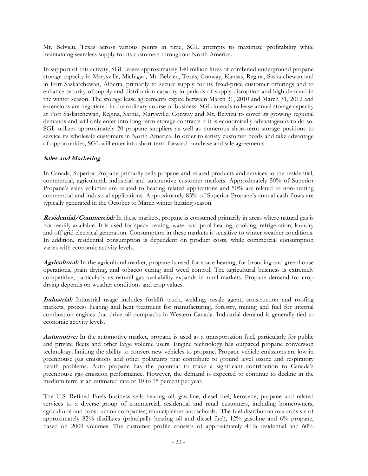Mt. Belvieu, Texas across various points in time, SGL attempts to maximize profitability while maintaining seamless supply for its customers throughout North America.

In support of this activity, SGL leases approximately 140 million litres of combined underground propane storage capacity in Marysville, Michigan, Mt. Belvieu, Texas, Conway, Kansas, Regina, Saskatchewan and in Fort Saskatchewan, Alberta, primarily to secure supply for its fixed-price customer offerings and to enhance security of supply and distribution capacity in periods of supply disruption and high demand in the winter season. The storage lease agreements expire between March 31, 2010 and March 31, 2012 and extensions are negotiated in the ordinary course of business. SGL intends to lease annual storage capacity at Fort Saskatchewan, Regina, Sarnia, Marysville, Conway and Mt. Belvieu to cover its growing regional demands and will only enter into long-term storage contracts if it is economically advantageous to do so. SGL utilizes approximately 20 propane suppliers as well as numerous short-term storage positions to service its wholesale customers in North America. In order to satisfy customer needs and take advantage of opportunities, SGL will enter into short-term forward purchase and sale agreements.

# **Sales and Marketing**

In Canada, Superior Propane primarily sells propane and related products and services to the residential, commercial, agricultural, industrial and automotive customer markets. Approximately 50% of Superior Propane's sales volumes are related to heating related applications and 50% are related to non-heating commercial and industrial applications. Approximately 85% of Superior Propane's annual cash flows are typically generated in the October to March winter heating season.

**Residential/Commercial:** In these markets, propane is consumed primarily in areas where natural gas is not readily available. It is used for space heating, water and pool heating, cooking, refrigeration, laundry and off grid electrical generation. Consumption in these markets is sensitive to winter weather conditions. In addition, residential consumption is dependent on product costs, while commercial consumption varies with economic activity levels.

**Agricultural:** In the agricultural market, propane is used for space heating, for brooding and greenhouse operations, grain drying, and tobacco curing and weed control. The agricultural business is extremely competitive, particularly as natural gas availability expands in rural markets. Propane demand for crop drying depends on weather conditions and crop values.

**Industrial:** Industrial usage includes forklift truck, welding, resale agent, construction and roofing markets, process heating and heat treatment for manufacturing, forestry, mining and fuel for internal combustion engines that drive oil pumpjacks in Western Canada. Industrial demand is generally tied to economic activity levels.

**Automotive:** In the automotive market, propane is used as a transportation fuel, particularly for public and private fleets and other large volume users. Engine technology has outpaced propane conversion technology, limiting the ability to convert new vehicles to propane. Propane vehicle emissions are low in greenhouse gas emissions and other pollutants that contribute to ground level ozone and respiratory health problems. Auto propane has the potential to make a significant contribution to Canada's greenhouse gas emission performance. However, the demand is expected to continue to decline in the medium term at an estimated rate of 10 to 15 percent per year.

The U.S. Refined Fuels business sells heating oil, gasoline, diesel fuel, kerosene, propane and related services to a diverse group of commercial, residential and retail customers, including homeowners, agricultural and construction companies, municipalities and schools. The fuel distribution mix consists of approximately 82% distillates (principally heating oil and diesel fuel), 12% gasoline and 6% propane, based on 2009 volumes. The customer profile consists of approximately 40% residential and 60%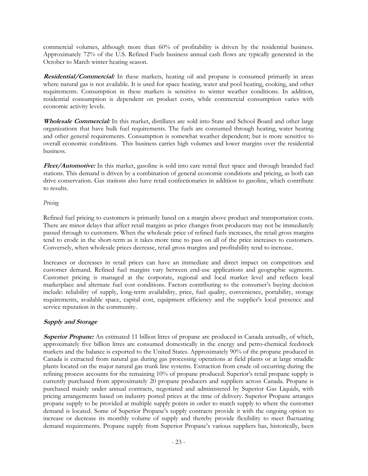commercial volumes, although more than 60% of profitability is driven by the residential business. Approximately 72% of the U.S. Refined Fuels business annual cash flows are typically generated in the October to March winter heating season.

**Residential/Commercial:** In these markets, heating oil and propane is consumed primarily in areas where natural gas is not available. It is used for space heating, water and pool heating, cooking, and other requirements. Consumption in these markets is sensitive to winter weather conditions. In addition, residential consumption is dependent on product costs, while commercial consumption varies with economic activity levels.

**Wholesale Commercial:** In this market, distillates are sold into State and School Board and other large organizations that have bulk fuel requirements. The fuels are consumed through heating, water heating and other general requirements. Consumption is somewhat weather dependent; but is more sensitive to overall economic conditions. This business carries high volumes and lower margins over the residential business.

**Fleet/Automotive:** In this market, gasoline is sold into care rental fleet space and through branded fuel stations. This demand is driven by a combination of general economic conditions and pricing, as both can drive conservation. Gas stations also have retail confectionaries in addition to gasoline, which contribute to results.

# *Pricing*

Refined fuel pricing to customers is primarily based on a margin above product and transportation costs. There are minor delays that affect retail margins as price changes from producers may not be immediately passed through to customers. When the wholesale price of refined fuels increases, the retail gross margins tend to erode in the short-term as it takes more time to pass on all of the price increases to customers. Conversely, when wholesale prices decrease, retail gross margins and profitability tend to increase.

Increases or decreases in retail prices can have an immediate and direct impact on competitors and customer demand. Refined fuel margins vary between end-use applications and geographic segments. Customer pricing is managed at the corporate, regional and local market level and reflects local marketplace and alternate fuel cost conditions. Factors contributing to the consumer's buying decision include: reliability of supply, long-term availability, price, fuel quality, convenience, portability, storage requirements, available space, capital cost, equipment efficiency and the supplier's local presence and service reputation in the community.

# **Supply and Storage**

**Superior Propane:** An estimated 11 billion litres of propane are produced in Canada annually, of which, approximately five billion litres are consumed domestically in the energy and petro-chemical feedstock markets and the balance is exported to the United States. Approximately 90% of the propane produced in Canada is extracted from natural gas during gas processing operations at field plants or at large straddle plants located on the major natural gas trunk line systems. Extraction from crude oil occurring during the refining process accounts for the remaining 10% of propane produced. Superior's retail propane supply is currently purchased from approximately 20 propane producers and suppliers across Canada. Propane is purchased mainly under annual contracts, negotiated and administered by Superior Gas Liquids, with pricing arrangements based on industry posted prices at the time of delivery. Superior Propane arranges propane supply to be provided at multiple supply points in order to match supply to where the customer demand is located. Some of Superior Propane's supply contracts provide it with the ongoing option to increase or decrease its monthly volume of supply and thereby provide flexibility to meet fluctuating demand requirements. Propane supply from Superior Propane's various suppliers has, historically, been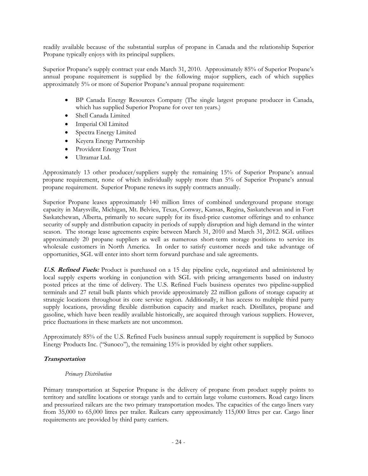readily available because of the substantial surplus of propane in Canada and the relationship Superior Propane typically enjoys with its principal suppliers.

Superior Propane's supply contract year ends March 31, 2010. Approximately 85% of Superior Propane's annual propane requirement is supplied by the following major suppliers, each of which supplies approximately 5% or more of Superior Propane's annual propane requirement:

- BP Canada Energy Resources Company (The single largest propane producer in Canada, which has supplied Superior Propane for over ten years.)
- Shell Canada Limited
- Imperial Oil Limited
- Spectra Energy Limited
- Keyera Energy Partnership
- Provident Energy Trust
- Ultramar Ltd.

Approximately 13 other producer/suppliers supply the remaining 15% of Superior Propane's annual propane requirement, none of which individually supply more than 5% of Superior Propane's annual propane requirement. Superior Propane renews its supply contracts annually.

Superior Propane leases approximately 140 million litres of combined underground propane storage capacity in Marysville, Michigan, Mt. Belvieu, Texas, Conway, Kansas, Regina, Saskatchewan and in Fort Saskatchewan, Alberta, primarily to secure supply for its fixed-price customer offerings and to enhance security of supply and distribution capacity in periods of supply disruption and high demand in the winter season. The storage lease agreements expire between March 31, 2010 and March 31, 2012. SGL utilizes approximately 20 propane suppliers as well as numerous short-term storage positions to service its wholesale customers in North America. In order to satisfy customer needs and take advantage of opportunities, SGL will enter into short term forward purchase and sale agreements.

**U.S. Refined Fuels:** Product is purchased on a 15 day pipeline cycle, negotiated and administered by local supply experts working in conjunction with SGL with pricing arrangements based on industry posted prices at the time of delivery. The U.S. Refined Fuels business operates two pipeline-supplied terminals and 27 retail bulk plants which provide approximately 22 million gallons of storage capacity at strategic locations throughout its core service region. Additionally, it has access to multiple third party supply locations, providing flexible distribution capacity and market reach. Distillates, propane and gasoline, which have been readily available historically, are acquired through various suppliers. However, price fluctuations in these markets are not uncommon.

Approximately 85% of the U.S. Refined Fuels business annual supply requirement is supplied by Sunoco Energy Products Inc. ("Sunoco"), the remaining 15% is provided by eight other suppliers.

# **Transportation**

#### *Primary Distribution*

Primary transportation at Superior Propane is the delivery of propane from product supply points to territory and satellite locations or storage yards and to certain large volume customers. Road cargo liners and pressurized railcars are the two primary transportation modes. The capacities of the cargo liners vary from 35,000 to 65,000 litres per trailer. Railcars carry approximately 115,000 litres per car. Cargo liner requirements are provided by third party carriers.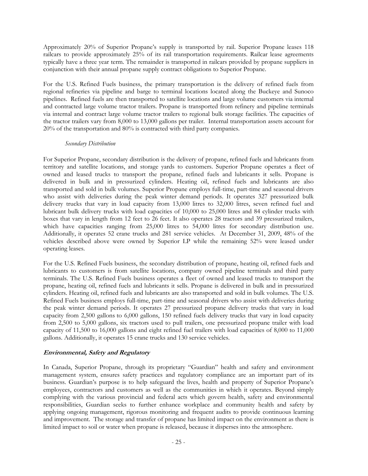Approximately 20% of Superior Propane's supply is transported by rail. Superior Propane leases 118 railcars to provide approximately 25% of its rail transportation requirements. Railcar lease agreements typically have a three year term. The remainder is transported in railcars provided by propane suppliers in conjunction with their annual propane supply contract obligations to Superior Propane.

For the U.S. Refined Fuels business, the primary transportation is the delivery of refined fuels from regional refineries via pipeline and barge to terminal locations located along the Buckeye and Sunoco pipelines. Refined fuels are then transported to satellite locations and large volume customers via internal and contracted large volume tractor trailers. Propane is transported from refinery and pipeline terminals via internal and contract large volume tractor trailers to regional bulk storage facilities. The capacities of the tractor trailers vary from 8,000 to 13,000 gallons per trailer. Internal transportation assets account for 20% of the transportation and 80% is contracted with third party companies.

#### *Secondary Distribution*

For Superior Propane, secondary distribution is the delivery of propane, refined fuels and lubricants from territory and satellite locations, and storage yards to customers. Superior Propane operates a fleet of owned and leased trucks to transport the propane, refined fuels and lubricants it sells. Propane is delivered in bulk and in pressurized cylinders. Heating oil, refined fuels and lubricants are also transported and sold in bulk volumes. Superior Propane employs full-time, part-time and seasonal drivers who assist with deliveries during the peak winter demand periods. It operates 327 pressurized bulk delivery trucks that vary in load capacity from 13,000 litres to 32,000 litres, seven refined fuel and lubricant bulk delivery trucks with load capacities of 10,000 to 25,000 litres and 84 cylinder trucks with boxes that vary in length from 12 feet to 26 feet. It also operates 28 tractors and 39 pressurized trailers, which have capacities ranging from 25,000 litres to 54,000 litres for secondary distribution use. Additionally, it operates 52 crane trucks and 281 service vehicles. At December 31, 2009, 48% of the vehicles described above were owned by Superior LP while the remaining 52% were leased under operating leases.

For the U.S. Refined Fuels business, the secondary distribution of propane, heating oil, refined fuels and lubricants to customers is from satellite locations, company owned pipeline terminals and third party terminals. The U.S. Refined Fuels business operates a fleet of owned and leased trucks to transport the propane, heating oil, refined fuels and lubricants it sells. Propane is delivered in bulk and in pressurized cylinders. Heating oil, refined fuels and lubricants are also transported and sold in bulk volumes. The U.S. Refined Fuels business employs full-time, part-time and seasonal drivers who assist with deliveries during the peak winter demand periods. It operates 27 pressurized propane delivery trucks that vary in load capacity from 2,500 gallons to 6,000 gallons, 150 refined fuels delivery trucks that vary in load capacity from 2,500 to 5,000 gallons, six tractors used to pull trailers, one pressurized propane trailer with load capacity of 11,500 to 16,000 gallons and eight refined fuel trailers with load capacities of 8,000 to 11,000 gallons. Additionally, it operates 15 crane trucks and 130 service vehicles.

# **Environmental, Safety and Regulatory**

In Canada, Superior Propane, through its proprietary "Guardian" health and safety and environment management system, ensures safety practices and regulatory compliance are an important part of its business. Guardian's purpose is to help safeguard the lives, health and property of Superior Propane's employees, contractors and customers as well as the communities in which it operates. Beyond simply complying with the various provincial and federal acts which govern health, safety and environmental responsibilities, Guardian seeks to further enhance workplace and community health and safety by applying ongoing management, rigorous monitoring and frequent audits to provide continuous learning and improvement. The storage and transfer of propane has limited impact on the environment as there is limited impact to soil or water when propane is released, because it disperses into the atmosphere.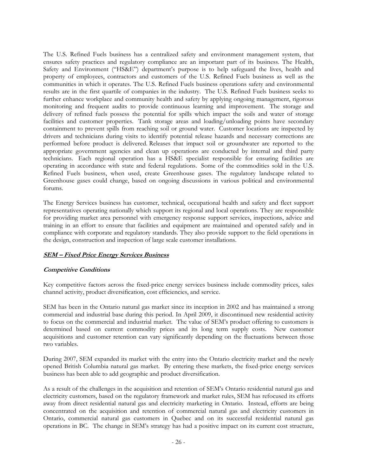The U.S. Refined Fuels business has a centralized safety and environment management system, that ensures safety practices and regulatory compliance are an important part of its business. The Health, Safety and Environment ("HS&E") department's purpose is to help safeguard the lives, health and property of employees, contractors and customers of the U.S. Refined Fuels business as well as the communities in which it operates. The U.S. Refined Fuels business operations safety and environmental results are in the first quartile of companies in the industry. The U.S. Refined Fuels business seeks to further enhance workplace and community health and safety by applying ongoing management, rigorous monitoring and frequent audits to provide continuous learning and improvement. The storage and delivery of refined fuels possess the potential for spills which impact the soils and water of storage facilities and customer properties. Tank storage areas and loading/unloading points have secondary containment to prevent spills from reaching soil or ground water. Customer locations are inspected by drivers and technicians during visits to identify potential release hazards and necessary corrections are performed before product is delivered. Releases that impact soil or groundwater are reported to the appropriate government agencies and clean up operations are conducted by internal and third party technicians. Each regional operation has a HS&E specialist responsible for ensuring facilities are operating in accordance with state and federal regulations. Some of the commodities sold in the U.S. Refined Fuels business, when used, create Greenhouse gases. The regulatory landscape related to Greenhouse gases could change, based on ongoing discussions in various political and environmental forums.

The Energy Services business has customer, technical, occupational health and safety and fleet support representatives operating nationally which support its regional and local operations. They are responsible for providing market area personnel with emergency response support services, inspections, advice and training in an effort to ensure that facilities and equipment are maintained and operated safely and in compliance with corporate and regulatory standards. They also provide support to the field operations in the design, construction and inspection of large scale customer installations.

# **SEM – Fixed Price Energy Services Business**

# **Competitive Conditions**

Key competitive factors across the fixed-price energy services business include commodity prices, sales channel activity, product diversification, cost efficiencies, and service.

SEM has been in the Ontario natural gas market since its inception in 2002 and has maintained a strong commercial and industrial base during this period. In April 2009, it discontinued new residential activity to focus on the commercial and industrial market. The value of SEM's product offering to customers is determined based on current commodity prices and its long term supply costs. New customer acquisitions and customer retention can vary significantly depending on the fluctuations between those two variables.

During 2007, SEM expanded its market with the entry into the Ontario electricity market and the newly opened British Columbia natural gas market. By entering these markets, the fixed-price energy services business has been able to add geographic and product diversification.

As a result of the challenges in the acquisition and retention of SEM's Ontario residential natural gas and electricity customers, based on the regulatory framework and market rules, SEM has refocused its efforts away from direct residential natural gas and electricity marketing in Ontario. Instead, efforts are being concentrated on the acquisition and retention of commercial natural gas and electricity customers in Ontario, commercial natural gas customers in Quebec and on its successful residential natural gas operations in BC. The change in SEM's strategy has had a positive impact on its current cost structure,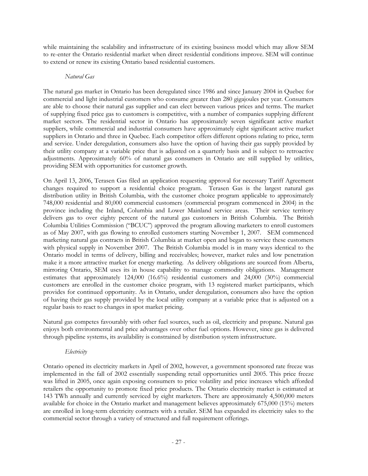while maintaining the scalability and infrastructure of its existing business model which may allow SEM to re-enter the Ontario residential market when direct residential conditions improve. SEM will continue to extend or renew its existing Ontario based residential customers.

# *Natural Gas*

The natural gas market in Ontario has been deregulated since 1986 and since January 2004 in Quebec for commercial and light industrial customers who consume greater than 280 gigajoules per year. Consumers are able to choose their natural gas supplier and can elect between various prices and terms. The market of supplying fixed price gas to customers is competitive, with a number of companies supplying different market sectors. The residential sector in Ontario has approximately seven significant active market suppliers, while commercial and industrial consumers have approximately eight significant active market suppliers in Ontario and three in Quebec. Each competitor offers different options relating to price, term and service. Under deregulation, consumers also have the option of having their gas supply provided by their utility company at a variable price that is adjusted on a quarterly basis and is subject to retroactive adjustments. Approximately 60% of natural gas consumers in Ontario are still supplied by utilities, providing SEM with opportunities for customer growth.

On April 13, 2006, Terasen Gas filed an application requesting approval for necessary Tariff Agreement changes required to support a residential choice program. Terasen Gas is the largest natural gas distribution utility in British Columbia, with the customer choice program applicable to approximately 748,000 residential and 80,000 commercial customers (commercial program commenced in 2004) in the province including the Inland, Columbia and Lower Mainland service areas. Their service territory delivers gas to over eighty percent of the natural gas customers in British Columbia. The British Columbia Utilities Commission ("BCUC") approved the program allowing marketers to enroll customers as of May 2007, with gas flowing to enrolled customers starting November 1, 2007. SEM commenced marketing natural gas contracts in British Columbia at market open and began to service these customers with physical supply in November 2007. The British Columbia model is in many ways identical to the Ontario model in terms of delivery, billing and receivables; however, market rules and low penetration make it a more attractive market for energy marketing. As delivery obligations are sourced from Alberta, mirroring Ontario, SEM uses its in house capability to manage commodity obligations. Management estimates that approximately 124,000 (16.6%) residential customers and 24,000 (30%) commercial customers are enrolled in the customer choice program, with 13 registered market participants, which provides for continued opportunity. As in Ontario, under deregulation, consumers also have the option of having their gas supply provided by the local utility company at a variable price that is adjusted on a regular basis to react to changes in spot market pricing.

Natural gas competes favourably with other fuel sources, such as oil, electricity and propane. Natural gas enjoys both environmental and price advantages over other fuel options. However, since gas is delivered through pipeline systems, its availability is constrained by distribution system infrastructure.

# *Electricity*

Ontario opened its electricity markets in April of 2002, however, a government sponsored rate freeze was implemented in the fall of 2002 essentially suspending retail opportunities until 2005. This price freeze was lifted in 2005, once again exposing consumers to price volatility and price increases which afforded retailers the opportunity to promote fixed price products. The Ontario electricity market is estimated at 143 TWh annually and currently serviced by eight marketers. There are approximately 4,500,000 meters available for choice in the Ontario market and management believes approximately 675,000 (15%) meters are enrolled in long-term electricity contracts with a retailer. SEM has expanded its electricity sales to the commercial sector through a variety of structured and full requirement offerings.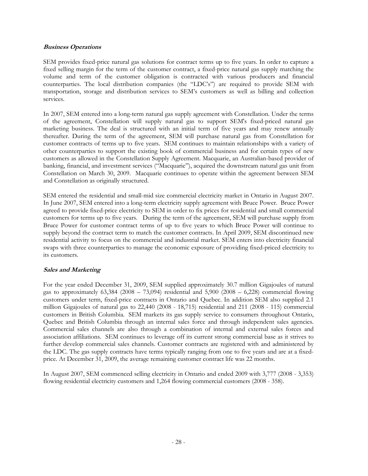# **Business Operations**

SEM provides fixed-price natural gas solutions for contract terms up to five years. In order to capture a fixed selling margin for the term of the customer contract, a fixed-price natural gas supply matching the volume and term of the customer obligation is contracted with various producers and financial counterparties. The local distribution companies (the "LDC's") are required to provide SEM with transportation, storage and distribution services to SEM's customers as well as billing and collection services.

In 2007, SEM entered into a long-term natural gas supply agreement with Constellation. Under the terms of the agreement, Constellation will supply natural gas to support SEM's fixed-priced natural gas marketing business. The deal is structured with an initial term of five years and may renew annually thereafter. During the term of the agreement, SEM will purchase natural gas from Constellation for customer contracts of terms up to five years. SEM continues to maintain relationships with a variety of other counterparties to support the existing book of commercial business and for certain types of new customers as allowed in the Constellation Supply Agreement. Macquarie, an Australian-based provider of banking, financial, and investment services ("Macquarie"), acquired the downstream natural gas unit from Constellation on March 30, 2009. Macquarie continues to operate within the agreement between SEM and Constellation as originally structured.

SEM entered the residential and small-mid size commercial electricity market in Ontario in August 2007. In June 2007, SEM entered into a long-term electricity supply agreement with Bruce Power. Bruce Power agreed to provide fixed-price electricity to SEM in order to fix prices for residential and small commercial customers for terms up to five years. During the term of the agreement, SEM will purchase supply from Bruce Power for customer contract terms of up to five years to which Bruce Power will continue to supply beyond the contract term to match the customer contracts. In April 2009, SEM discontinued new residential activity to focus on the commercial and industrial market. SEM enters into electricity financial swaps with three counterparties to manage the economic exposure of providing fixed-priced electricity to its customers.

# **Sales and Marketing**

For the year ended December 31, 2009, SEM supplied approximately 30.7 million Gigajoules of natural gas to approximately  $63,384$  ( $2008 - 73,094$ ) residential and  $5,900$  ( $2008 - 6,228$ ) commercial flowing customers under term, fixed-price contracts in Ontario and Quebec. In addition SEM also supplied 2.1 million Gigajoules of natural gas to 22,440 (2008 - 18,715) residential and 211 (2008 - 115) commercial customers in British Columbia. SEM markets its gas supply service to consumers throughout Ontario, Quebec and British Columbia through an internal sales force and through independent sales agencies. Commercial sales channels are also through a combination of internal and external sales forces and association affiliations. SEM continues to leverage off its current strong commercial base as it strives to further develop commercial sales channels. Customer contracts are registered with and administered by the LDC. The gas supply contracts have terms typically ranging from one to five years and are at a fixedprice. At December 31, 2009, the average remaining customer contract life was 22 months.

In August 2007, SEM commenced selling electricity in Ontario and ended 2009 with 3,777 (2008 - 3,353) flowing residential electricity customers and 1,264 flowing commercial customers (2008 - 358).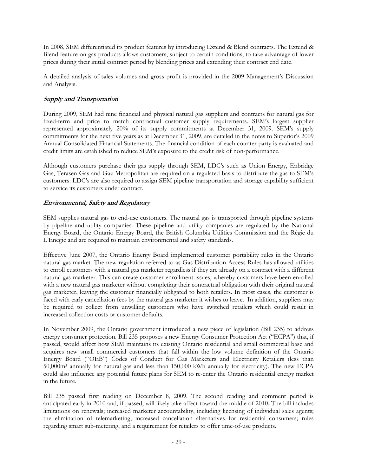In 2008, SEM differentiated its product features by introducing Extend & Blend contracts. The Extend & Blend feature on gas products allows customers, subject to certain conditions, to take advantage of lower prices during their initial contract period by blending prices and extending their contract end date.

A detailed analysis of sales volumes and gross profit is provided in the 2009 Management's Discussion and Analysis.

# **Supply and Transportation**

During 2009, SEM had nine financial and physical natural gas suppliers and contracts for natural gas for fixed-term and price to match contractual customer supply requirements. SEM's largest supplier represented approximately 20% of its supply commitments at December 31, 2009. SEM's supply commitments for the next five years as at December 31, 2009, are detailed in the notes to Superior's 2009 Annual Consolidated Financial Statements. The financial condition of each counter party is evaluated and credit limits are established to reduce SEM's exposure to the credit risk of non-performance.

Although customers purchase their gas supply through SEM, LDC's such as Union Energy, Enbridge Gas, Terasen Gas and Gaz Metropolitan are required on a regulated basis to distribute the gas to SEM's customers. LDC's are also required to assign SEM pipeline transportation and storage capability sufficient to service its customers under contract.

# **Environmental, Safety and Regulatory**

SEM supplies natural gas to end-use customers. The natural gas is transported through pipeline systems by pipeline and utility companies. These pipeline and utility companies are regulated by the National Energy Board, the Ontario Energy Board, the British Columbia Utilities Commission and the Régie du L'Enegie and are required to maintain environmental and safety standards.

Effective June 2007, the Ontario Energy Board implemented customer portability rules in the Ontario natural gas market. The new regulation referred to as Gas Distribution Access Rules has allowed utilities to enroll customers with a natural gas marketer regardless if they are already on a contract with a different natural gas marketer. This can create customer enrollment issues, whereby customers have been enrolled with a new natural gas marketer without completing their contractual obligation with their original natural gas marketer, leaving the customer financially obligated to both retailers. In most cases, the customer is faced with early cancellation fees by the natural gas marketer it wishes to leave. In addition, suppliers may be required to collect from unwilling customers who have switched retailers which could result in increased collection costs or customer defaults.

In November 2009, the Ontario government introduced a new piece of legislation (Bill 235) to address energy consumer protection. Bill 235 proposes a new Energy Consumer Protection Act ("ECPA") that, if passed, would affect how SEM maintains its existing Ontario residential and small commercial base and acquires new small commercial customers that fall within the low volume definition of the Ontario Energy Board ("OEB") Codes of Conduct for Gas Marketers and Electricity Retailers (less than 50,000m3 annually for natural gas and less than 150,000 kWh annually for electricity). The new ECPA could also influence any potential future plans for SEM to re-enter the Ontario residential energy market in the future.

Bill 235 passed first reading on December 8, 2009. The second reading and comment period is anticipated early in 2010 and, if passed, will likely take affect toward the middle of 2010. The bill includes limitations on renewals; increased marketer accountability, including licensing of individual sales agents; the elimination of telemarketing; increased cancellation alternatives for residential consumers; rules regarding smart sub-metering, and a requirement for retailers to offer time-of-use products.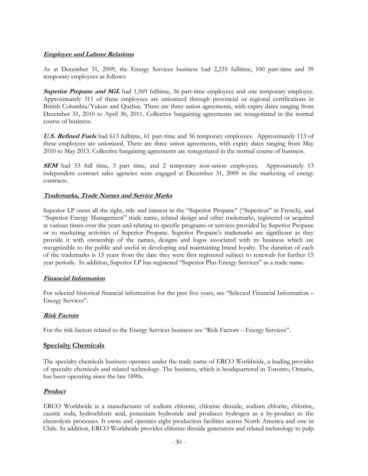# **Employee and Labour Relations**

As at December 31, 2009, the Energy Services business had 2,235 fulltime, 100 part-time and 39 temporary employees as follows:

**Superior Propane and SGL** had 1,569 fulltime, 36 part-time employees and one temporary employee. Approximately 311 of these employees are unionized through provincial or regional certifications in British Columbia/Yukon and Quebec. There are three union agreements, with expiry dates ranging from December 31, 2010 to April 30, 2011. Collective bargaining agreements are renegotiated in the normal course of business.

**U.S. Refined Fuels** had 613 fulltime, 61 part-time and 36 temporary employees. Approximately 113 of these employees are unionized. There are three union agreements, with expiry dates ranging from May 2010 to May 2013. Collective bargaining agreements are renegotiated in the normal course of business.

**SEM** had 53 full time, 3 part time, and 2 temporary non-union employees. Approximately 13 independent contract sales agencies were engaged at December 31, 2009 in the marketing of energy contracts.

# **Trademarks, Trade Names and Service Marks**

Superior LP owns all the right, title and interest in the "Superior Propane" ("Superieur" in French), and "Superior Energy Management" trade name, related design and other trademarks, registered or acquired at various times over the years and relating to specific programs or services provided by Superior Propane or to marketing activities of Superior Propane. Superior Propane's trademarks are significant as they provide it with ownership of the names, designs and logos associated with its business which are recognizable to the public and useful in developing and maintaining brand loyalty. The duration of each of the trademarks is 15 years from the date they were first registered subject to renewals for further 15 year periods. In addition, Superior LP has registered "Superior Plus Energy Services" as a trade name.

# **Financial Information**

For selected historical financial information for the past five years, see "Selected Financial Information – Energy Services".

# **Risk Factors**

For the risk factors related to the Energy Services business see "Risk Factors – Energy Services".

# **Specialty Chemicals**

The specialty chemicals business operates under the trade name of ERCO Worldwide, a leading provider of specialty chemicals and related technology. The business, which is headquartered in Toronto, Ontario, has been operating since the late 1890s.

# **Product**

ERCO Worldwide is a manufacturer of sodium chlorate, chlorine dioxide, sodium chlorite, chlorine, caustic soda, hydrochloric acid, potassium hydroxide and produces hydrogen as a by-product to the electrolysis processes. It owns and operates eight production facilities across North America and one in Chile. In addition, ERCO Worldwide provides chlorine dioxide generators and related technology to pulp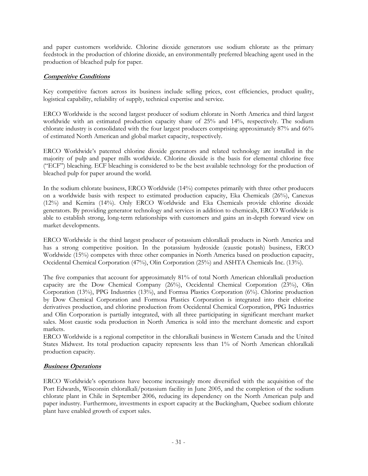and paper customers worldwide. Chlorine dioxide generators use sodium chlorate as the primary feedstock in the production of chlorine dioxide, an environmentally preferred bleaching agent used in the production of bleached pulp for paper.

# **Competitive Conditions**

Key competitive factors across its business include selling prices, cost efficiencies, product quality, logistical capability, reliability of supply, technical expertise and service.

ERCO Worldwide is the second largest producer of sodium chlorate in North America and third largest worldwide with an estimated production capacity share of 25% and 14%, respectively. The sodium chlorate industry is consolidated with the four largest producers comprising approximately 87% and 66% of estimated North American and global market capacity, respectively.

ERCO Worldwide's patented chlorine dioxide generators and related technology are installed in the majority of pulp and paper mills worldwide. Chlorine dioxide is the basis for elemental chlorine free ("ECF") bleaching. ECF bleaching is considered to be the best available technology for the production of bleached pulp for paper around the world.

In the sodium chlorate business, ERCO Worldwide (14%) competes primarily with three other producers on a worldwide basis with respect to estimated production capacity, Eka Chemicals (26%), Canexus (12%) and Kemira (14%). Only ERCO Worldwide and Eka Chemicals provide chlorine dioxide generators. By providing generator technology and services in addition to chemicals, ERCO Worldwide is able to establish strong, long-term relationships with customers and gains an in-depth forward view on market developments.

ERCO Worldwide is the third largest producer of potassium chloralkali products in North America and has a strong competitive position. In the potassium hydroxide (caustic potash) business, ERCO Worldwide (15%) competes with three other companies in North America based on production capacity, Occidental Chemical Corporation (47%), Olin Corporation (25%) and ASHTA Chemicals Inc. (13%).

The five companies that account for approximately 81% of total North American chloralkali production capacity are the Dow Chemical Company (26%), Occidental Chemical Corporation (23%), Olin Corporation (13%), PPG Industries (13%), and Formsa Plastics Corporation (6%). Chlorine production by Dow Chemical Corporation and Formosa Plastics Corporation is integrated into their chlorine derivatives production, and chlorine production from Occidental Chemical Corporation, PPG Industries and Olin Corporation is partially integrated, with all three participating in significant merchant market sales. Most caustic soda production in North America is sold into the merchant domestic and export markets.

ERCO Worldwide is a regional competitor in the chloralkali business in Western Canada and the United States Midwest. Its total production capacity represents less than 1% of North American chloralkali production capacity.

# **Business Operations**

ERCO Worldwide's operations have become increasingly more diversified with the acquisition of the Port Edwards, Wisconsin chloralkali/potassium facility in June 2005, and the completion of the sodium chlorate plant in Chile in September 2006, reducing its dependency on the North American pulp and paper industry. Furthermore, investments in export capacity at the Buckingham, Quebec sodium chlorate plant have enabled growth of export sales.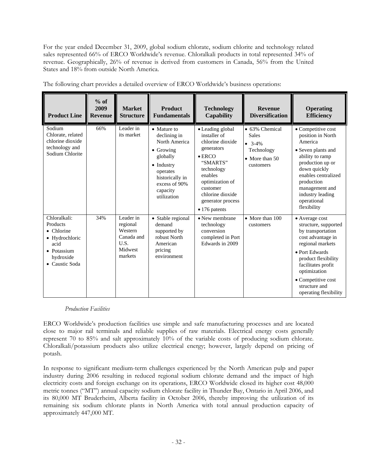For the year ended December 31, 2009, global sodium chlorate, sodium chlorite and technology related sales represented 66% of ERCO Worldwide's revenue. Chloralkali products in total represented 34% of revenue. Geographically, 26% of revenue is derived from customers in Canada, 56% from the United States and 18% from outside North America.

| <b>Product Line</b>                                                                                                    | $%$ of<br>2009<br><b>Revenue</b> | <b>Market</b><br><b>Structure</b>                                            | <b>Product</b><br><b>Fundamentals</b>                                                                                                                                          | <b>Technology</b><br>Capability                                                                                                                                                                                            | <b>Revenue</b><br><b>Diversification</b>                                                       | <b>Operating</b><br><b>Efficiency</b>                                                                                                                                                                                                               |
|------------------------------------------------------------------------------------------------------------------------|----------------------------------|------------------------------------------------------------------------------|--------------------------------------------------------------------------------------------------------------------------------------------------------------------------------|----------------------------------------------------------------------------------------------------------------------------------------------------------------------------------------------------------------------------|------------------------------------------------------------------------------------------------|-----------------------------------------------------------------------------------------------------------------------------------------------------------------------------------------------------------------------------------------------------|
| Sodium<br>Chlorate, related<br>chlorine dioxide<br>technology and<br>Sodium Chlorite                                   | 66%                              | Leader in<br>its market                                                      | • Mature to<br>declining in<br>North America<br>$\bullet$ Growing<br>globally<br>$\bullet$ Industry<br>operates<br>historically in<br>excess of 90%<br>capacity<br>utilization | • Leading global<br>installer of<br>chlorine dioxide<br>generators<br>$\bullet$ ERCO<br>"SMARTS"<br>technology<br>enables<br>optimization of<br>customer<br>chlorine dioxide<br>generator process<br>$\bullet$ 176 patents | • 63% Chemical<br><b>Sales</b><br>$-3-4%$<br>Technology<br>$\bullet$ More than 50<br>customers | • Competitive cost<br>position in North<br>America<br>• Seven plants and<br>ability to ramp<br>production up or<br>down quickly<br>enables centralized<br>production<br>management and<br>industry leading<br>operational<br>flexibility            |
| Chloralkali:<br>Products<br>$\bullet$ Chlorine<br>• Hydrochloric<br>acid<br>• Potassium<br>hydroxide<br>• Caustic Soda | 34%                              | Leader in<br>regional<br>Western<br>Canada and<br>U.S.<br>Midwest<br>markets | • Stable regional<br>demand<br>supported by<br>robust North<br>American<br>pricing<br>environment                                                                              | • New membrane<br>technology<br>conversion<br>completed in Port<br>Edwards in 2009                                                                                                                                         | $\bullet$ More than 100<br>customers                                                           | • Average cost<br>structure, supported<br>by transportation<br>cost advantage in<br>regional markets<br>• Port Edwards<br>product flexibility<br>facilitates profit<br>optimization<br>• Competitive cost<br>structure and<br>operating flexibility |

The following chart provides a detailed overview of ERCO Worldwide's business operations:

#### *Production Facilities*

ERCO Worldwide's production facilities use simple and safe manufacturing processes and are located close to major rail terminals and reliable supplies of raw materials. Electrical energy costs generally represent 70 to 85% and salt approximately 10% of the variable costs of producing sodium chlorate. Chloralkali/potassium products also utilize electrical energy; however, largely depend on pricing of potash.

In response to significant medium-term challenges experienced by the North American pulp and paper industry during 2006 resulting in reduced regional sodium chlorate demand and the impact of high electricity costs and foreign exchange on its operations, ERCO Worldwide closed its higher cost 48,000 metric tonnes ("MT") annual capacity sodium chlorate facility in Thunder Bay, Ontario in April 2006, and its 80,000 MT Bruderheim, Alberta facility in October 2006, thereby improving the utilization of its remaining six sodium chlorate plants in North America with total annual production capacity of approximately 447,000 MT.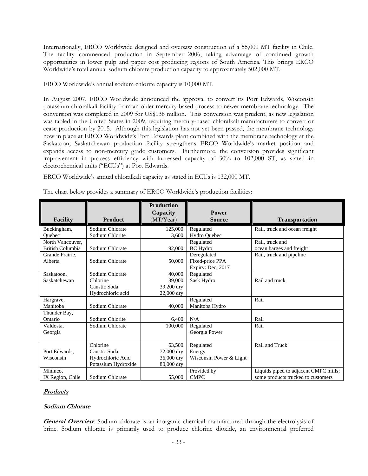Internationally, ERCO Worldwide designed and oversaw construction of a 55,000 MT facility in Chile. The facility commenced production in September 2006, taking advantage of continued growth opportunities in lower pulp and paper cost producing regions of South America. This brings ERCO Worldwide's total annual sodium chlorate production capacity to approximately 502,000 MT.

ERCO Worldwide's annual sodium chlorite capacity is 10,000 MT.

In August 2007, ERCO Worldwide announced the approval to convert its Port Edwards, Wisconsin potassium chloralkali facility from an older mercury-based process to newer membrane technology. The conversion was completed in 2009 for US\$138 million. This conversion was prudent, as new legislation was tabled in the United States in 2009, requiring mercury-based chloralkali manufacturers to convert or cease production by 2015. Although this legislation has not yet been passed, the membrane technology now in place at ERCO Worldwide's Port Edwards plant combined with the membrane technology at the Saskatoon, Saskatchewan production facility strengthens ERCO Worldwide's market position and expands access to non-mercury grade customers. Furthermore, the conversion provides significant improvement in process efficiency with increased capacity of 30% to 102,000 ST, as stated in electrochemical units ("ECUs") at Port Edwards.

ERCO Worldwide's annual chloralkali capacity as stated in ECUs is 132,000 MT.

| <b>Facility</b>         | <b>Product</b>      | <b>Production</b><br>Capacity<br>(MT/Year) | <b>Power</b><br><b>Source</b> | <b>Transportation</b>                 |
|-------------------------|---------------------|--------------------------------------------|-------------------------------|---------------------------------------|
| Buckingham,             | Sodium Chlorate     | 125,000                                    | Regulated                     | Rail, truck and ocean freight         |
| Ouebec                  | Sodium Chlorite     | 3,600                                      | <b>Hydro Quebec</b>           |                                       |
| North Vancouver,        |                     |                                            | Regulated                     | Rail, truck and                       |
| <b>British Columbia</b> | Sodium Chlorate     | 92,000                                     | <b>BC</b> Hydro               | ocean barges and freight              |
| Grande Prairie,         |                     |                                            | Deregulated                   | Rail, truck and pipeline              |
| Alberta                 | Sodium Chlorate     | 50,000                                     | Fixed-price PPA               |                                       |
|                         |                     |                                            | Expiry: Dec, 2017             |                                       |
| Saskatoon,              | Sodium Chlorate     | 40,000                                     | Regulated                     |                                       |
| Saskatchewan            | Chlorine            | 39,000                                     | Sask Hydro                    | Rail and truck                        |
|                         | Caustic Soda        | 39,200 dry                                 |                               |                                       |
|                         | Hydrochloric acid   | 22,000 dry                                 |                               |                                       |
| Hargrave,               |                     |                                            | Regulated                     | Rail                                  |
| Manitoba                | Sodium Chlorate     | 40,000                                     | Manitoba Hydro                |                                       |
| Thunder Bay,            |                     |                                            |                               |                                       |
| Ontario                 | Sodium Chlorite     | 6,400                                      | N/A                           | Rail                                  |
| Valdosta,               | Sodium Chlorate     | 100,000                                    | Regulated                     | Rail                                  |
| Georgia                 |                     |                                            | Georgia Power                 |                                       |
|                         |                     |                                            |                               |                                       |
|                         | Chlorine            | 63,500                                     | Regulated                     | Rail and Truck                        |
| Port Edwards,           | Caustic Soda        | 72,000 dry                                 | Energy                        |                                       |
| Wisconsin               | Hydrochloric Acid   | 36,000 dry                                 | Wisconsin Power & Light       |                                       |
|                         | Potassium Hydroxide | 80,000 dry                                 |                               |                                       |
| Mininco,                |                     |                                            | Provided by                   | Liquids piped to adjacent CMPC mills; |
| IX Region, Chile        | Sodium Chlorate     | 55,000                                     | <b>CMPC</b>                   | some products trucked to customers    |

The chart below provides a summary of ERCO Worldwide's production facilities:

# **Products**

#### **Sodium Chlorate**

**General Overview***:* Sodium chlorate is an inorganic chemical manufactured through the electrolysis of brine. Sodium chlorate is primarily used to produce chlorine dioxide, an environmental preferred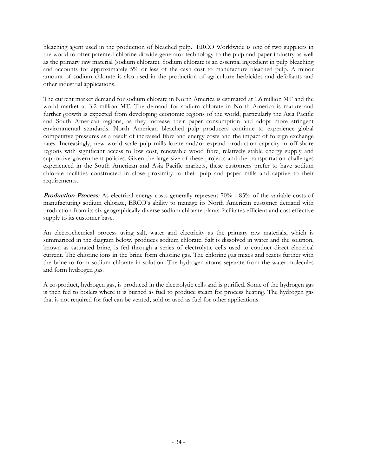bleaching agent used in the production of bleached pulp. ERCO Worldwide is one of two suppliers in the world to offer patented chlorine dioxide generator technology to the pulp and paper industry as well as the primary raw material (sodium chlorate). Sodium chlorate is an essential ingredient in pulp bleaching and accounts for approximately 5% or less of the cash cost to manufacture bleached pulp. A minor amount of sodium chlorate is also used in the production of agriculture herbicides and defoliants and other industrial applications.

The current market demand for sodium chlorate in North America is estimated at 1.6 million MT and the world market at 3.2 million MT. The demand for sodium chlorate in North America is mature and further growth is expected from developing economic regions of the world, particularly the Asia Pacific and South American regions, as they increase their paper consumption and adopt more stringent environmental standards. North American bleached pulp producers continue to experience global competitive pressures as a result of increased fibre and energy costs and the impact of foreign exchange rates. Increasingly, new world scale pulp mills locate and/or expand production capacity in off-shore regions with significant access to low cost, renewable wood fibre, relatively stable energy supply and supportive government policies. Given the large size of these projects and the transportation challenges experienced in the South American and Asia Pacific markets, these customers prefer to have sodium chlorate facilities constructed in close proximity to their pulp and paper mills and captive to their requirements.

**Production Process**: As electrical energy costs generally represent 70% - 85% of the variable costs of manufacturing sodium chlorate, ERCO's ability to manage its North American customer demand with production from its six geographically diverse sodium chlorate plants facilitates efficient and cost effective supply to its customer base.

An electrochemical process using salt, water and electricity as the primary raw materials, which is summarized in the diagram below, produces sodium chlorate. Salt is dissolved in water and the solution, known as saturated brine, is fed through a series of electrolytic cells used to conduct direct electrical current. The chlorine ions in the brine form chlorine gas. The chlorine gas mixes and reacts further with the brine to form sodium chlorate in solution. The hydrogen atoms separate from the water molecules and form hydrogen gas.

A co-product, hydrogen gas, is produced in the electrolytic cells and is purified. Some of the hydrogen gas is then fed to boilers where it is burned as fuel to produce steam for process heating. The hydrogen gas that is not required for fuel can be vented, sold or used as fuel for other applications.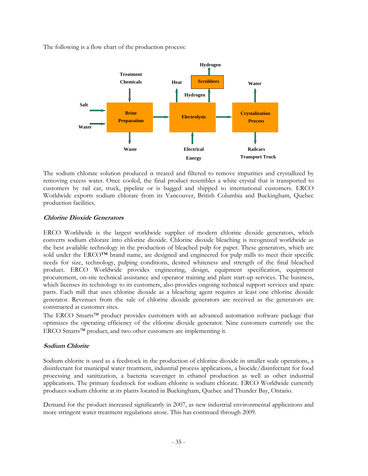The following is a flow chart of the production process:



The sodium chlorate solution produced is treated and filtered to remove impurities and crystallized by removing excess water. Once cooled, the final product resembles a white crystal that is transported to customers by rail car, truck, pipeline or is bagged and shipped to international customers. ERCO Worldwide exports sodium chlorate from its Vancouver, British Columbia and Buckingham, Quebec production facilities.

# **Chlorine Dioxide Generators**

ERCO Worldwide is the largest worldwide supplier of modern chlorine dioxide generators, which converts sodium chlorate into chlorine dioxide. Chlorine dioxide bleaching is recognized worldwide as the best available technology in the production of bleached pulp for paper. These generators, which are sold under the ERCO™ brand name, are designed and engineered for pulp mills to meet their specific needs for size, technology, pulping conditions, desired whiteness and strength of the final bleached product. ERCO Worldwide provides engineering, design, equipment specification, equipment procurement, on-site technical assistance and operator training and plant start-up services. The business, which licenses its technology to its customers, also provides ongoing technical support services and spare parts. Each mill that uses chlorine dioxide as a bleaching agent requires at least one chlorine dioxide generator. Revenues from the sale of chlorine dioxide generators are received as the generators are constructed at customer sites.

The ERCO Smarts™ product provides customers with an advanced automation software package that optimizes the operating efficiency of the chlorine dioxide generator. Nine customers currently use the ERCO Smarts™ product, and two other customers are implementing it.

# **Sodium Chlorite**

Sodium chlorite is used as a feedstock in the production of chlorine dioxide in smaller scale operations, a disinfectant for municipal water treatment, industrial process applications, a biocide/disinfectant for food processing and sanitization, a bacteria scavenger in ethanol production as well as other industrial applications. The primary feedstock for sodium chlorite is sodium chlorate. ERCO Worldwide currently produces sodium chlorite at its plants located in Buckingham, Quebec and Thunder Bay, Ontario.

Demand for the product increased significantly in 2007, as new industrial environmental applications and more stringent water treatment regulations arose. This has continued through 2009.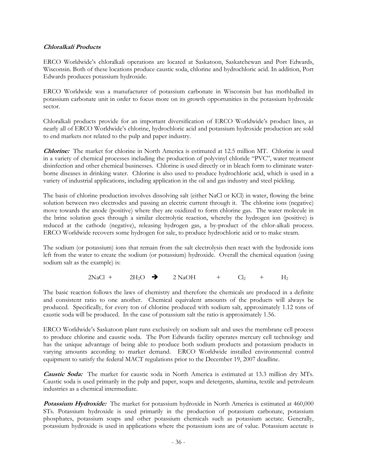### **Chloralkali Products**

ERCO Worldwide's chloralkali operations are located at Saskatoon, Saskatchewan and Port Edwards, Wisconsin. Both of these locations produce caustic soda, chlorine and hydrochloric acid. In addition, Port Edwards produces potassium hydroxide.

ERCO Worldwide was a manufacturer of potassium carbonate in Wisconsin but has mothballed its potassium carbonate unit in order to focus more on its growth opportunities in the potassium hydroxide sector.

Chloralkali products provide for an important diversification of ERCO Worldwide's product lines, as nearly all of ERCO Worldwide's chlorine, hydrochloric acid and potassium hydroxide production are sold to end markets not related to the pulp and paper industry.

**Chlorine:** The market for chlorine in North America is estimated at 12.5 million MT. Chlorine is used in a variety of chemical processes including the production of polyvinyl chloride "PVC", water treatment disinfection and other chemical businesses. Chlorine is used directly or in bleach form to eliminate waterborne diseases in drinking water. Chlorine is also used to produce hydrochloric acid, which is used in a variety of industrial applications, including application in the oil and gas industry and steel pickling.

The basis of chlorine production involves dissolving salt (either NaCl or KCl) in water, flowing the brine solution between two electrodes and passing an electric current through it. The chlorine ions (negative) move towards the anode (positive) where they are oxidized to form chlorine gas. The water molecule in the brine solution goes through a similar electrolytic reaction, whereby the hydrogen ion (positive) is reduced at the cathode (negative), releasing hydrogen gas, a by-product of the chlor-alkali process. ERCO Worldwide recovers some hydrogen for sale, to produce hydrochloric acid or to make steam.

The sodium (or potassium) ions that remain from the salt electrolysis then react with the hydroxide ions left from the water to create the sodium (or potassium) hydroxide. Overall the chemical equation (using sodium salt as the example) is:

 $2NaCl + 2H_2O \rightarrow 2NaOH + Cl_2 + H_2$ 

The basic reaction follows the laws of chemistry and therefore the chemicals are produced in a definite and consistent ratio to one another. Chemical equivalent amounts of the products will always be produced. Specifically, for every ton of chlorine produced with sodium salt, approximately 1.12 tons of caustic soda will be produced. In the case of potassium salt the ratio is approximately 1.56.

ERCO Worldwide's Saskatoon plant runs exclusively on sodium salt and uses the membrane cell process to produce chlorine and caustic soda. The Port Edwards facility operates mercury cell technology and has the unique advantage of being able to produce both sodium products and potassium products in varying amounts according to market demand. ERCO Worldwide installed environmental control equipment to satisfy the federal MACT regulations prior to the December 19, 2007 deadline.

**Caustic Soda:** The market for caustic soda in North America is estimated at 13.3 million dry MTs. Caustic soda is used primarily in the pulp and paper, soaps and detergents, alumina, textile and petroleum industries as a chemical intermediate.

**Potassium Hydroxide:** The market for potassium hydroxide in North America is estimated at 460,000 STs. Potassium hydroxide is used primarily in the production of potassium carbonate, potassium phosphates, potassium soaps and other potassium chemicals such as potassium acetate. Generally, potassium hydroxide is used in applications where the potassium ions are of value. Potassium acetate is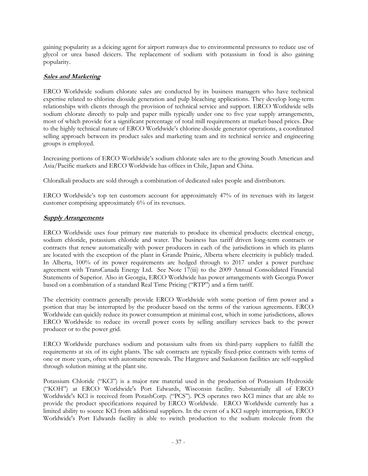gaining popularity as a deicing agent for airport runways due to environmental pressures to reduce use of glycol or urea based deicers. The replacement of sodium with potassium in food is also gaining popularity.

## **Sales and Marketing**

ERCO Worldwide sodium chlorate sales are conducted by its business managers who have technical expertise related to chlorine dioxide generation and pulp bleaching applications. They develop long-term relationships with clients through the provision of technical service and support. ERCO Worldwide sells sodium chlorate directly to pulp and paper mills typically under one to five year supply arrangements, most of which provide for a significant percentage of total mill requirements at market-based prices. Due to the highly technical nature of ERCO Worldwide's chlorine dioxide generator operations, a coordinated selling approach between its product sales and marketing team and its technical service and engineering groups is employed.

Increasing portions of ERCO Worldwide's sodium chlorate sales are to the growing South American and Asia/Pacific markets and ERCO Worldwide has offices in Chile, Japan and China.

Chloralkali products are sold through a combination of dedicated sales people and distributors.

ERCO Worldwide's top ten customers account for approximately 47% of its revenues with its largest customer comprising approximately 6% of its revenues.

## **Supply Arrangements**

ERCO Worldwide uses four primary raw materials to produce its chemical products: electrical energy, sodium chloride, potassium chloride and water. The business has tariff driven long-term contracts or contracts that renew automatically with power producers in each of the jurisdictions in which its plants are located with the exception of the plant in Grande Prairie, Alberta where electricity is publicly traded. In Alberta, 100% of its power requirements are hedged through to 2017 under a power purchase agreement with TransCanada Energy Ltd. See Note 17(iii) to the 2009 Annual Consolidated Financial Statements of Superior. Also in Georgia, ERCO Worldwide has power arrangements with Georgia Power based on a combination of a standard Real Time Pricing ("RTP") and a firm tariff.

The electricity contracts generally provide ERCO Worldwide with some portion of firm power and a portion that may be interrupted by the producer based on the terms of the various agreements. ERCO Worldwide can quickly reduce its power consumption at minimal cost, which in some jurisdictions, allows ERCO Worldwide to reduce its overall power costs by selling ancillary services back to the power producer or to the power grid.

ERCO Worldwide purchases sodium and potassium salts from six third-party suppliers to fulfill the requirements at six of its eight plants. The salt contracts are typically fixed-price contracts with terms of one or more years, often with automatic renewals. The Hargrave and Saskatoon facilities are self-supplied through solution mining at the plant site.

Potassium Chloride ("KCl") is a major raw material used in the production of Potassium Hydroxide ("KOH") at ERCO Worldwide's Port Edwards, Wisconsin facility. Substantially all of ERCO Worldwide's KCl is received from PotashCorp. ("PCS"). PCS operates two KCl mines that are able to provide the product specifications required by ERCO Worldwide. ERCO Worldwide currently has a limited ability to source KCl from additional suppliers. In the event of a KCl supply interruption, ERCO Worldwide's Port Edwards facility is able to switch production to the sodium molecule from the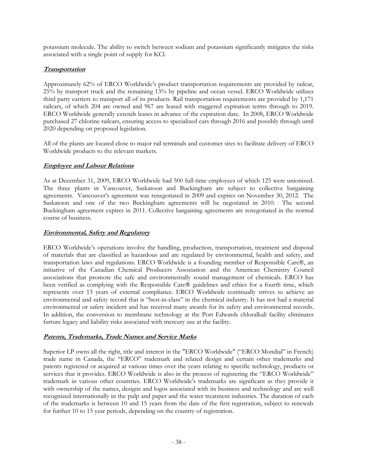potassium molecule. The ability to switch between sodium and potassium significantly mitigates the risks associated with a single point of supply for KCl.

## **Transportation**

Approximately 62% of ERCO Worldwide's product transportation requirements are provided by railcar, 25% by transport truck and the remaining 13% by pipeline and ocean vessel. ERCO Worldwide utilizes third party carriers to transport all of its products. Rail transportation requirements are provided by 1,171 railcars, of which 204 are owned and 967 are leased with staggered expiration terms through to 2019. ERCO Worldwide generally extends leases in advance of the expiration date. In 2008, ERCO Worldwide purchased 27 chlorine railcars, ensuring access to specialized cars through 2016 and possibly through until 2020 depending on proposed legislation.

All of the plants are located close to major rail terminals and customer sites to facilitate delivery of ERCO Worldwide products to the relevant markets.

## **Employee and Labour Relations**

As at December 31, 2009, ERCO Worldwide had 500 full-time employees of which 125 were unionized. The three plants in Vancouver, Saskatoon and Buckingham are subject to collective bargaining agreements. Vancouver's agreement was renegotiated in 2009 and expires on November 30, 2012. The Saskatoon and one of the two Buckingham agreements will be negotiated in 2010. The second Buckingham agreement expires in 2011. Collective bargaining agreements are renegotiated in the normal course of business.

## **Environmental, Safety and Regulatory**

ERCO Worldwide's operations involve the handling, production, transportation, treatment and disposal of materials that are classified as hazardous and are regulated by environmental, health and safety, and transportation laws and regulations. ERCO Worldwide is a founding member of Responsible Care®, an initiative of the Canadian Chemical Producers Association and the American Chemistry Council associations that promote the safe and environmentally sound management of chemicals. ERCO has been verified as complying with the Responsible Care® guidelines and ethics for a fourth time, which represents over 13 years of external compliance. ERCO Worldwide continually strives to achieve an environmental and safety record that is "best-in-class" in the chemical industry. It has not had a material environmental or safety incident and has received many awards for its safety and environmental records. In addition, the conversion to membrane technology at the Port Edwards chloralkali facility eliminates furture legacy and liability risks associated with mercury use at the facility.

## **Patents, Trademarks, Trade Names and Service Marks**

Superior LP owns all the right, title and interest in the "ERCO Worldwide" ("ERCO Mondial" in French) trade name in Canada, the "ERCO" trademark and related design and certain other trademarks and patents registered or acquired at various times over the years relating to specific technology, products or services that it provides. ERCO Worldwide is also in the process of registering the "ERCO Worldwide" trademark in various other countries. ERCO Worldwide's trademarks are significant as they provide it with ownership of the names, designs and logos associated with its business and technology and are well recognized internationally in the pulp and paper and the water treatment industries. The duration of each of the trademarks is between 10 and 15 years from the date of the first registration, subject to renewals for further 10 to 15 year periods, depending on the country of registration.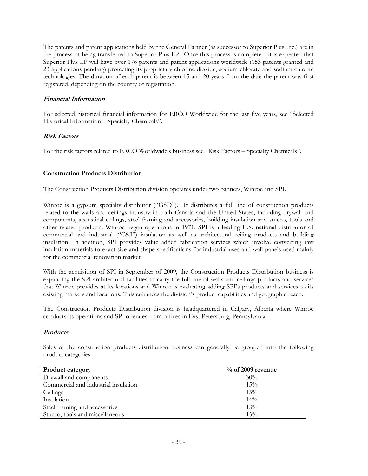The patents and patent applications held by the General Partner (as successor to Superior Plus Inc.) are in the process of being transferred to Superior Plus LP. Once this process is completed, it is expected that Superior Plus LP will have over 176 patents and patent applications worldwide (153 patents granted and 23 applications pending) protecting its proprietary chlorine dioxide, sodium chlorate and sodium chlorite technologies. The duration of each patent is between 15 and 20 years from the date the patent was first registered, depending on the country of registration.

## **Financial Information**

For selected historical financial information for ERCO Worldwide for the last five years, see "Selected Historical Information – Specialty Chemicals".

## **Risk Factors**

For the risk factors related to ERCO Worldwide's business see "Risk Factors – Specialty Chemicals".

## **Construction Products Distribution**

The Construction Products Distribution division operates under two banners, Winroc and SPI.

Winroc is a gypsum specialty distributor ("GSD"). It distributes a full line of construction products related to the walls and ceilings industry in both Canada and the United States, including drywall and components, acoustical ceilings, steel framing and accessories, building insulation and stucco, tools and other related products. Winroc began operations in 1971. SPI is a leading U.S. national distributor of commercial and industrial ("C&I") insulation as well as architectural ceiling products and building insulation. In addition, SPI provides value added fabrication services which involve converting raw insulation materials to exact size and shape specifications for industrial uses and wall panels used mainly for the commercial renovation market.

With the acquisition of SPI in September of 2009, the Construction Products Distribution business is expanding the SPI architectural facilities to carry the full line of walls and ceilings products and services that Winroc provides at its locations and Winroc is evaluating adding SPI's products and services to its existing markets and locations. This enhances the division's product capabilities and geographic reach.

The Construction Products Distribution division is headquartered in Calgary, Alberta where Winroc conducts its operations and SPI operates from offices in East Petersburg, Pennsylvania.

## **Products**

Sales of the construction products distribution business can generally be grouped into the following product categories:

| <b>Product category</b>              | $\%$ of 2009 revenue |
|--------------------------------------|----------------------|
| Drywall and components               | 30%                  |
| Commercial and industrial insulation | 15%                  |
| Ceilings                             | 15%                  |
| Insulation                           | 14%                  |
| Steel framing and accessories        | 13%                  |
| Stucco, tools and miscellaneous      | 13%                  |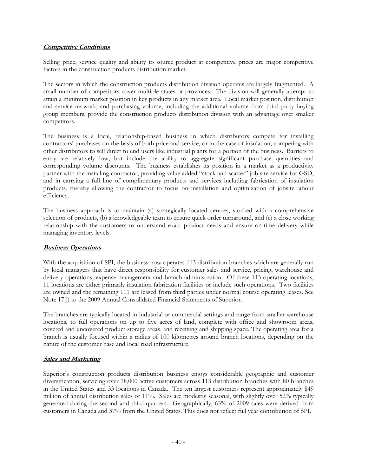## **Competitive Conditions**

Selling price, service quality and ability to source product at competitive prices are major competitive factors in the construction products distribution market.

The sectors in which the construction products distribution division operates are largely fragmented. A small number of competitors cover multiple states or provinces. The division will generally attempt to attain a minimum market position in key products in any market area. Local market position, distribution and service network, and purchasing volume, including the additional volume from third party buying group members, provide the construction products distribution division with an advantage over smaller competitors.

The business is a local, relationship-based business in which distributors compete for installing contractors' purchases on the basis of both price and service, or in the case of insulation, competing with other distributors to sell direct to end users like industrial plants for a portion of the business. Barriers to entry are relatively low, but include the ability to aggregate significant purchase quantities and corresponding volume discounts. The business establishes its position in a market as a productivity partner with the installing contractor, providing value added "stock and scatter" job site service for GSD, and in carrying a full line of complimentary products and services including fabrication of insulation products, thereby allowing the contractor to focus on installation and optimization of jobsite labour efficiency.

The business approach is to maintain (a) strategically located centres, stocked with a comprehensive selection of products, (b) a knowledgeable team to ensure quick order turnaround, and (c) a close working relationship with the customers to understand exact product needs and ensure on-time delivery while managing inventory levels.

## **Business Operations**

With the acquisition of SPI, the business now operates 113 distribution branches which are generally run by local managers that have direct responsibility for customer sales and service, pricing, warehouse and delivery operations, expense management and branch administration. Of these 113 operating locations, 11 locations are either primarily insulation fabrication facilities or include such operations. Two facilities are owned and the remaining 111 are leased from third parties under normal course operating leases. See Note 17(i) to the 2009 Annual Consolidated Financial Statements of Superior.

The branches are typically located in industrial or commercial settings and range from smaller warehouse locations, to full operations on up to five acres of land, complete with office and showroom areas, covered and uncovered product storage areas, and receiving and shipping space. The operating area for a branch is usually focused within a radius of 100 kilometres around branch locations, depending on the nature of the customer base and local road infrastructure.

## **Sales and Marketing**

Superior's construction products distribution business enjoys considerable geographic and customer diversification, servicing over 18,000 active customers across 113 distribution branches with 80 branches in the United States and 33 locations in Canada. The ten largest customers represent approximately \$49 million of annual distribution sales or 11%. Sales are modestly seasonal, with slightly over 52% typically generated during the second and third quarters. Geographically, 63% of 2009 sales were derived from customers in Canada and 37% from the United States. This does not reflect full year contribution of SPI.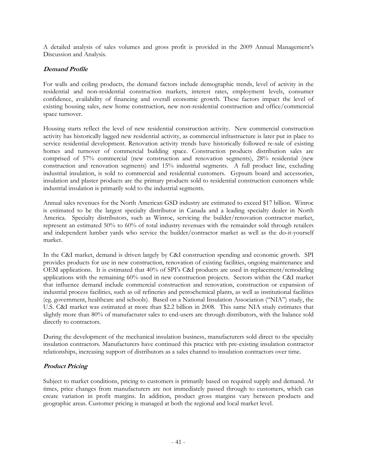A detailed analysis of sales volumes and gross profit is provided in the 2009 Annual Management's Discussion and Analysis.

## **Demand Profile**

For walls and ceiling products, the demand factors include demographic trends, level of activity in the residential and non-residential construction markets, interest rates, employment levels, consumer confidence, availability of financing and overall economic growth. These factors impact the level of existing housing sales, new home construction, new non-residential construction and office/commercial space turnover.

Housing starts reflect the level of new residential construction activity. New commercial construction activity has historically lagged new residential activity, as commercial infrastructure is later put in place to service residential development. Renovation activity trends have historically followed re-sale of existing homes and turnover of commercial building space. Construction products distribution sales are comprised of 57% commercial (new construction and renovation segments), 28% residential (new construction and renovation segments) and 15% industrial segments. A full product line, excluding industrial insulation, is sold to commercial and residential customers. Gypsum board and accessories, insulation and plaster products are the primary products sold to residential construction customers while industrial insulation is primarily sold to the industrial segments.

Annual sales revenues for the North American GSD industry are estimated to exceed \$17 billion. Winroc is estimated to be the largest specialty distributor in Canada and a leading specialty dealer in North America. Specialty distributors, such as Winroc, servicing the builder/renovation contractor market, represent an estimated 50% to 60% of total industry revenues with the remainder sold through retailers and independent lumber yards who service the builder/contractor market as well as the do-it-yourself market.

In the C&I market, demand is driven largely by C&I construction spending and economic growth. SPI provides products for use in new construction, renovation of existing facilities, ongoing maintenance and OEM applications. It is estimated that 40% of SPI's C&I products are used in replacement/remodeling applications with the remaining 60% used in new construction projects. Sectors within the C&I market that influence demand include commercial construction and renovation, construction or expansion of industrial process facilities, such as oil refineries and petrochemical plants, as well as institutional facilities (eg. government, healthcare and schools). Based on a National Insulation Association ("NIA") study, the U.S. C&I market was estimated at more than \$2.2 billion in 2008. This same NIA study estimates that slightly more than 80% of manufacturer sales to end-users are through distributors, with the balance sold directly to contractors.

During the development of the mechanical insulation business, manufacturers sold direct to the specialty insulation contractors. Manufacturers have continued this practice with pre-existing insulation contractor relationships, increasing support of distributors as a sales channel to insulation contractors over time.

## **Product Pricing**

Subject to market conditions, pricing to customers is primarily based on required supply and demand. At times, price changes from manufacturers are not immediately passed through to customers, which can create variation in profit margins. In addition, product gross margins vary between products and geographic areas. Customer pricing is managed at both the regional and local market level.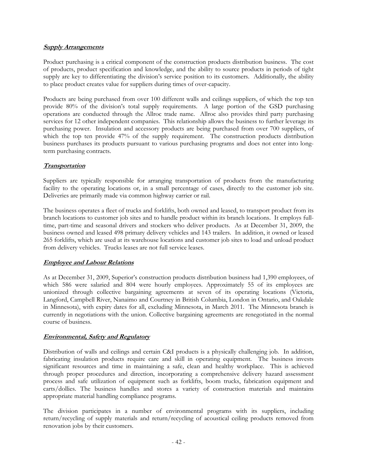### **Supply Arrangements**

Product purchasing is a critical component of the construction products distribution business. The cost of products, product specification and knowledge, and the ability to source products in periods of tight supply are key to differentiating the division's service position to its customers. Additionally, the ability to place product creates value for suppliers during times of over-capacity.

Products are being purchased from over 100 different walls and ceilings suppliers, of which the top ten provide 80% of the division's total supply requirements. A large portion of the GSD purchasing operations are conducted through the Allroc trade name. Allroc also provides third party purchasing services for 12 other independent companies. This relationship allows the business to further leverage its purchasing power. Insulation and accessory products are being purchased from over 700 suppliers, of which the top ten provide 47% of the supply requirement. The construction products distribution business purchases its products pursuant to various purchasing programs and does not enter into longterm purchasing contracts.

## **Transportation**

Suppliers are typically responsible for arranging transportation of products from the manufacturing facility to the operating locations or, in a small percentage of cases, directly to the customer job site. Deliveries are primarily made via common highway carrier or rail.

The business operates a fleet of trucks and forklifts, both owned and leased, to transport product from its branch locations to customer job sites and to handle product within its branch locations. It employs fulltime, part-time and seasonal drivers and stockers who deliver products. As at December 31, 2009, the business owned and leased 498 primary delivery vehicles and 143 trailers. In addition, it owned or leased 265 forklifts, which are used at its warehouse locations and customer job sites to load and unload product from delivery vehicles. Trucks leases are not full service leases.

## **Employee and Labour Relations**

As at December 31, 2009, Superior's construction products distribution business had 1,390 employees, of which 586 were salaried and 804 were hourly employees. Approximately 55 of its employees are unionized through collective bargaining agreements at seven of its operating locations (Victoria, Langford, Campbell River, Nanaimo and Courtney in British Columbia, London in Ontario, and Oakdale in Minnesota), with expiry dates for all, excluding Minnesota, in March 2011. The Minnesota branch is currently in negotiations with the union. Collective bargaining agreements are renegotiated in the normal course of business.

## **Environmental, Safety and Regulatory**

Distribution of walls and ceilings and certain C&I products is a physically challenging job. In addition, fabricating insulation products require care and skill in operating equipment. The business invests significant resources and time in maintaining a safe, clean and healthy workplace. This is achieved through proper procedures and direction, incorporating a comprehensive delivery hazard assessment process and safe utilization of equipment such as forklifts, boom trucks, fabrication equipment and carts/dollies. The business handles and stores a variety of construction materials and maintains appropriate material handling compliance programs.

The division participates in a number of environmental programs with its suppliers, including return/recycling of supply materials and return/recycling of acoustical ceiling products removed from renovation jobs by their customers.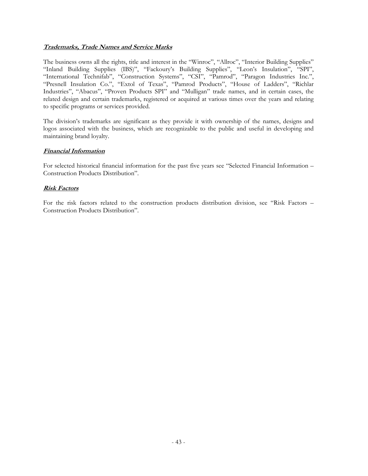## **Trademarks, Trade Names and Service Marks**

The business owns all the rights, title and interest in the "Winroc", "Allroc", "Interior Building Supplies" "Inland Building Supplies (IBS)", "Fackoury's Building Supplies", "Leon's Insulation", "SPI", "International Technifab", "Construction Systems", "CSI", "Pamrod", "Paragon Industries Inc.", "Presnell Insulation Co.", "Extol of Texas", "Pamrod Products", "House of Ladders", "Richlar Industries", "Abacus", "Proven Products SPI" and "Mulligan" trade names, and in certain cases, the related design and certain trademarks, registered or acquired at various times over the years and relating to specific programs or services provided.

The division's trademarks are significant as they provide it with ownership of the names, designs and logos associated with the business, which are recognizable to the public and useful in developing and maintaining brand loyalty.

## **Financial Information**

For selected historical financial information for the past five years see "Selected Financial Information – Construction Products Distribution".

## **Risk Factors**

For the risk factors related to the construction products distribution division, see "Risk Factors – Construction Products Distribution".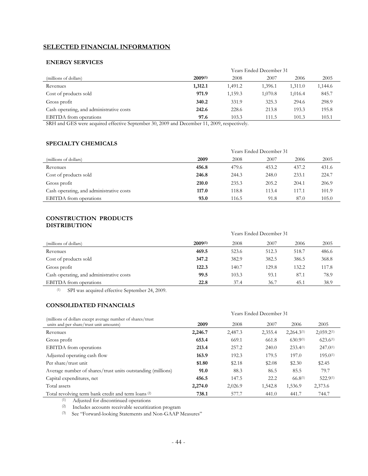## **SELECTED FINANCIAL INFORMATION**

#### **ENERGY SERVICES**

|                                                                                                                    | Years Ended December 31 |         |         |         |         |  |
|--------------------------------------------------------------------------------------------------------------------|-------------------------|---------|---------|---------|---------|--|
| (millions of dollars)                                                                                              | $2009^{(1)}$            | 2008    | 2007    | 2006    | 2005    |  |
| Revenues                                                                                                           | 1,312.1                 | 1,491.2 | 1,396.1 | 1.311.0 | 1,144.6 |  |
| Cost of products sold                                                                                              | 971.9                   | 1,159.3 | 1,070.8 | 1,016.4 | 845.7   |  |
| Gross profit                                                                                                       | 340.2                   | 331.9   | 325.3   | 294.6   | 298.9   |  |
| Cash operating, and administrative costs                                                                           | 242.6                   | 228.6   | 213.8   | 193.3   | 195.8   |  |
| <b>EBITDA</b> from operations                                                                                      | 97.6                    | 103.3   | 111.5   | 101.3   | 103.1   |  |
| $1 \quad C \quad \cdots$<br>20.200<br>$\alpha$ $\beta$ $\gamma$ $\gamma$<br>$1 \cap T$<br>$\sim$<br>1 <sub>1</sub> | 44.000                  |         |         |         |         |  |

SRH and GES were acquired effective September 30, 2009 and December 11, 2009, respectively.

## **SPECIALTY CHEMICALS**

|                                          | Years Ended December 31 |       |       |       |       |
|------------------------------------------|-------------------------|-------|-------|-------|-------|
| (millions of dollars)                    | 2009                    | 2008  | 2007  | 2006  | 2005  |
| Revenues                                 | 456.8                   | 479.6 | 453.2 | 437.2 | 431.6 |
| Cost of products sold                    | 246.8                   | 244.3 | 248.0 | 233.1 | 224.7 |
| Gross profit                             | 210.0                   | 235.3 | 205.2 | 204.1 | 206.9 |
| Cash operating, and administrative costs | 117.0                   | 118.8 | 113.4 | 117.1 | 101.9 |
| <b>EBITDA</b> from operations            | 93.0                    | 116.5 | 91.8  | 87.0  | 105.0 |

#### **CONSTRUCTION PRODUCTS DISTRIBUTION**

|                                          | <b>Years Ended December 31</b> |       |       |       |       |
|------------------------------------------|--------------------------------|-------|-------|-------|-------|
| (millions of dollars)                    | $2009^{(1)}$                   | 2008  | 2007  | 2006  | 2005  |
| Revenues                                 | 469.5                          | 523.6 | 512.3 | 518.7 | 486.6 |
| Cost of products sold                    | 347.2                          | 382.9 | 382.5 | 386.5 | 368.8 |
| Gross profit                             | 122.3                          | 140.7 | 129.8 | 132.2 | 117.8 |
| Cash operating, and administrative costs | 99.5                           | 103.3 | 93.1  | 87.1  | 78.9  |
| <b>EBITDA</b> from operations            | 22.8                           | 37.4  | 36.7  | 45.1  | 38.9  |

(1) SPI was acquired effective September 24, 2009.

### **CONSOLIDATED FINANCIALS**

| <b>Years Ended December 31</b> |         |         |                 |                        |
|--------------------------------|---------|---------|-----------------|------------------------|
| 2009                           | 2008    | 2007    | 2006            | 2005                   |
| 2,246.7                        | 2,487.3 | 2,355.4 | $2,264.3^{(1)}$ | 2,059.2 <sup>(1)</sup> |
| 653.4                          | 669.1   | 661.8   | $630.9^{(1)}$   | $623.6^{(1)}$          |
| 213.4                          | 257.2   | 240.0   | $233.4^{(1)}$   | $247.0^{(1)}$          |
| 163.9                          | 192.3   | 179.5   | 197.0           | $195.0^{(1)}$          |
| \$1.80                         | \$2.18  | \$2.08  | \$2.30          | \$2.45                 |
| 91.0                           | 88.3    | 86.5    | 85.5            | 79.7                   |
| 456.5                          | 147.5   | 22.2    | $66.8^{(1)}$    | 522.9(1)               |
| 2,274.0                        | 2,026.9 | 1,542.8 | 1,536.9         | 2,373.6                |
| 738.1                          | 577.7   | 441.0   | 441.7           | 744.7                  |
|                                |         |         |                 |                        |

(1) Adjusted for discontinued operations

(2) Includes accounts receivable securitization program

(3) See "Forward-looking Statements and Non-GAAP Measures"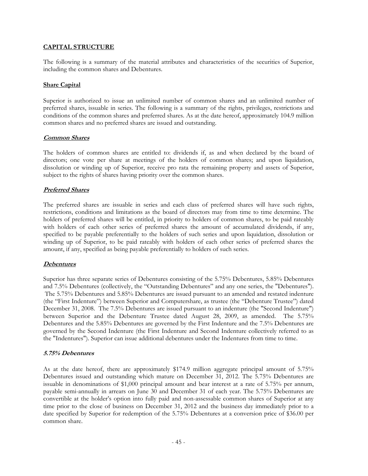### **CAPITAL STRUCTURE**

The following is a summary of the material attributes and characteristics of the securities of Superior, including the common shares and Debentures.

#### **Share Capital**

Superior is authorized to issue an unlimited number of common shares and an unlimited number of preferred shares, issuable in series. The following is a summary of the rights, privileges, restrictions and conditions of the common shares and preferred shares. As at the date hereof, approximately 104.9 million common shares and no preferred shares are issued and outstanding.

#### **Common Shares**

The holders of common shares are entitled to: dividends if, as and when declared by the board of directors; one vote per share at meetings of the holders of common shares; and upon liquidation, dissolution or winding up of Superior, receive pro rata the remaining property and assets of Superior, subject to the rights of shares having priority over the common shares.

## **Preferred Shares**

The preferred shares are issuable in series and each class of preferred shares will have such rights, restrictions, conditions and limitations as the board of directors may from time to time determine. The holders of preferred shares will be entitled, in priority to holders of common shares, to be paid rateably with holders of each other series of preferred shares the amount of accumulated dividends, if any, specified to be payable preferentially to the holders of such series and upon liquidation, dissolution or winding up of Superior, to be paid rateably with holders of each other series of preferred shares the amount, if any, specified as being payable preferentially to holders of such series.

## **Debentures**

Superior has three separate series of Debentures consisting of the 5.75% Debentures, 5.85% Debentures and 7.5% Debentures (collectively, the "Outstanding Debentures" and any one series, the "Debentures"). The 5.75% Debentures and 5.85% Debentures are issued pursuant to an amended and restated indenture (the "First Indenture") between Superior and Computershare, as trustee (the "Debenture Trustee") dated December 31, 2008. The 7.5% Debentures are issued pursuant to an indenture (the "Second Indenture") between Superior and the Debenture Trustee dated August 28, 2009, as amended. The 5.75% Debentures and the 5.85% Debentures are governed by the First Indenture and the 7.5% Debentures are governed by the Second Indenture (the First Indenture and Second Indenture collectively referred to as the "Indentures"). Superior can issue additional debentures under the Indentures from time to time.

#### **5.75% Debentures**

As at the date hereof, there are approximately \$174.9 million aggregate principal amount of 5.75% Debentures issued and outstanding which mature on December 31, 2012. The 5.75% Debentures are issuable in denominations of \$1,000 principal amount and bear interest at a rate of 5.75% per annum, payable semi-annually in arrears on June 30 and December 31 of each year. The 5.75% Debentures are convertible at the holder's option into fully paid and non-assessable common shares of Superior at any time prior to the close of business on December 31, 2012 and the business day immediately prior to a date specified by Superior for redemption of the 5.75% Debentures at a conversion price of \$36.00 per common share.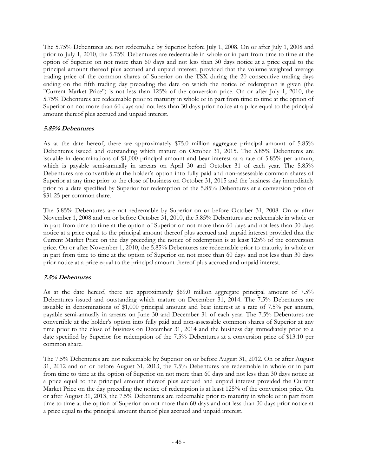The 5.75% Debentures are not redeemable by Superior before July 1, 2008. On or after July 1, 2008 and prior to July 1, 2010, the 5.75% Debentures are redeemable in whole or in part from time to time at the option of Superior on not more than 60 days and not less than 30 days notice at a price equal to the principal amount thereof plus accrued and unpaid interest, provided that the volume weighted average trading price of the common shares of Superior on the TSX during the 20 consecutive trading days ending on the fifth trading day preceding the date on which the notice of redemption is given (the "Current Market Price") is not less than 125% of the conversion price. On or after July 1, 2010, the 5.75% Debentures are redeemable prior to maturity in whole or in part from time to time at the option of Superior on not more than 60 days and not less than 30 days prior notice at a price equal to the principal amount thereof plus accrued and unpaid interest.

## **5.85% Debentures**

As at the date hereof, there are approximately \$75.0 million aggregate principal amount of 5.85% Debentures issued and outstanding which mature on October 31, 2015. The 5.85% Debentures are issuable in denominations of \$1,000 principal amount and bear interest at a rate of 5.85% per annum, which is payable semi-annually in arrears on April 30 and October 31 of each year. The 5.85% Debentures are convertible at the holder's option into fully paid and non-assessable common shares of Superior at any time prior to the close of business on October 31, 2015 and the business day immediately prior to a date specified by Superior for redemption of the 5.85% Debentures at a conversion price of \$31.25 per common share.

The 5.85% Debentures are not redeemable by Superior on or before October 31, 2008. On or after November 1, 2008 and on or before October 31, 2010, the 5.85% Debentures are redeemable in whole or in part from time to time at the option of Superior on not more than 60 days and not less than 30 days notice at a price equal to the principal amount thereof plus accrued and unpaid interest provided that the Current Market Price on the day preceding the notice of redemption is at least 125% of the conversion price. On or after November 1, 2010, the 5.85% Debentures are redeemable prior to maturity in whole or in part from time to time at the option of Superior on not more than 60 days and not less than 30 days prior notice at a price equal to the principal amount thereof plus accrued and unpaid interest.

## **7.5% Debentures**

As at the date hereof, there are approximately \$69.0 million aggregate principal amount of 7.5% Debentures issued and outstanding which mature on December 31, 2014. The 7.5% Debentures are issuable in denominations of \$1,000 principal amount and bear interest at a rate of 7.5% per annum, payable semi-annually in arrears on June 30 and December 31 of each year. The 7.5% Debentures are convertible at the holder's option into fully paid and non-assessable common shares of Superior at any time prior to the close of business on December 31, 2014 and the business day immediately prior to a date specified by Superior for redemption of the 7.5% Debentures at a conversion price of \$13.10 per common share.

The 7.5% Debentures are not redeemable by Superior on or before August 31, 2012. On or after August 31, 2012 and on or before August 31, 2013, the 7.5% Debentures are redeemable in whole or in part from time to time at the option of Superior on not more than 60 days and not less than 30 days notice at a price equal to the principal amount thereof plus accrued and unpaid interest provided the Current Market Price on the day preceding the notice of redemption is at least 125% of the conversion price. On or after August 31, 2013, the 7.5% Debentures are redeemable prior to maturity in whole or in part from time to time at the option of Superior on not more than 60 days and not less than 30 days prior notice at a price equal to the principal amount thereof plus accrued and unpaid interest.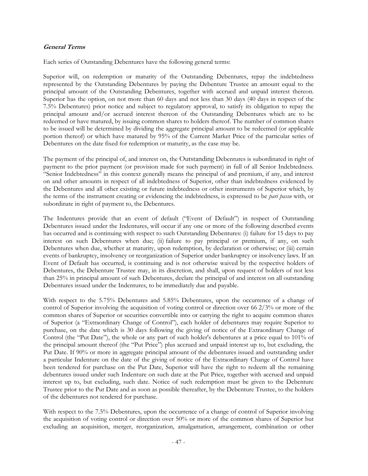#### **General Terms**

Each series of Outstanding Debentures have the following general terms:

Superior will, on redemption or maturity of the Outstanding Debentures, repay the indebtedness represented by the Outstanding Debentures by paying the Debenture Trustee an amount equal to the principal amount of the Outstanding Debentures, together with accrued and unpaid interest thereon. Superior has the option, on not more than 60 days and not less than 30 days (40 days in respect of the 7.5% Debentures) prior notice and subject to regulatory approval, to satisfy its obligation to repay the principal amount and/or accrued interest thereon of the Outstanding Debentures which are to be redeemed or have matured, by issuing common shares to holders thereof. The number of common shares to be issued will be determined by dividing the aggregate principal amount to be redeemed (or applicable portion thereof) or which have matured by 95% of the Current Market Price of the particular series of Debentures on the date fixed for redemption or maturity, as the case may be.

The payment of the principal of, and interest on, the Outstanding Debentures is subordinated in right of payment to the prior payment (or provision made for such payment) in full of all Senior Indebtedness. "Senior Indebtedness" in this context generally means the principal of and premium, if any, and interest on and other amounts in respect of all indebtedness of Superior, other than indebtedness evidenced by the Debentures and all other existing or future indebtedness or other instruments of Superior which, by the terms of the instrument creating or evidencing the indebtedness, is expressed to be *pari passu* with, or subordinate in right of payment to, the Debentures.

The Indentures provide that an event of default ("Event of Default") in respect of Outstanding Debentures issued under the Indentures, will occur if any one or more of the following described events has occurred and is continuing with respect to such Outstanding Debentures: (i) failure for 15 days to pay interest on such Debentures when due; (ii) failure to pay principal or premium, if any, on such Debentures when due, whether at maturity, upon redemption, by declaration or otherwise; or (iii) certain events of bankruptcy, insolvency or reorganization of Superior under bankruptcy or insolvency laws. If an Event of Default has occurred, is continuing and is not otherwise waived by the respective holders of Debentures, the Debenture Trustee may, in its discretion, and shall, upon request of holders of not less than 25% in principal amount of such Debentures, declare the principal of and interest on all outstanding Debentures issued under the Indentures, to be immediately due and payable.

With respect to the 5.75% Debentures and 5.85% Debentures, upon the occurrence of a change of control of Superior involving the acquisition of voting control or direction over 66 2/3% or more of the common shares of Superior or securities convertible into or carrying the right to acquire common shares of Superior (a "Extraordinary Change of Control"), each holder of debentures may require Superior to purchase, on the date which is 30 days following the giving of notice of the Extraordinary Change of Control (the "Put Date"), the whole or any part of such holder's debentures at a price equal to 101% of the principal amount thereof (the "Put Price") plus accrued and unpaid interest up to, but excluding, the Put Date. If 90% or more in aggregate principal amount of the debentures issued and outstanding under a particular Indenture on the date of the giving of notice of the Extraordinary Change of Control have been tendered for purchase on the Put Date, Superior will have the right to redeem all the remaining debentures issued under such Indenture on such date at the Put Price, together with accrued and unpaid interest up to, but excluding, such date. Notice of such redemption must be given to the Debenture Trustee prior to the Put Date and as soon as possible thereafter, by the Debenture Trustee, to the holders of the debentures not tendered for purchase.

With respect to the 7.5% Debentures, upon the occurrence of a change of control of Superior involving the acquisition of voting control or direction over 50% or more of the common shares of Superior but excluding an acquisition, merger, reorganization, amalgamation, arrangement, combination or other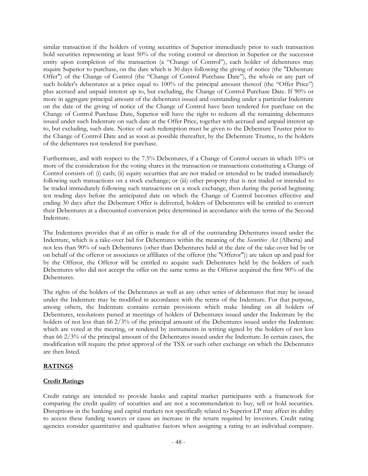similar transaction if the holders of voting securities of Superior immediately prior to such transaction hold securities representing at least 50% of the voting control or direction in Superior or the successor entity upon completion of the transaction (a "Change of Control"), each holder of debentures may require Superior to purchase, on the date which is 30 days following the giving of notice (the "Debenture Offer") of the Change of Control (the "Change of Control Purchase Date"), the whole or any part of such holder's debentures at a price equal to 100% of the principal amount thereof (the "Offer Price") plus accrued and unpaid interest up to, but excluding, the Change of Control Purchase Date. If 90% or more in aggregate principal amount of the debentures issued and outstanding under a particular Indenture on the date of the giving of notice of the Change of Control have been tendered for purchase on the Change of Control Purchase Date, Superior will have the right to redeem all the remaining debentures issued under such Indenture on such date at the Offer Price, together with accrued and unpaid interest up to, but excluding, such date. Notice of such redemption must be given to the Debenture Trustee prior to the Change of Control Date and as soon as possible thereafter, by the Debenture Trustee, to the holders of the debentures not tendered for purchase.

Furthermore, and with respect to the 7.5% Debentures, if a Change of Control occurs in which 10% or more of the consideration for the voting shares in the transaction or transactions constituting a Change of Control consists of: (i) cash; (ii) equity securities that are not traded or intended to be traded immediately following such transactions on a stock exchange; or (iii) other property that is not traded or intended to be traded immediately following such transactions on a stock exchange, then during the period beginning ten trading days before the anticipated date on which the Change of Control becomes effective and ending 30 days after the Debenture Offer is delivered, holders of Debentures will be entitled to convert their Debentures at a discounted conversion price determined in accordance with the terms of the Second Indenture.

The Indentures provides that if an offer is made for all of the outstanding Debentures issued under the Indenture, which is a take-over bid for Debentures within the meaning of the *Securities Act* (Alberta) and not less than 90% of such Debentures (other than Debentures held at the date of the take-over bid by or on behalf of the offeror or associates or affiliates of the offeror (the "Offeror")) are taken up and paid for by the Offeror, the Offeror will be entitled to acquire such Debentures held by the holders of such Debentures who did not accept the offer on the same terms as the Offeror acquired the first 90% of the Debentures.

The rights of the holders of the Debentures as well as any other series of debentures that may be issued under the Indenture may be modified in accordance with the terms of the Indenture. For that purpose, among others, the Indenture contains certain provisions which make binding on all holders of Debentures, resolutions passed at meetings of holders of Debentures issued under the Indenture by the holders of not less than 66 2/3% of the principal amount of the Debentures issued under the Indenture which are voted at the meeting, or rendered by instruments in writing signed by the holders of not less than 66 2/3% of the principal amount of the Debentures issued under the Indenture. In certain cases, the modification will require the prior approval of the TSX or such other exchange on which the Debentures are then listed.

## **RATINGS**

## **Credit Ratings**

Credit ratings are intended to provide banks and capital market participants with a framework for comparing the credit quality of securities and are not a recommendation to buy, sell or hold securities. Disruptions in the banking and capital markets not specifically related to Superior LP may affect its ability to access these funding sources or cause an increase in the return required by investors. Credit rating agencies consider quantitative and qualitative factors when assigning a rating to an individual company.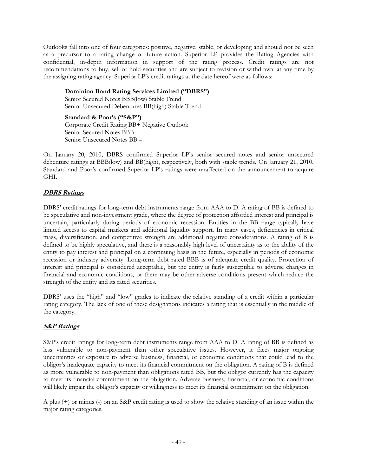Outlooks fall into one of four categories: positive, negative, stable, or developing and should not be seen as a precursor to a rating change or future action. Superior LP provides the Rating Agencies with confidential, in-depth information in support of the rating process. Credit ratings are not recommendations to buy, sell or hold securities and are subject to revision or withdrawal at any time by the assigning rating agency. Superior LP's credit ratings at the date hereof were as follows:

**Dominion Bond Rating Services Limited ("DBRS")**  Senior Secured Notes BBB(low) Stable Trend Senior Unsecured Debentures BB(high) Stable Trend

## **Standard & Poor's ("S&P")**

Corporate Credit Rating BB+ Negative Outlook Senior Secured Notes BBB – Senior Unsecured Notes BB –

On January 20, 2010, DBRS confirmed Superior LP's senior secured notes and senior unsecured debenture ratings at BBB(low) and BB(high), respectively, both with stable trends. On January 21, 2010, Standard and Poor's confirmed Superior LP's ratings were unaffected on the announcement to acquire GHI.

## **DBRS Ratings**

DBRS' credit ratings for long-term debt instruments range from AAA to D. A rating of BB is defined to be speculative and non-investment grade, where the degree of protection afforded interest and principal is uncertain, particularly during periods of economic recession. Entities in the BB range typically have limited access to capital markets and additional liquidity support. In many cases, deficiencies in critical mass, diversification, and competitive strength are additional negative considerations. A rating of B is defined to be highly speculative, and there is a reasonably high level of uncertainty as to the ability of the entity to pay interest and principal on a continuing basis in the future, especially in periods of economic recession or industry adversity. Long-term debt rated BBB is of adequate credit quality. Protection of interest and principal is considered acceptable, but the entity is fairly susceptible to adverse changes in financial and economic conditions, or there may be other adverse conditions present which reduce the strength of the entity and its rated securities.

DBRS' uses the "high" and "low" grades to indicate the relative standing of a credit within a particular rating category. The lack of one of these designations indicates a rating that is essentially in the middle of the category.

## **S&P Ratings**

S&P's credit ratings for long-term debt instruments range from AAA to D. A rating of BB is defined as less vulnerable to non-payment than other speculative issues. However, it faces major ongoing uncertainties or exposure to adverse business, financial, or economic conditions that could lead to the obligor's inadequate capacity to meet its financial commitment on the obligation. A rating of B is defined as more vulnerable to non-payment than obligations rated BB, but the obligor currently has the capacity to meet its financial commitment on the obligation. Adverse business, financial, or economic conditions will likely impair the obligor's capacity or willingness to meet its financial commitment on the obligation.

A plus (+) or minus (-) on an S&P credit rating is used to show the relative standing of an issue within the major rating categories.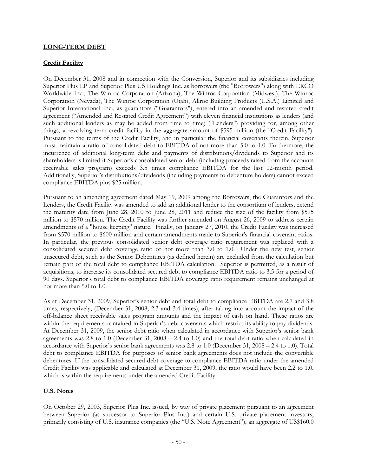## **LONG-TERM DEBT**

## **Credit Facility**

On December 31, 2008 and in connection with the Conversion, Superior and its subsidiaries including Superior Plus LP and Superior Plus US Holdings Inc. as borrowers (the "Borrowers") along with ERCO Worldwide Inc., The Winroc Corporation (Arizona), The Winroc Corporation (Midwest), The Winroc Corporation (Nevada), The Winroc Corporation (Utah), Allroc Building Products (U.S.A.) Limited and Superior International Inc., as guarantors ("Guarantors"), entered into an amended and restated credit agreement ("Amended and Restated Credit Agreement") with eleven financial institutions as lenders (and such additional lenders as may be added from time to time) ("Lenders") providing for, among other things, a revolving term credit facility in the aggregate amount of \$595 million (the "Credit Facility"). Pursuant to the terms of the Credit Facility, and in particular the financial covenants therein, Superior must maintain a ratio of consolidated debt to EBITDA of not more than 5.0 to 1.0. Furthermore, the incurrence of additional long-term debt and payments of distributions/dividends to Superior and its shareholders is limited if Superior's consolidated senior debt (including proceeds raised from the accounts receivable sales program) exceeds 3.5 times compliance EBITDA for the last 12-month period. Additionally, Superior's distributions/dividends (including payments to debenture holders) cannot exceed compliance EBITDA plus \$25 million.

Pursuant to an amending agreement dated May 19, 2009 among the Borrowers, the Guarantors and the Lenders, the Credit Facility was amended to add an additional lender to the consortium of lenders, extend the maturity date from June 28, 2010 to June 28, 2011 and reduce the size of the facility from \$595 million to \$570 million. The Credit Facility was further amended on August 26, 2009 to address certain amendments of a "house keeping" nature. Finally, on January 27, 2010, the Credit Facility was increased from \$570 million to \$600 million and certain amendments made to Superior's financial covenant ratios. In particular, the previous consolidated senior debt coverage ratio requirement was replaced with a consolidated secured debt coverage ratio of not more than 3.0 to 1.0. Under the new test, senior unsecured debt, such as the Senior Debentures (as defined herein) are excluded from the calculation but remain part of the total debt to compliance EBITDA calculation. Superior is permitted, as a result of acquisitions, to increase its consolidated secured debt to compliance EBITDA ratio to 3.5 for a period of 90 days. Superior's total debt to compliance EBITDA coverage ratio requirement remains unchanged at not more than 5.0 to 1.0.

As at December 31, 2009, Superior's senior debt and total debt to compliance EBITDA are 2.7 and 3.8 times, respectively, (December 31, 2008, 2.3 and 3.4 times), after taking into account the impact of the off-balance sheet receivable sales program amounts and the impact of cash on hand. These ratios are within the requirements contained in Superior's debt covenants which restrict its ability to pay dividends. At December 31, 2009, the senior debt ratio when calculated in accordance with Superior's senior bank agreements was 2.8 to 1.0 (December 31, 2008 – 2.4 to 1.0) and the total debt ratio when calculated in accordance with Superior's senior bank agreements was 2.8 to 1.0 (December 31, 2008 – 2.4 to 1.0). Total debt to compliance EBITDA for purposes of senior bank agreements does not include the convertible debentures. If the consolidated secured debt coverage to compliance EBITDA ratio under the amended Credit Facility was applicable and calculated at December 31, 2009, the ratio would have been 2.2 to 1.0, which is within the requirements under the amended Credit Facility.

#### **U.S. Notes**

On October 29, 2003, Superior Plus Inc. issued, by way of private placement pursuant to an agreement between Superior (as successor to Superior Plus Inc.) and certain U.S. private placement investors, primarily consisting of U.S. insurance companies (the "U.S. Note Agreement"), an aggregate of US\$160.0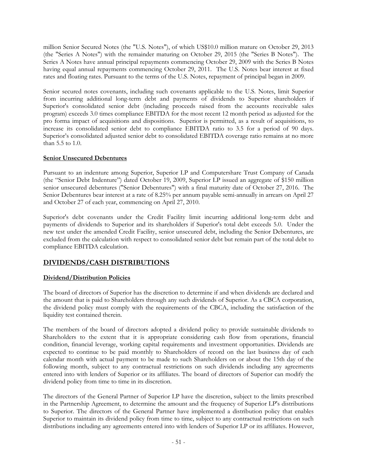million Senior Secured Notes (the "U.S. Notes"), of which US\$10.0 million mature on October 29, 2013 (the "Series A Notes") with the remainder maturing on October 29, 2015 (the "Series B Notes"). The Series A Notes have annual principal repayments commencing October 29, 2009 with the Series B Notes having equal annual repayments commencing October 29, 2011. The U.S. Notes bear interest at fixed rates and floating rates. Pursuant to the terms of the U.S. Notes, repayment of principal began in 2009.

Senior secured notes covenants, including such covenants applicable to the U.S. Notes, limit Superior from incurring additional long-term debt and payments of dividends to Superior shareholders if Superior's consolidated senior debt (including proceeds raised from the accounts receivable sales program) exceeds 3.0 times compliance EBITDA for the most recent 12 month period as adjusted for the pro forma impact of acquisitions and dispositions. Superior is permitted, as a result of acquisitions, to increase its consolidated senior debt to compliance EBITDA ratio to 3.5 for a period of 90 days. Superior's consolidated adjusted senior debt to consolidated EBITDA coverage ratio remains at no more than 5.5 to 1.0.

## **Senior Unsecured Debentures**

Pursuant to an indenture among Superior, Superior LP and Computershare Trust Company of Canada (the "Senior Debt Indenture") dated October 19, 2009, Superior LP issued an aggregate of \$150 million senior unsecured debentures ("Senior Debentures") with a final maturity date of October 27, 2016. The Senior Debentures bear interest at a rate of 8.25% per annum payable semi-annually in arrears on April 27 and October 27 of each year, commencing on April 27, 2010.

Superior's debt covenants under the Credit Facility limit incurring additional long-term debt and payments of dividends to Superior and its shareholders if Superior's total debt exceeds 5.0. Under the new test under the amended Credit Facility, senior unsecured debt, including the Senior Debentures, are excluded from the calculation with respect to consolidated senior debt but remain part of the total debt to compliance EBITDA calculation.

# **DIVIDENDS/CASH DISTRIBUTIONS**

## **Dividend/Distribution Policies**

The board of directors of Superior has the discretion to determine if and when dividends are declared and the amount that is paid to Shareholders through any such dividends of Superior. As a CBCA corporation, the dividend policy must comply with the requirements of the CBCA, including the satisfaction of the liquidity test contained therein.

The members of the board of directors adopted a dividend policy to provide sustainable dividends to Shareholders to the extent that it is appropriate considering cash flow from operations, financial condition, financial leverage, working capital requirements and investment opportunities. Dividends are expected to continue to be paid monthly to Shareholders of record on the last business day of each calendar month with actual payment to be made to such Shareholders on or about the 15th day of the following month, subject to any contractual restrictions on such dividends including any agreements entered into with lenders of Superior or its affiliates. The board of directors of Superior can modify the dividend policy from time to time in its discretion.

The directors of the General Partner of Superior LP have the discretion, subject to the limits prescribed in the Partnership Agreement, to determine the amount and the frequency of Superior LP's distributions to Superior. The directors of the General Partner have implemented a distribution policy that enables Superior to maintain its dividend policy from time to time, subject to any contractual restrictions on such distributions including any agreements entered into with lenders of Superior LP or its affiliates. However,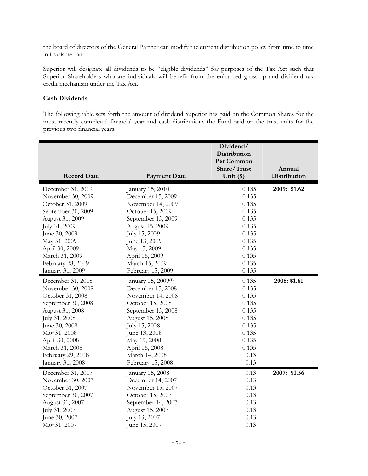the board of directors of the General Partner can modify the current distribution policy from time to time in its discretion.

Superior will designate all dividends to be "eligible dividends" for purposes of the Tax Act such that Superior Shareholders who are individuals will benefit from the enhanced gross-up and dividend tax credit mechanism under the Tax Act.

#### **Cash Dividends**

The following table sets forth the amount of dividend Superior has paid on the Common Shares for the most recently completed financial year and cash distributions the Fund paid on the trust units for the previous two financial years.

|                    |                                 | Dividend/<br>Distribution<br>Per Common<br>Share/Trust | Annual       |
|--------------------|---------------------------------|--------------------------------------------------------|--------------|
| <b>Record Date</b> | <b>Payment Date</b>             | Unit $(*)$                                             | Distribution |
| December 31, 2009  | January 15, 2010                | 0.135                                                  | 2009: \$1.62 |
| November 30, 2009  | December 15, 2009               | 0.135                                                  |              |
| October 31, 2009   | November 14, 2009               | 0.135                                                  |              |
| September 30, 2009 | October 15, 2009                | 0.135                                                  |              |
| August 31, 2009    | September 15, 2009              | 0.135                                                  |              |
| July 31, 2009      | August 15, 2009                 | 0.135                                                  |              |
| June 30, 2009      | July 15, 2009                   | 0.135                                                  |              |
| May 31, 2009       | June 13, 2009                   | 0.135                                                  |              |
| April 30, 2009     | May 15, 2009                    | 0.135                                                  |              |
| March 31, 2009     | April 15, 2009                  | 0.135                                                  |              |
| February 28, 2009  | March 15, 2009                  | 0.135                                                  |              |
| January 31, 2009   | February 15, 2009               | 0.135                                                  |              |
| December 31, 2008  | January 15, 2009 <sup>(1)</sup> | 0.135                                                  | 2008: \$1.61 |
| November 30, 2008  | December 15, 2008               | 0.135                                                  |              |
| October 31, 2008   | November 14, 2008               | 0.135                                                  |              |
| September 30, 2008 | October 15, 2008                | 0.135                                                  |              |
| August 31, 2008    | September 15, 2008              | 0.135                                                  |              |
| July 31, 2008      | August 15, 2008                 | 0.135                                                  |              |
| June 30, 2008      | July 15, 2008                   | 0.135                                                  |              |
| May 31, 2008       | June 13, 2008                   | 0.135                                                  |              |
| April 30, 2008     | May 15, 2008                    | 0.135                                                  |              |
| March 31, 2008     | April 15, 2008                  | 0.135                                                  |              |
| February 29, 2008  | March 14, 2008                  | 0.13                                                   |              |
| January 31, 2008   | February 15, 2008               | 0.13                                                   |              |
| December 31, 2007  | January 15, 2008                | 0.13                                                   | 2007: \$1.56 |
| November 30, 2007  | December 14, 2007               | 0.13                                                   |              |
| October 31, 2007   | November 15, 2007               | 0.13                                                   |              |
| September 30, 2007 | October 15, 2007                | 0.13                                                   |              |
| August 31, 2007    | September 14, 2007              | 0.13                                                   |              |
| July 31, 2007      | August 15, 2007                 | 0.13                                                   |              |
| June 30, 2007      | July 13, 2007                   | 0.13                                                   |              |
| May 31, 2007       | June 15, 2007                   | 0.13                                                   |              |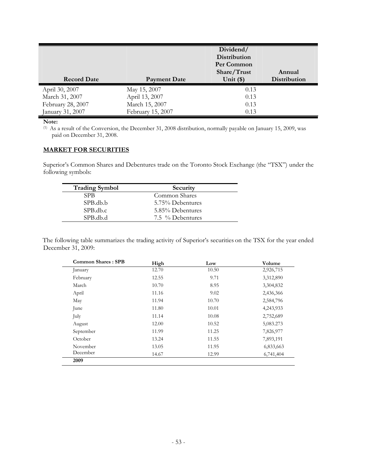|                    |                     | Dividend/<br><b>Distribution</b><br>Per Common<br>Share/Trust | Annual              |
|--------------------|---------------------|---------------------------------------------------------------|---------------------|
| <b>Record Date</b> | <b>Payment Date</b> | Unit $(*)$                                                    | <b>Distribution</b> |
| April 30, 2007     | May 15, 2007        | 0.13                                                          |                     |
| March 31, 2007     | April 13, 2007      | 0.13                                                          |                     |
| February 28, 2007  | March 15, 2007      | 0.13                                                          |                     |
| January 31, 2007   | February 15, 2007   | 0.13                                                          |                     |

#### **Note:**

(1) As a result of the Conversion, the December 31, 2008 distribution, normally payable on January 15, 2009, was paid on December 31, 2008.

#### **MARKET FOR SECURITIES**

Superior's Common Shares and Debentures trade on the Toronto Stock Exchange (the "TSX") under the following symbols:

| <b>Trading Symbol</b> | Security         |
|-----------------------|------------------|
| <b>SPB</b>            | Common Shares    |
| SPB.db.b              | 5.75% Debentures |
| SPB.db.c              | 5.85% Debentures |
| SPB.db.d              | 7.5 % Debentures |

The following table summarizes the trading activity of Superior's securities on the TSX for the year ended December 31, 2009:

| <b>Common Shares: SPB</b> | High  | Low   | Volume    |
|---------------------------|-------|-------|-----------|
| January                   | 12.70 | 10.50 | 2,926,715 |
| February                  | 12.55 | 9.71  | 3,312,890 |
| March                     | 10.70 | 8.95  | 3,304,832 |
| April                     | 11.16 | 9.02  | 2,436,366 |
| May                       | 11.94 | 10.70 | 2,584,796 |
| June                      | 11.80 | 10.01 | 4,243,933 |
| July                      | 11.14 | 10.08 | 2,752,689 |
| August                    | 12.00 | 10.52 | 5,083.273 |
| September                 | 11.99 | 11.25 | 7,826,977 |
| October                   | 13.24 | 11.55 | 7,893,191 |
| November                  | 13.05 | 11.95 | 6,833,663 |
| December                  | 14.67 | 12.99 | 6,741,404 |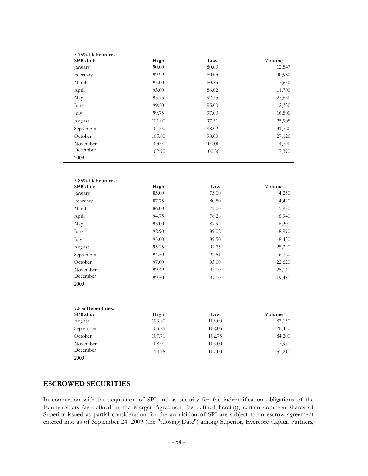| SPB.db.b  | High   | Low    | Volume |
|-----------|--------|--------|--------|
| January   | 90.00  | 80.00  | 12,547 |
| February  | 99.99  | 80.05  | 40,980 |
| March     | 95.00  | 80.55  | 7,650  |
| April     | 93.00  | 86.02  | 11,700 |
| May       | 95.75  | 92.15  | 27,630 |
| June      | 99.50  | 95.00  | 12,330 |
| July      | 99.75  | 97.00  | 16,500 |
| August    | 101.00 | 97.51  | 25,905 |
| September | 101.00 | 98.02  | 31,720 |
| October   | 105.00 | 98.00  | 27,120 |
| November  | 103.00 | 100.00 | 14,790 |
| December  | 102.90 | 100.50 | 17,390 |

| 5.85% Debentures: |       |       |        |
|-------------------|-------|-------|--------|
| SPB.db.c          | High  | Low   | Volume |
| January           | 85.00 | 75.00 | 4,250  |
| February          | 87.75 | 80.50 | 4,420  |
| March             | 86.00 | 77.00 | 5,980  |
| April             | 94.75 | 76.26 | 6,940  |
| May               | 93.00 | 87.99 | 6,300  |
| June              | 92.90 | 89.02 | 8,990  |
| July              | 95.00 | 89.50 | 8,430  |
| August            | 95.25 | 92.75 | 25,390 |
| September         | 94.50 | 92.51 | 16,720 |
| October           | 97.00 | 93.00 | 22,620 |
| November          | 99.49 | 95.00 | 25,140 |
| December          | 99.50 | 97.00 | 19,480 |
| 2009              |       |       |        |

| 7.5% Debentures:<br>SPB.db.d | High   | Low    | Volume  |
|------------------------------|--------|--------|---------|
| August                       | 103.80 | 103.00 | 87,150  |
| September                    | 103.75 | 102.06 | 120,450 |
| October                      | 107.71 | 102.75 | 84,200  |
| November                     | 108.00 | 105.00 | 7,970   |
| December                     | 114.75 | 107.00 | 51,210  |
| 2009                         |        |        |         |

# **ESCROWED SECURITIES**

In connection with the acquisition of SPI and as security for the indemnification obligations of the Equityholders (as defined in the Merger Agreement (as defined herein)), certain common shares of Superior issued as partial consideration for the acquisition of SPI are subject to an escrow agreement entered into as of September 24, 2009 (the "Closing Date") among Superior, Evercore Capital Partners,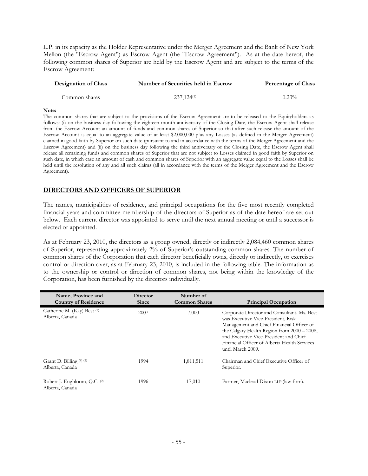L.P. in its capacity as the Holder Representative under the Merger Agreement and the Bank of New York Mellon (the "Escrow Agent") as Escrow Agent (the "Escrow Agreement"). As at the date hereof, the following common shares of Superior are held by the Escrow Agent and are subject to the terms of the Escrow Agreement:

| <b>Designation of Class</b> | Number of Securities held in Escrow | <b>Percentage of Class</b> |  |
|-----------------------------|-------------------------------------|----------------------------|--|
| Common shares               | $237.124^{(1)}$                     | $0.23\%$                   |  |

#### **Note:**

The common shares that are subject to the provisions of the Escrow Agreement are to be released to the Equityholders as follows: (i) on the business day following the eighteen month anniversary of the Closing Date, the Escrow Agent shall release from the Escrow Account an amount of funds and common shares of Superior so that after such release the amount of the Escrow Account is equal to an aggregate value of at least \$2,000,000 plus any Losses (as defined in the Merger Agreement) claimed in good faith by Superior on such date (pursuant to and in accordance with the terms of the Merger Agreement and the Escrow Agreement) and (ii) on the business day following the third anniversary of the Closing Date, the Escrow Agent shall release all remaining funds and common shares of Superior that are not subject to Losses claimed in good faith by Superior on such date, in which case an amount of cash and common shares of Superior with an aggregate value equal to the Losses shall be held until the resolution of any and all such claims (all in accordance with the terms of the Merger Agreement and the Escrow Agreement).

## **DIRECTORS AND OFFICERS OF SUPERIOR**

The names, municipalities of residence, and principal occupations for the five most recently completed financial years and committee membership of the directors of Superior as of the date hereof are set out below. Each current director was appointed to serve until the next annual meeting or until a successor is elected or appointed.

As at February 23, 2010, the directors as a group owned, directly or indirectly 2,084,460 common shares of Superior, representing approximately 2% of Superior's outstanding common shares. The number of common shares of the Corporation that each director beneficially owns, directly or indirectly, or exercises control or direction over, as at February 23, 2010, is included in the following table. The information as to the ownership or control or direction of common shares, not being within the knowledge of the Corporation, has been furnished by the directors individually.

| Name, Province and<br><b>Country of Residence</b>          | <b>Director</b><br><b>Since</b> | Number of<br><b>Common Shares</b> | <b>Principal Occupation</b>                                                                                                                                                                                                                                                                  |
|------------------------------------------------------------|---------------------------------|-----------------------------------|----------------------------------------------------------------------------------------------------------------------------------------------------------------------------------------------------------------------------------------------------------------------------------------------|
| Catherine M. (Kay) Best (1)<br>Alberta, Canada             | 2007                            | 7,000                             | Corporate Director and Consultant. Ms. Best<br>was Executive Vice-President, Risk<br>Management and Chief Financial Officer of<br>the Calgary Health Region from 2000 - 2008,<br>and Executive Vice-President and Chief<br>Financial Officer of Alberta Health Services<br>until March 2009. |
| Grant D. Billing $(4)$ (5)<br>Alberta, Canada              | 1994                            | 1,811,511                         | Chairman and Chief Executive Officer of<br>Superior.                                                                                                                                                                                                                                         |
| Robert J. Engbloom, Q.C. <sup>(2)</sup><br>Alberta, Canada | 1996                            | 17,010                            | Partner, Macleod Dixon LLP (law firm).                                                                                                                                                                                                                                                       |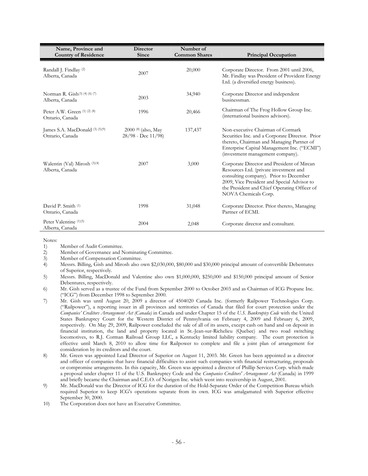| Name, Province and<br><b>Country of Residence</b>     | <b>Director</b><br><b>Since</b>                | Number of<br><b>Common Shares</b> | <b>Principal Occupation</b>                                                                                                                                                                                                                           |
|-------------------------------------------------------|------------------------------------------------|-----------------------------------|-------------------------------------------------------------------------------------------------------------------------------------------------------------------------------------------------------------------------------------------------------|
| Randall J. Findlay (2)<br>Alberta, Canada             | 2007                                           | 20,000                            | Corporate Director. From 2001 until 2006,<br>Mr. Findlay was President of Provident Energy<br>Ltd. (a diversified energy business).                                                                                                                   |
| Norman R. Gish(3) (4) (6) (7)<br>Alberta, Canada      | 2003                                           | 34,940                            | Corporate Director and independent<br>businessman.                                                                                                                                                                                                    |
| Peter A.W. Green $(1)$ $(2)$ $(8)$<br>Ontario, Canada | 1996                                           | 20,466                            | Chairman of The Frog Hollow Group Inc.<br>(international business advisors).                                                                                                                                                                          |
| James S.A. MacDonald (3) (5)(9)<br>Ontario, Canada    | 2000 (8) (also, May<br>$28/98$ - Dec $11/98$ ) | 137,437                           | Non-executive Chairman of Cormark<br>Securities Inc. and a Corporate Director. Prior<br>thereto, Chairman and Managing Partner of<br>Enterprise Capital Management Inc. ("ECMI")<br>(investment management company).                                  |
| Walentin (Val) Mirosh (3)(4)<br>Alberta, Canada       | 2007                                           | 3,000                             | Corporate Director and President of Mircan<br>Resources Ltd. (private investment and<br>consulting company). Prior to December<br>2009, Vice President and Special Advisor to<br>the President and Chief Operating Officer of<br>NOVA Chemicals Corp. |
| David P. Smith (1)<br>Ontario, Canada                 | 1998                                           | 31,048                            | Corporate Director. Prior thereto, Managing<br>Partner of ECMI.                                                                                                                                                                                       |
| Peter Valentine (1)(5)<br>Alberta, Canada             | 2004                                           | 2,048                             | Corporate director and consultant.                                                                                                                                                                                                                    |

Notes:

- 1) Member of Audit Committee.
- 2) Member of Governance and Nominating Committee.
- 3) Member of Compensation Committee.
- 4) Messrs. Billing, Gish and Mirosh also own \$2,030,000, \$80,000 and \$30,000 principal amount of convertible Debentures of Superior, respectively.
- 5) Messrs. Billing, MacDonald and Valentine also own \$1,000,000, \$250,000 and \$150,000 principal amount of Senior Debentures, respectively.
- 6) Mr. Gish served as a trustee of the Fund from September 2000 to October 2003 and as Chairman of ICG Propane Inc. ("ICG") from December 1998 to September 2000.
- 7) Mr. Gish was until August 20, 2009 a director of 4504020 Canada Inc. (formerly Railpower Technologies Corp. ("Railpower"), a reporting issuer in all provinces and territories of Canada that filed for court protection under the *Companies' Creditors Arrangement Act (Canada)* in Canada and under Chapter 15 of the *U.S. Bankruptcy Code* with the United States Bankruptcy Court for the Western District of Pennsylvania on February 4, 2009 and February 6, 2009, respectively. On May 29, 2009, Railpower concluded the sale of all of its assets, except cash on hand and on deposit in financial institution, the land and property located in St.-Jean-sur-Richelieu (Quebec) and two road switching locomotives, to R.J. Corman Railroad Group LLC, a Kentucky limited liability company. The court protection is effective until March 8, 2010 to allow time for Railpower to complete and file a joint plan of arrangement for consideration by its creditors and the court.
- 8) Mr. Green was appointed Lead Director of Superior on August 11, 2003. Mr. Green has been appointed as a director and officer of companies that have financial difficulties to assist such companies with financial restructuring, proposals or compromise arrangements. In this capacity, Mr. Green was appointed a director of Phillip Services Corp. which made a proposal under chapter 11 of the U.S. Bankruptcy Code and the *Companies Creditors' Arrangement Act* (Canada) in 1999 and briefly became the Chairman and C.E.O. of Norigen Inc. which went into receivership in August, 2001.
- 9) Mr. MacDonald was the Director of ICG for the duration of the Hold-Separate Order of the Competition Bureau which required Superior to keep ICG's operations separate from its own. ICG was amalgamated with Superior effective September 30, 2000.
- 10) The Corporation does not have an Executive Committee.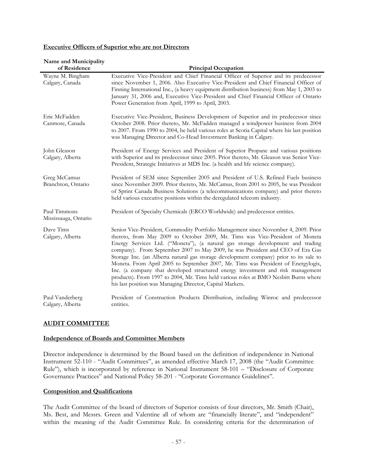#### **Executive Officers of Superior who are not Directors**

| Name and Municipality<br>of Residence | <b>Principal Occupation</b>                                                                                                                                                                                                                                                                                                                                                                                                                                                                                                                                                                                                                                                                                                                                      |  |
|---------------------------------------|------------------------------------------------------------------------------------------------------------------------------------------------------------------------------------------------------------------------------------------------------------------------------------------------------------------------------------------------------------------------------------------------------------------------------------------------------------------------------------------------------------------------------------------------------------------------------------------------------------------------------------------------------------------------------------------------------------------------------------------------------------------|--|
| Wayne M. Bingham<br>Calgary, Canada   | Executive Vice-President and Chief Financial Officer of Superior and its predecessor<br>since November 1, 2006. Also Executive Vice-President and Chief Financial Officer of<br>Finning International Inc., (a heavy equipment distribution business) from May 1, 2003 to<br>January 31, 2006 and, Executive Vice-President and Chief Financial Officer of Ontario<br>Power Generation from April, 1999 to April, 2003.                                                                                                                                                                                                                                                                                                                                          |  |
| Eric McFadden<br>Canmore, Canada      | Executive Vice-President, Business Development of Superior and its predecessor since<br>October 2008. Prior thereto, Mr. McFadden managed a windpower business from 2004<br>to 2007. From 1990 to 2004, he held various roles at Scotia Capital where his last position<br>was Managing Director and Co-Head Investment Banking in Calgary.                                                                                                                                                                                                                                                                                                                                                                                                                      |  |
| John Gleason<br>Calgary, Alberta      | President of Energy Services and President of Superior Propane and various positions<br>with Superior and its predecessor since 2005. Prior thereto, Mr. Gleason was Senior Vice-<br>President, Strategic Initiatives at MDS Inc. (a health and life science company).                                                                                                                                                                                                                                                                                                                                                                                                                                                                                           |  |
| Greg McCamus<br>Branchton, Ontario    | President of SEM since September 2005 and President of U.S. Refined Fuels business<br>since November 2009. Prior thereto, Mr. McCamus, from 2001 to 2005, he was President<br>of Sprint Canada Business Solutions (a telecommunications company) and prior thereto<br>held various executive positions within the deregulated telecom industry.                                                                                                                                                                                                                                                                                                                                                                                                                  |  |
| Paul Timmons<br>Mississauga, Ontario  | President of Specialty Chemicals (ERCO Worldwide) and predecessor entities.                                                                                                                                                                                                                                                                                                                                                                                                                                                                                                                                                                                                                                                                                      |  |
| Dave Tims<br>Calgary, Alberta         | Senior Vice-President, Commodity Portfolio Management since November 4, 2009. Prior<br>thereto, from May 2009 to October 2009, Mr. Tims was Vice-President of Moneta<br>Energy Services Ltd. ("Moneta"), (a natural gas storage development and trading<br>company). From September 2007 to May 2009, he was President and CEO of Era Gas<br>Storage Inc. (an Alberta natural gas storage development company) prior to its sale to<br>Moneta. From April 2005 to September 2007, Mr. Tims was President of Energylogix,<br>Inc. (a company that developed structured energy investment and risk management<br>products). From 1997 to 2004, Mr. Tims held various roles at BMO Nesbitt Burns where<br>his last position was Managing Director, Capital Markets. |  |
| Paul Vanderberg<br>Calgary, Alberta   | President of Construction Products Distribution, including Winroc and predecessor<br>entities.                                                                                                                                                                                                                                                                                                                                                                                                                                                                                                                                                                                                                                                                   |  |

## **AUDIT COMMITTEE**

## **Independence of Boards and Committee Members**

Director independence is determined by the Board based on the definition of independence in National Instrument 52-110 - "Audit Committees", as amended effective March 17, 2008 (the "Audit Committee Rule"), which is incorporated by reference in National Instrument 58-101 – "Disclosure of Corporate Governance Practices" and National Policy 58-201 - "Corporate Governance Guidelines".

## **Composition and Qualifications**

The Audit Committee of the board of directors of Superior consists of four directors, Mr. Smith (Chair), Ms. Best, and Messrs. Green and Valentine all of whom are "financially literate", and "independent" within the meaning of the Audit Committee Rule. In considering criteria for the determination of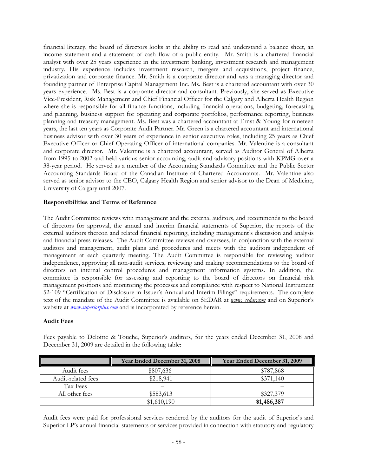financial literacy, the board of directors looks at the ability to read and understand a balance sheet, an income statement and a statement of cash flow of a public entity. Mr. Smith is a chartered financial analyst with over 25 years experience in the investment banking, investment research and management industry. His experience includes investment research, mergers and acquisitions, project finance, privatization and corporate finance. Mr. Smith is a corporate director and was a managing director and founding partner of Enterprise Capital Management Inc. Ms. Best is a chartered accountant with over 30 years experience. Ms. Best is a corporate director and consultant. Previously, she served as Executive Vice-President, Risk Management and Chief Financial Officer for the Calgary and Alberta Health Region where she is responsible for all finance functions, including financial operations, budgeting, forecasting and planning, business support for operating and corporate portfolios, performance reporting, business planning and treasury management. Ms. Best was a chartered accountant at Ernst & Young for nineteen years, the last ten years as Corporate Audit Partner. Mr. Green is a chartered accountant and international business advisor with over 30 years of experience in senior executive roles, including 25 years as Chief Executive Officer or Chief Operating Officer of international companies. Mr. Valentine is a consultant and corporate director. Mr. Valentine is a chartered accountant, served as Auditor General of Alberta from 1995 to 2002 and held various senior accounting, audit and advisory positions with KPMG over a 38-year period. He served as a member of the Accounting Standards Committee and the Public Sector Accounting Standards Board of the Canadian Institute of Chartered Accountants. Mr. Valentine also served as senior advisor to the CEO, Calgary Health Region and senior advisor to the Dean of Medicine, University of Calgary until 2007.

#### **Responsibilities and Terms of Reference**

The Audit Committee reviews with management and the external auditors, and recommends to the board of directors for approval, the annual and interim financial statements of Superior, the reports of the external auditors thereon and related financial reporting, including management's discussion and analysis and financial press releases. The Audit Committee reviews and oversees, in conjunction with the external auditors and management, audit plans and procedures and meets with the auditors independent of management at each quarterly meeting. The Audit Committee is responsible for reviewing auditor independence, approving all non-audit services, reviewing and making recommendations to the board of directors on internal control procedures and management information systems. In addition, the committee is responsible for assessing and reporting to the board of directors on financial risk management positions and monitoring the processes and compliance with respect to National Instrument 52-109 "Certification of Disclosure in Issuer's Annual and Interim Filings" requirements. The complete text of the mandate of the Audit Committee is available on SEDAR at *www. sedar.com* and on Superior's website at *www.superiorplus.com* and is incorporated by reference herein.

#### **Audit Fees**

|                    | Year Ended December 31, 2008 | Year Ended December 31, 2009 |
|--------------------|------------------------------|------------------------------|
| Audit fees         | \$807,636                    | \$787,868                    |
| Audit-related fees | \$218,941                    | \$371,140                    |
| Tax Fees           |                              |                              |
| All other fees     | \$583,613                    | \$327,379                    |
|                    | \$1,610,190                  | \$1,486,387                  |

Fees payable to Deloitte & Touche, Superior's auditors, for the years ended December 31, 2008 and December 31, 2009 are detailed in the following table:

Audit fees were paid for professional services rendered by the auditors for the audit of Superior's and Superior LP's annual financial statements or services provided in connection with statutory and regulatory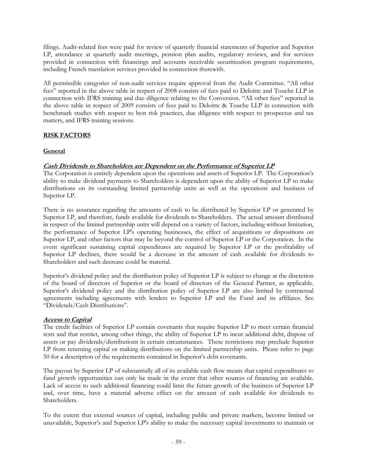filings. Audit-related fees were paid for review of quarterly financial statements of Superior and Superior LP, attendance at quarterly audit meetings, pension plan audits, regulatory reviews, and for services provided in connection with financings and accounts receivable securitization program requirements, including French translation services provided in connection therewith.

All permissible categories of non-audit services require approval from the Audit Committee. "All other fees" reported in the above table in respect of 2008 consists of fees paid to Deloitte and Touche LLP in connection with IFRS training and due diligence relating to the Conversion. "All other fees" reported in the above table in respect of 2009 consists of fees paid to Deloitte & Touche LLP in connection with benchmark studies with respect to best risk practices, due diligence with respect to prospectus and tax matters, and IFRS training sessions.

## **RISK FACTORS**

## **General**

## **Cash Dividends to Shareholders are Dependent on the Performance of Superior LP**

The Corporation is entirely dependent upon the operations and assets of Superior LP. The Corporation's ability to make dividend payments to Shareholders is dependent upon the ability of Superior LP to make distributions on its outstanding limited partnership units as well as the operations and business of Superior LP.

There is no assurance regarding the amounts of cash to be distributed by Superior LP or generated by Superior LP, and therefore, funds available for dividends to Shareholders. The actual amount distributed in respect of the limited partnership units will depend on a variety of factors, including without limitation, the performance of Superior LP's operating businesses, the effect of acquisitions or dispositions on Superior LP, and other factors that may be beyond the control of Superior LP or the Corporation. In the event significant sustaining capital expenditures are required by Superior LP or the profitability of Superior LP declines, there would be a decrease in the amount of cash available for dividends to Shareholders and such decrease could be material.

Superior's dividend policy and the distribution policy of Superior LP is subject to change at the discretion of the board of directors of Superior or the board of directors of the General Partner, as applicable. Superior's dividend policy and the distribution policy of Superior LP are also limited by contractual agreements including agreements with lenders to Superior LP and the Fund and its affiliates. See "Dividends/Cash Distributions".

## **Access to Capital**

The credit facilities of Superior LP contain covenants that require Superior LP to meet certain financial tests and that restrict, among other things, the ability of Superior LP to incur additional debt, dispose of assets or pay dividends/distributions in certain circumstances. These restrictions may preclude Superior LP from returning capital or making distributions on the limited partnership units. Please refer to page 50 for a description of the requirements contained in Superior's debt covenants.

The payout by Superior LP of substantially all of its available cash flow means that capital expenditures to fund growth opportunities can only be made in the event that other sources of financing are available. Lack of access to such additional financing could limit the future growth of the business of Superior LP and, over time, have a material adverse effect on the amount of cash available for dividends to Shareholders.

To the extent that external sources of capital, including public and private markets, become limited or unavailable, Superior's and Superior LP's ability to make the necessary capital investments to maintain or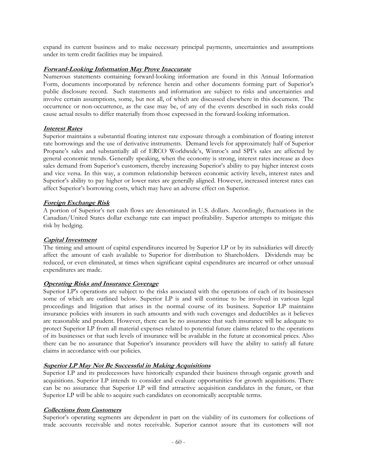expand its current business and to make necessary principal payments, uncertainties and assumptions under its term credit facilities may be impaired.

### **Forward-Looking Information May Prove Inaccurate**

Numerous statements containing forward-looking information are found in this Annual Information Form, documents incorporated by reference herein and other documents forming part of Superior's public disclosure record. Such statements and information are subject to risks and uncertainties and involve certain assumptions, some, but not all, of which are discussed elsewhere in this document. The occurrence or non-occurrence, as the case may be, of any of the events described in such risks could cause actual results to differ materially from those expressed in the forward-looking information.

#### **Interest Rates**

Superior maintains a substantial floating interest rate exposure through a combination of floating interest rate borrowings and the use of derivative instruments. Demand levels for approximately half of Superior Propane's sales and substantially all of ERCO Worldwide's, Winroc's and SPI's sales are affected by general economic trends. Generally speaking, when the economy is strong, interest rates increase as does sales demand from Superior's customers, thereby increasing Superior's ability to pay higher interest costs and vice versa. In this way, a common relationship between economic activity levels, interest rates and Superior's ability to pay higher or lower rates are generally aligned. However, increased interest rates can affect Superior's borrowing costs, which may have an adverse effect on Superior.

#### **Foreign Exchange Risk**

A portion of Superior's net cash flows are denominated in U.S. dollars. Accordingly, fluctuations in the Canadian/United States dollar exchange rate can impact profitability. Superior attempts to mitigate this risk by hedging.

#### **Capital Investment**

The timing and amount of capital expenditures incurred by Superior LP or by its subsidiaries will directly affect the amount of cash available to Superior for distribution to Shareholders. Dividends may be reduced, or even eliminated, at times when significant capital expenditures are incurred or other unusual expenditures are made.

## **Operating Risks and Insurance Coverage**

Superior LP's operations are subject to the risks associated with the operations of each of its businesses some of which are outlined below. Superior LP is and will continue to be involved in various legal proceedings and litigation that arises in the normal course of its business. Superior LP maintains insurance policies with insurers in such amounts and with such coverages and deductibles as it believes are reasonable and prudent. However, there can be no assurance that such insurance will be adequate to protect Superior LP from all material expenses related to potential future claims related to the operations of its businesses or that such levels of insurance will be available in the future at economical prices. Also there can be no assurance that Superior's insurance providers will have the ability to satisfy all future claims in accordance with our policies.

## **Superior LP May Not Be Successful in Making Acquisitions**

Superior LP and its predecessors have historically expanded their business through organic growth and acquisitions. Superior LP intends to consider and evaluate opportunities for growth acquisitions. There can be no assurance that Superior LP will find attractive acquisition candidates in the future, or that Superior LP will be able to acquire such candidates on economically acceptable terms.

#### **Collections from Customers**

Superior's operating segments are dependent in part on the viability of its customers for collections of trade accounts receivable and notes receivable. Superior cannot assure that its customers will not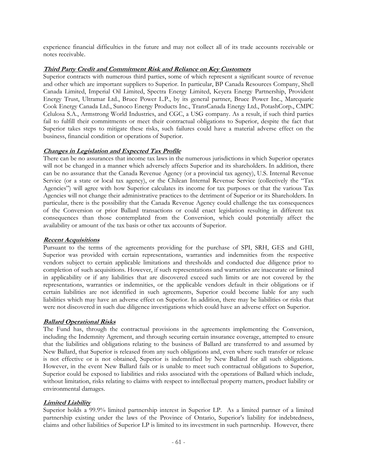experience financial difficulties in the future and may not collect all of its trade accounts receivable or notes receivable.

## **Third Party Credit and Commitment Risk and Reliance on Key Customers**

Superior contracts with numerous third parties, some of which represent a significant source of revenue and other which are important suppliers to Superior. In particular, BP Canada Resources Company, Shell Canada Limited, Imperial Oil Limited, Spectra Energy Limited, Keyera Energy Partnership, Provident Energy Trust, Ultramar Ltd., Bruce Power L.P., by its general partner, Bruce Power Inc., Marcquarie Cook Energy Canada Ltd., Sunoco Energy Products Inc., TransCanada Energy Ltd., PotashCorp., CMPC Celulosa S.A., Armstrong World Industries, and CGC, a USG company. As a result, if such third parties fail to fulfill their commitments or meet their contractual obligations to Superior, despite the fact that Superior takes steps to mitigate these risks, such failures could have a material adverse effect on the business, financial condition or operations of Superior.

## **Changes in Legislation and Expected Tax Profile**

There can be no assurances that income tax laws in the numerous jurisdictions in which Superior operates will not be changed in a manner which adversely affects Superior and its shareholders. In addition, there can be no assurance that the Canada Revenue Agency (or a provincial tax agency), U.S. Internal Revenue Service (or a state or local tax agency), or the Chilean Internal Revenue Service (collectively the "Tax Agencies") will agree with how Superior calculates its income for tax purposes or that the various Tax Agencies will not change their administrative practices to the detriment of Superior or its Shareholders. In particular, there is the possibility that the Canada Revenue Agency could challenge the tax consequences of the Conversion or prior Ballard transactions or could enact legislation resulting in different tax consequences than those contemplated from the Conversion, which could potentially affect the availability or amount of the tax basis or other tax accounts of Superior.

## **Recent Acquisitions**

Pursuant to the terms of the agreements providing for the purchase of SPI, SRH, GES and GHI, Superior was provided with certain representations, warranties and indemnities from the respective vendors subject to certain applicable limitations and thresholds and conducted due diligence prior to completion of such acquisitions. However, if such representations and warranties are inaccurate or limited in applicability or if any liabilities that are discovered exceed such limits or are not covered by the representations, warranties or indemnities, or the applicable vendors default in their obligations or if certain liabilities are not identified in such agreements, Superior could become liable for any such liabilities which may have an adverse effect on Superior. In addition, there may be liabilities or risks that were not discovered in such due diligence investigations which could have an adverse effect on Superior.

## **Ballard Operational Risks**

The Fund has, through the contractual provisions in the agreements implementing the Conversion, including the Indemnity Agrement, and through securing certain insurance coverage, attempted to ensure that the liabilities and obligations relating to the business of Ballard are transferred to and assumed by New Ballard, that Superior is released from any such obligations and, even where such transfer or release is not effective or is not obtained, Superior is indemnified by New Ballard for all such obligations. However, in the event New Ballard fails or is unable to meet such contractual obligations to Superior, Superior could be exposed to liabilities and risks associated with the operations of Ballard which include, without limitation, risks relating to claims with respect to intellectual property matters, product liability or environmental damages.

## **Limited Liability**

Superior holds a 99.9% limited partnership interest in Superior LP. As a limited partner of a limited partnership existing under the laws of the Province of Ontario, Superior's liability for indebtedness, claims and other liabilities of Superior LP is limited to its investment in such partnership. However, there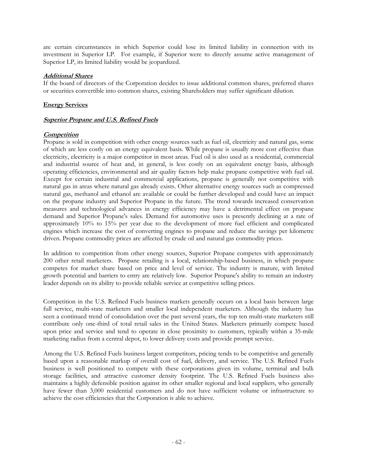are certain circumstances in which Superior could lose its limited liability in connection with its investment in Superior LP. For example, if Superior were to directly assume active management of Superior LP, its limited liability would be jeopardized.

## **Additional Shares**

If the board of directors of the Corporation decides to issue additional common shares, preferred shares or securities convertible into common shares, existing Shareholders may suffer significant dilution.

## **Energy Services**

## **Superior Propane and U.S. Refined Fuels**

## **Competition**

Propane is sold in competition with other energy sources such as fuel oil, electricity and natural gas, some of which are less costly on an energy equivalent basis. While propane is usually more cost effective than electricity, electricity is a major competitor in most areas. Fuel oil is also used as a residential, commercial and industrial source of heat and, in general, is less costly on an equivalent energy basis, although operating efficiencies, environmental and air quality factors help make propane competitive with fuel oil. Except for certain industrial and commercial applications, propane is generally not competitive with natural gas in areas where natural gas already exists. Other alternative energy sources such as compressed natural gas, methanol and ethanol are available or could be further developed and could have an impact on the propane industry and Superior Propane in the future. The trend towards increased conservation measures and technological advances in energy efficiency may have a detrimental effect on propane demand and Superior Propane's sales. Demand for automotive uses is presently declining at a rate of approximately 10% to 15% per year due to the development of more fuel efficient and complicated engines which increase the cost of converting engines to propane and reduce the savings per kilometre driven. Propane commodity prices are affected by crude oil and natural gas commodity prices.

In addition to competition from other energy sources, Superior Propane competes with approximately 200 other retail marketers. Propane retailing is a local, relationship-based business, in which propane competes for market share based on price and level of service. The industry is mature, with limited growth potential and barriers to entry are relatively low. Superior Propane's ability to remain an industry leader depends on its ability to provide reliable service at competitive selling prices.

Competition in the U.S. Refined Fuels business markets generally occurs on a local basis between large full service, multi-state marketers and smaller local independent marketers. Although the industry has seen a continued trend of consolidation over the past several years, the top ten multi-state marketers still contribute only one-third of total retail sales in the United States. Marketers primarily compete based upon price and service and tend to operate in close proximity to customers, typically within a 35-mile marketing radius from a central depot, to lower delivery costs and provide prompt service.

Among the U.S. Refined Fuels business largest competitors, pricing tends to be competitive and generally based upon a reasonable markup of overall cost of fuel, delivery, and service. The U.S. Refined Fuels business is well positioned to compete with these corporations given its volume, terminal and bulk storage facilities, and attractive customer density footprint. The U.S. Refined Fuels business also maintains a highly defensible position against its other smaller regional and local suppliers, who generally have fewer than 3,000 residential customers and do not have sufficient volume or infrastructure to achieve the cost efficiencies that the Corporation is able to achieve.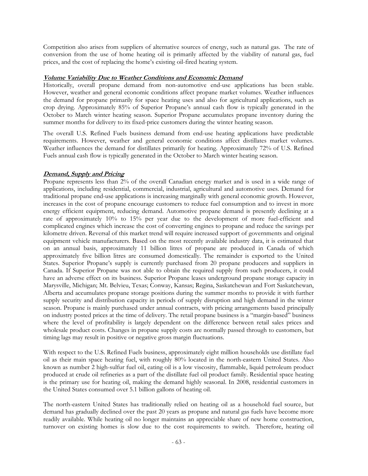Competition also arises from suppliers of alternative sources of energy, such as natural gas. The rate of conversion from the use of home heating oil is primarily affected by the viability of natural gas, fuel prices, and the cost of replacing the home's existing oil-fired heating system.

### **Volume Variability Due to Weather Conditions and Economic Demand**

Historically, overall propane demand from non-automotive end-use applications has been stable. However, weather and general economic conditions affect propane market volumes. Weather influences the demand for propane primarily for space heating uses and also for agricultural applications, such as crop drying. Approximately 85% of Superior Propane's annual cash flow is typically generated in the October to March winter heating season. Superior Propane accumulates propane inventory during the summer months for delivery to its fixed-price customers during the winter heating season.

The overall U.S. Refined Fuels business demand from end-use heating applications have predictable requirements. However, weather and general economic conditions affect distillates market volumes. Weather influences the demand for distillates primarily for heating. Approximately 72% of U.S. Refined Fuels annual cash flow is typically generated in the October to March winter heating season.

## **Demand, Supply and Pricing**

Propane represents less than 2% of the overall Canadian energy market and is used in a wide range of applications, including residential, commercial, industrial, agricultural and automotive uses. Demand for traditional propane end-use applications is increasing marginally with general economic growth. However, increases in the cost of propane encourage customers to reduce fuel consumption and to invest in more energy efficient equipment, reducing demand. Automotive propane demand is presently declining at a rate of approximately 10% to 15% per year due to the development of more fuel-efficient and complicated engines which increase the cost of converting engines to propane and reduce the savings per kilometre driven. Reversal of this market trend will require increased support of governments and original equipment vehicle manufacturers. Based on the most recently available industry data, it is estimated that on an annual basis, approximately 11 billion litres of propane are produced in Canada of which approximately five billion litres are consumed domestically. The remainder is exported to the United States. Superior Propane's supply is currently purchased from 20 propane producers and suppliers in Canada. If Superior Propane was not able to obtain the required supply from such producers, it could have an adverse effect on its business. Superior Propane leases underground propane storage capacity in Marysville, Michigan; Mt. Belvieu, Texas; Conway, Kansas; Regina, Saskatchewan and Fort Saskatchewan, Alberta and accumulates propane storage positions during the summer months to provide it with further supply security and distribution capacity in periods of supply disruption and high demand in the winter season. Propane is mainly purchased under annual contracts, with pricing arrangements based principally on industry posted prices at the time of delivery. The retail propane business is a "margin-based" business where the level of profitability is largely dependent on the difference between retail sales prices and wholesale product costs. Changes in propane supply costs are normally passed through to customers, but timing lags may result in positive or negative gross margin fluctuations.

With respect to the U.S. Refined Fuels business, approximately eight million households use distillate fuel oil as their main space heating fuel, with roughly 80% located in the north-eastern United States. Also known as number 2 high-sulfur fuel oil, eating oil is a low viscosity, flammable, liquid petroleum product produced at crude oil refineries as a part of the distillate fuel oil product family. Residential space heating is the primary use for heating oil, making the demand highly seasonal. In 2008, residential customers in the United States consumed over 5.1 billion gallons of heating oil.

The north-eastern United States has traditionally relied on heating oil as a household fuel source, but demand has gradually declined over the past 20 years as propane and natural gas fuels have become more readily available. While heating oil no longer maintains an appreciable share of new home construction, turnover on existing homes is slow due to the cost requirements to switch. Therefore, heating oil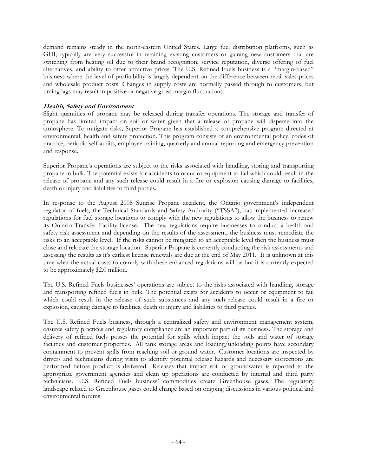demand remains steady in the north-eastern United States. Large fuel distribution platforms, such as GHI, typically are very successful in retaining existing customers or gaining new customers that are switching from heating oil due to their brand recognition, service reputation, diverse offering of fuel alternatives, and ability to offer attractive prices. The U.S. Refined Fuels business is a "margin-based" business where the level of profitability is largely dependent on the difference between retail sales prices and wholesale product costs. Changes in supply costs are normally passed through to customers, but timing lags may result in positive or negative gross margin fluctuations.

## **Health, Safety and Environment**

Slight quantities of propane may be released during transfer operations. The storage and transfer of propane has limited impact on soil or water given that a release of propane will disperse into the atmosphere. To mitigate risks, Superior Propane has established a comprehensive program directed at environmental, health and safety protection. This program consists of an environmental policy, codes of practice, periodic self-audits, employee training, quarterly and annual reporting and emergency prevention and response.

Superior Propane's operations are subject to the risks associated with handling, storing and transporting propane in bulk. The potential exists for accidents to occur or equipment to fail which could result in the release of propane and any such release could result in a fire or explosion causing damage to facilities, death or injury and liabilities to third parties.

In response to the August 2008 Sunrise Propane accident, the Ontario government's independent regulator of fuels, the Technical Standards and Safety Authority ("TSSA"), has implemented increased regulations for fuel storage locations to comply with the new regulations to allow the business to renew its Ontario Transfer Facility license. The new regulations require businesses to conduct a health and safety risk assessment and depending on the results of the assessment, the business must remediate the risks to an acceptable level. If the risks cannot be mitigated to an acceptable level then the business must close and relocate the storage location. Superior Propane is currently conducting the risk assessments and assessing the results as it's earliest license renewals are due at the end of May 2011. It is unknown at this time what the actual costs to comply with these enhanced regulations will be but it is currently expected to be approximately \$2.0 million.

The U.S. Refined Fuels businesses' operations are subject to the risks associated with handling, storage and transporting refined fuels in bulk. The potential exists for accidents to occur or equipment to fail which could result in the release of such substances and any such release could result in a fire or explosion, causing damage to facilities, death or injury and liabilities to third parties.

The U.S. Refined Fuels business, through a centralized safety and environment management system, ensures safety practices and regulatory compliance are an important part of its business. The storage and delivery of refined fuels posses the potential for spills which impact the soils and water of storage facilities and customer properties. All tank storage areas and loading/unloading points have secondary containment to prevent spills from reaching soil or ground water. Customer locations are inspected by drivers and technicians during visits to identify potential release hazards and necessary corrections are performed before product is delivered. Releases that impact soil or groundwater is reported to the appropriate government agencies and clean up operations are conducted by internal and third party technicians. U.S. Refined Fuels business' commodities create Greenhouse gases. The regulatory landscape related to Greenhouse gases could change based on ongoing discussions in various political and environmental forums.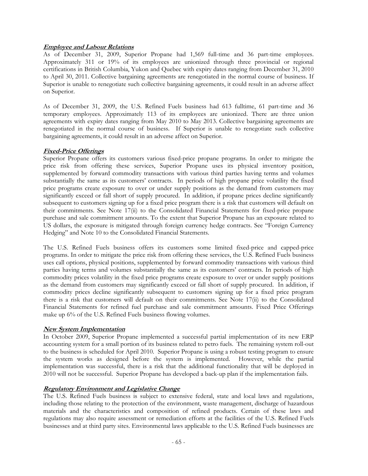## **Employee and Labour Relations**

As of December 31, 2009, Superior Propane had 1,569 full-time and 36 part-time employees. Approximately 311 or 19% of its employees are unionized through three provincial or regional certifications in British Columbia, Yukon and Quebec with expiry dates ranging from December 31, 2010 to April 30, 2011. Collective bargaining agreements are renegotiated in the normal course of business. If Superior is unable to renegotiate such collective bargaining agreements, it could result in an adverse affect on Superior.

As of December 31, 2009, the U.S. Refined Fuels business had 613 fulltime, 61 part-time and 36 temporary employees. Approximately 113 of its employees are unionized. There are three union agreements with expiry dates ranging from May 2010 to May 2013. Collective bargaining agreements are renegotiated in the normal course of business. If Superior is unable to renegotiate such collective bargaining agreements, it could result in an adverse affect on Superior.

## **Fixed-Price Offerings**

Superior Propane offers its customers various fixed-price propane programs. In order to mitigate the price risk from offering these services, Superior Propane uses its physical inventory position, supplemented by forward commodity transactions with various third parties having terms and volumes substantially the same as its customers' contracts. In periods of high propane price volatility the fixed price programs create exposure to over or under supply positions as the demand from customers may significantly exceed or fall short of supply procured. In addition, if propane prices decline significantly subsequent to customers signing up for a fixed price program there is a risk that customers will default on their commitments. See Note 17(ii) to the Consolidated Financial Statements for fixed-price propane purchase and sale commitment amounts. To the extent that Superior Propane has an exposure related to US dollars, the exposure is mitigated through foreign currency hedge contracts. See "Foreign Currency Hedging" and Note 10 to the Consolidated Financial Statements.

The U.S. Refined Fuels business offers its customers some limited fixed-price and capped-price programs. In order to mitigate the price risk from offering these services, the U.S. Refined Fuels business uses call options, physical positions, supplemented by forward commodity transactions with various third parties having terms and volumes substantially the same as its customers' contracts. In periods of high commodity prices volatility in the fixed price programs create exposure to over or under supply positions as the demand from customers may significantly exceed or fall short of supply procured. In addition, if commodity prices decline significantly subsequent to customers signing up for a fixed price program there is a risk that customers will default on their commitments. See Note 17(ii) to the Consolidated Financial Statements for refined fuel purchase and sale commitment amounts. Fixed Price Offerings make up 6% of the U.S. Refined Fuels business flowing volumes.

## **New System Implementation**

In October 2009, Superior Propane implemented a successful partial implementation of its new ERP accounting system for a small portion of its business related to petro fuels. The remaining system roll-out to the business is scheduled for April 2010. Superior Propane is using a robust testing program to ensure the system works as designed before the system is implemented. However, while the partial implementation was successful, there is a risk that the additional functionality that will be deployed in 2010 will not be successful. Superior Propane has developed a back-up plan if the implementation fails.

## **Regulatory Environment and Legislative Change**

The U.S. Refined Fuels business is subject to extensive federal, state and local laws and regulations, including those relating to the protection of the environment, waste management, discharge of hazardous materials and the characteristics and composition of refined products. Certain of these laws and regulations may also require assessment or remediation efforts at the facilities of the U.S. Refined Fuels businesses and at third party sites. Environmental laws applicable to the U.S. Refined Fuels businesses are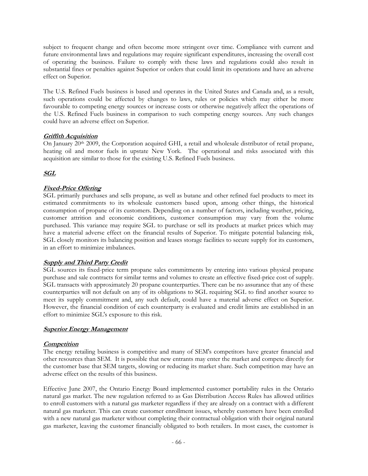subject to frequent change and often become more stringent over time. Compliance with current and future environmental laws and regulations may require significant expenditures, increasing the overall cost of operating the business. Failure to comply with these laws and regulations could also result in substantial fines or penalties against Superior or orders that could limit its operations and have an adverse effect on Superior.

The U.S. Refined Fuels business is based and operates in the United States and Canada and, as a result, such operations could be affected by changes to laws, rules or policies which may either be more favourable to competing energy sources or increase costs or otherwise negatively affect the operations of the U.S. Refined Fuels business in comparison to such competing energy sources. Any such changes could have an adverse effect on Superior.

## **Griffith Acquisition**

On January 20<sup>th</sup> 2009, the Corporation acquired GHI, a retail and wholesale distributor of retail propane, heating oil and motor fuels in upstate New York. The operational and risks associated with this acquisition are similar to those for the existing U.S. Refined Fuels business.

# **SGL**

# **Fixed-Price Offering**

SGL primarily purchases and sells propane, as well as butane and other refined fuel products to meet its estimated commitments to its wholesale customers based upon, among other things, the historical consumption of propane of its customers. Depending on a number of factors, including weather, pricing, customer attrition and economic conditions, customer consumption may vary from the volume purchased. This variance may require SGL to purchase or sell its products at market prices which may have a material adverse effect on the financial results of Superior. To mitigate potential balancing risk, SGL closely monitors its balancing position and leases storage facilities to secure supply for its customers, in an effort to minimize imbalances.

## **Supply and Third Party Credit**

SGL sources its fixed-price term propane sales commitments by entering into various physical propane purchase and sale contracts for similar terms and volumes to create an effective fixed-price cost of supply. SGL transacts with approximately 20 propane counterparties. There can be no assurance that any of these counterparties will not default on any of its obligations to SGL requiring SGL to find another source to meet its supply commitment and, any such default, could have a material adverse effect on Superior. However, the financial condition of each counterparty is evaluated and credit limits are established in an effort to minimize SGL's exposure to this risk.

## **Superior Energy Management**

## **Competition**

The energy retailing business is competitive and many of SEM's competitors have greater financial and other resources than SEM. It is possible that new entrants may enter the market and compete directly for the customer base that SEM targets, slowing or reducing its market share. Such competition may have an adverse effect on the results of this business.

Effective June 2007, the Ontario Energy Board implemented customer portability rules in the Ontario natural gas market. The new regulation referred to as Gas Distribution Access Rules has allowed utilities to enroll customers with a natural gas marketer regardless if they are already on a contract with a different natural gas marketer. This can create customer enrollment issues, whereby customers have been enrolled with a new natural gas marketer without completing their contractual obligation with their original natural gas marketer, leaving the customer financially obligated to both retailers. In most cases, the customer is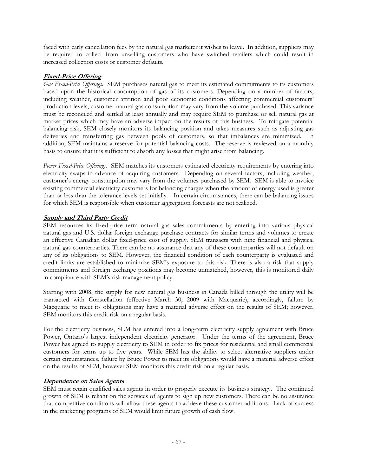faced with early cancellation fees by the natural gas marketer it wishes to leave. In addition, suppliers may be required to collect from unwilling customers who have switched retailers which could result in increased collection costs or customer defaults.

## **Fixed-Price Offering**

*Gas Fixed-Price Offerings.* SEM purchases natural gas to meet its estimated commitments to its customers based upon the historical consumption of gas of its customers. Depending on a number of factors, including weather, customer attrition and poor economic conditions affecting commercial customers' production levels, customer natural gas consumption may vary from the volume purchased. This variance must be reconciled and settled at least annually and may require SEM to purchase or sell natural gas at market prices which may have an adverse impact on the results of this business. To mitigate potential balancing risk, SEM closely monitors its balancing position and takes measures such as adjusting gas deliveries and transferring gas between pools of customers, so that imbalances are minimized. In addition, SEM maintains a reserve for potential balancing costs. The reserve is reviewed on a monthly basis to ensure that it is sufficient to absorb any losses that might arise from balancing.

*Power Fixed-Price Offerings.* SEM matches its customers estimated electricity requirements by entering into electricity swaps in advance of acquiring customers. Depending on several factors, including weather, customer's energy consumption may vary from the volumes purchased by SEM. SEM is able to invoice existing commercial electricity customers for balancing charges when the amount of energy used is greater than or less than the tolerance levels set initially. In certain circumstances, there can be balancing issues for which SEM is responsible when customer aggregation forecasts are not realized.

## **Supply and Third Party Credit**

SEM resources its fixed-price term natural gas sales commitments by entering into various physical natural gas and U.S. dollar foreign exchange purchase contracts for similar terms and volumes to create an effective Canadian dollar fixed-price cost of supply. SEM transacts with nine financial and physical natural gas counterparties. There can be no assurance that any of these counterparties will not default on any of its obligations to SEM. However, the financial condition of each counterparty is evaluated and credit limits are established to minimize SEM's exposure to this risk. There is also a risk that supply commitments and foreign exchange positions may become unmatched, however, this is monitored daily in compliance with SEM's risk management policy.

Starting with 2008, the supply for new natural gas business in Canada billed through the utility will be transacted with Constellation (effective March 30, 2009 with Macquarie), accordingly, failure by Macquarie to meet its obligations may have a material adverse effect on the results of SEM; however, SEM monitors this credit risk on a regular basis.

For the electricity business, SEM has entered into a long-term electricity supply agreement with Bruce Power, Ontario's largest independent electricity generator. Under the terms of the agreement, Bruce Power has agreed to supply electricity to SEM in order to fix prices for residential and small commercial customers for terms up to five years. While SEM has the ability to select alternative suppliers under certain circumstances, failure by Bruce Power to meet its obligations would have a material adverse effect on the results of SEM, however SEM monitors this credit risk on a regular basis.

## **Dependence on Sales Agents**

SEM must retain qualified sales agents in order to properly execute its business strategy. The continued growth of SEM is reliant on the services of agents to sign up new customers. There can be no assurance that competitive conditions will allow these agents to achieve these customer additions. Lack of success in the marketing programs of SEM would limit future growth of cash flow.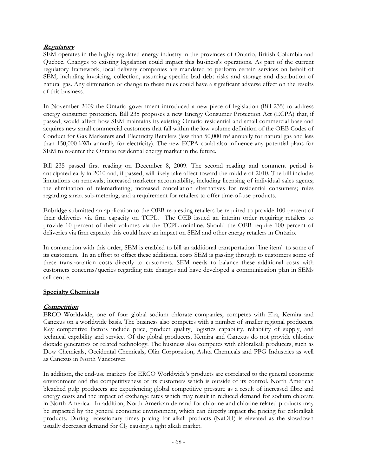## **Regulatory**

SEM operates in the highly regulated energy industry in the provinces of Ontario, British Columbia and Quebec. Changes to existing legislation could impact this business's operations. As part of the current regulatory framework, local delivery companies are mandated to perform certain services on behalf of SEM, including invoicing, collection, assuming specific bad debt risks and storage and distribution of natural gas. Any elimination or change to these rules could have a significant adverse effect on the results of this business.

In November 2009 the Ontario government introduced a new piece of legislation (Bill 235) to address energy consumer protection. Bill 235 proposes a new Energy Consumer Protection Act (ECPA) that, if passed, would affect how SEM maintains its existing Ontario residential and small commercial base and acquires new small commercial customers that fall within the low volume definition of the OEB Codes of Conduct for Gas Marketers and Electricity Retailers (less than 50,000 m<sup>3</sup> annually for natural gas and less than 150,000 kWh annually for electricity). The new ECPA could also influence any potential plans for SEM to re-enter the Ontario residential energy market in the future.

Bill 235 passed first reading on December 8, 2009. The second reading and comment period is anticipated early in 2010 and, if passed, will likely take affect toward the middle of 2010. The bill includes limitations on renewals; increased marketer accountability, including licensing of individual sales agents; the elimination of telemarketing; increased cancellation alternatives for residential consumers; rules regarding smart sub-metering, and a requirement for retailers to offer time-of-use products.

Enbridge submitted an application to the OEB requesting retailers be required to provide 100 percent of their deliveries via firm capacity on TCPL. The OEB issued an interim order requiring retailers to provide 10 percent of their volumes via the TCPL mainline. Should the OEB require 100 percent of deliveries via firm capacity this could have an impact on SEM and other energy retailers in Ontario.

In conjunction with this order, SEM is enabled to bill an additional transportation "line item" to some of its customers. In an effort to offset these additional costs SEM is passing through to customers some of these transportation costs directly to customers. SEM needs to balance these additional costs with customers concerns/queries regarding rate changes and have developed a communication plan in SEMs call centre.

## **Specialty Chemicals**

## **Competition**

ERCO Worldwide, one of four global sodium chlorate companies, competes with Eka, Kemira and Canexus on a worldwide basis. The business also competes with a number of smaller regional producers. Key competitive factors include price, product quality, logistics capability, reliability of supply, and technical capability and service. Of the global producers, Kemira and Canexus do not provide chlorine dioxide generators or related technology. The business also competes with chloralkali producers, such as Dow Chemicals, Occidental Chemicals, Olin Corporation, Ashta Chemicals and PPG Industries as well as Canexus in North Vancouver.

In addition, the end-use markets for ERCO Worldwide's products are correlated to the general economic environment and the competitiveness of its customers which is outside of its control. North American bleached pulp producers are experiencing global competitive pressure as a result of increased fibre and energy costs and the impact of exchange rates which may result in reduced demand for sodium chlorate in North America. In addition, North American demand for chlorine and chlorine related products may be impacted by the general economic environment, which can directly impact the pricing for chloralkali products. During recessionary times pricing for alkali products (NaOH) is elevated as the slowdown usually decreases demand for Cl<sub>2</sub> causing a tight alkali market.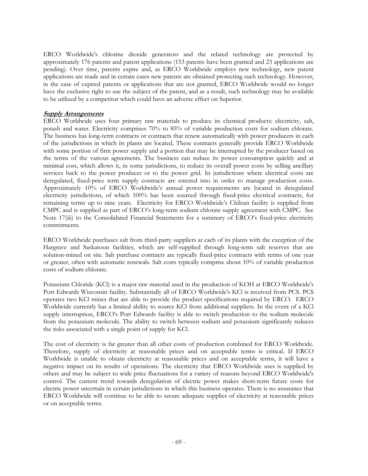ERCO Worldwide's chlorine dioxide generators and the related technology are protected by approximately 176 patents and patent applications (153 patents have been granted and 23 applications are pending). Over time, patents expire and, as ERCO Worldwide employs new technology, new patent applications are made and in certain cases new patents are obtained protecting such technology. However, in the case of expired patents or applications that are not granted, ERCO Worldwide would no longer have the exclusive right to use the subject of the patent, and as a result, such technology may be available to be utilized by a competitor which could have an adverse effect on Superior.

#### **Supply Arrangements**

ERCO Worldwide uses four primary raw materials to produce its chemical products: electricity, salt, potash and water. Electricity comprises 70% to 85% of variable production costs for sodium chlorate. The business has long-term contracts or contracts that renew automatically with power producers in each of the jurisdictions in which its plants are located. These contracts generally provide ERCO Worldwide with some portion of firm power supply and a portion that may be interrupted by the producer based on the terms of the various agreements. The business can reduce its power consumption quickly and at minimal cost, which allows it, in some jurisdictions, to reduce its overall power costs by selling ancillary services back to the power producer or to the power grid. In jurisdictions where electrical costs are deregulated, fixed-price term supply contracts are entered into in order to manage production costs. Approximately 10% of ERCO Worldwide's annual power requirements are located in deregulated electricity jurisdictions, of which 100% has been sourced through fixed-price electrical contracts, for remaining terms up to nine years. Electricity for ERCO Worldwide's Chilean facility is supplied from CMPC and is supplied as part of ERCO's long-term sodium chlorate supply agreement with CMPC. See Note 17(iii) to the Consolidated Financial Statements for a summary of ERCO's fixed-price electricity commitments.

ERCO Worldwide purchases salt from third-party suppliers at each of its plants with the exception of the Hargrave and Saskatoon facilities, which are self-supplied through long-term salt reserves that are solution-mined on site. Salt purchase contracts are typically fixed-price contracts with terms of one year or greater, often with automatic renewals. Salt costs typically comprise about 10% of variable production costs of sodium chlorate.

Potassium Chloride (KCl) is a major raw material used in the production of KOH at ERCO Worldwide's Port Edwards Wisconsin facility. Substantially all of ERCO Worldwide's KCl is received from PCS. PCS operates two KCl mines that are able to provide the product specifications required by ERCO. ERCO Worldwide currently has a limited ability to source KCl from additional suppliers. In the event of a KCl supply interruption, ERCO's Port Edwards facility is able to switch production to the sodium molecule from the potassium molecule. The ability to switch between sodium and potassium significantly reduces the risks associated with a single point of supply for KCl.

The cost of electricity is far greater than all other costs of production combined for ERCO Worldwide. Therefore, supply of electricity at reasonable prices and on acceptable terms is critical. If ERCO Worldwide is unable to obtain electricity at reasonable prices and on acceptable terms, it will have a negative impact on its results of operations. The electricity that ERCO Worldwide uses is supplied by others and may be subject to wide price fluctuations for a variety of reasons beyond ERCO Worldwide's control. The current trend towards deregulation of electric power makes short-term future costs for electric power uncertain in certain jurisdictions in which this business operates. There is no assurance that ERCO Worldwide will continue to be able to secure adequate supplies of electricity at reasonable prices or on acceptable terms.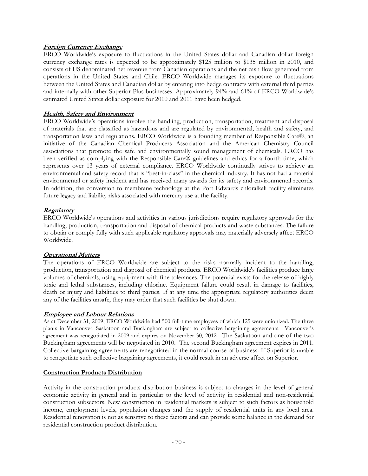## **Foreign Currency Exchange**

ERCO Worldwide's exposure to fluctuations in the United States dollar and Canadian dollar foreign currency exchange rates is expected to be approximately \$125 million to \$135 million in 2010, and consists of US denominated net revenue from Canadian operations and the net cash flow generated from operations in the United States and Chile. ERCO Worldwide manages its exposure to fluctuations between the United States and Canadian dollar by entering into hedge contracts with external third parties and internally with other Superior Plus businesses. Approximately 94% and 61% of ERCO Worldwide's estimated United States dollar exposure for 2010 and 2011 have been hedged.

## **Health, Safety and Environment**

ERCO Worldwide's operations involve the handling, production, transportation, treatment and disposal of materials that are classified as hazardous and are regulated by environmental, health and safety, and transportation laws and regulations. ERCO Worldwide is a founding member of Responsible Care®, an initiative of the Canadian Chemical Producers Association and the American Chemistry Council associations that promote the safe and environmentally sound management of chemicals. ERCO has been verified as complying with the Responsible Care® guidelines and ethics for a fourth time, which represents over 13 years of external compliance. ERCO Worldwide continually strives to achieve an environmental and safety record that is "best-in-class" in the chemical industry. It has not had a material environmental or safety incident and has received many awards for its safety and environmental records. In addition, the conversion to membrane technology at the Port Edwards chloralkali facility eliminates future legacy and liability risks associated with mercury use at the facility.

## **Regulatory**

ERCO Worldwide's operations and activities in various jurisdictions require regulatory approvals for the handling, production, transportation and disposal of chemical products and waste substances. The failure to obtain or comply fully with such applicable regulatory approvals may materially adversely affect ERCO Worldwide.

## **Operational Matters**

The operations of ERCO Worldwide are subject to the risks normally incident to the handling, production, transportation and disposal of chemical products. ERCO Worldwide's facilities produce large volumes of chemicals, using equipment with fine tolerances. The potential exists for the release of highly toxic and lethal substances, including chlorine. Equipment failure could result in damage to facilities, death or injury and liabilities to third parties. If at any time the appropriate regulatory authorities deem any of the facilities unsafe, they may order that such facilities be shut down.

## **Employee and Labour Relations**

As at December 31, 2009, ERCO Worldwide had 500 full-time employees of which 125 were unionized. The three plants in Vancouver, Saskatoon and Buckingham are subject to collective bargaining agreements. Vancouver's agreement was renegotiated in 2009 and expires on November 30, 2012. The Saskatoon and one of the two Buckingham agreements will be negotiated in 2010. The second Buckingham agreement expires in 2011. Collective bargaining agreements are renegotiated in the normal course of business. If Superior is unable to renegotiate such collective bargaining agreements, it could result in an adverse affect on Superior.

## **Construction Products Distribution**

Activity in the construction products distribution business is subject to changes in the level of general economic activity in general and in particular to the level of activity in residential and non-residential construction subsectors. New construction in residential markets is subject to such factors as household income, employment levels, population changes and the supply of residential units in any local area. Residential renovation is not as sensitive to these factors and can provide some balance in the demand for residential construction product distribution.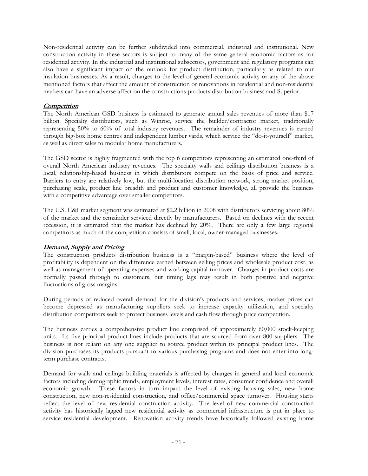Non-residential activity can be further subdivided into commercial, industrial and institutional. New construction activity in these sectors is subject to many of the same general economic factors as for residential activity. In the industrial and institutional subsectors, government and regulatory programs can also have a significant impact on the outlook for product distribution, particularly as related to our insulation businesses. As a result, changes to the level of general economic activity or any of the above mentioned factors that affect the amount of construction or renovations in residential and non-residential markets can have an adverse affect on the constructions products distribution business and Superior.

## **Competition**

The North American GSD business is estimated to generate annual sales revenues of more than \$17 billion. Specialty distributors, such as Winroc, service the builder/contractor market, traditionally representing 50% to 60% of total industry revenues. The remainder of industry revenues is earned through big-box home centres and independent lumber yards, which service the "do-it-yourself" market, as well as direct sales to modular home manufacturers.

The GSD sector is highly fragmented with the top 6 competitors representing an estimated one-third of overall North American industry revenues. The specialty walls and ceilings distribution business is a local, relationship-based business in which distributors compete on the basis of price and service. Barriers to entry are relatively low, but the multi-location distribution network, strong market position, purchasing scale, product line breadth and product and customer knowledge, all provide the business with a competitive advantage over smaller competitors.

The U.S. C&I market segment was estimated at \$2.2 billion in 2008 with distributors servicing about 80% of the market and the remainder serviced directly by manufacturers. Based on declines with the recent recession, it is estimated that the market has declined by 20%. There are only a few large regional competitors as much of the competition consists of small, local, owner-managed businesses.

## **Demand, Supply and Pricing**

The construction products distribution business is a "margin-based" business where the level of profitability is dependent on the difference earned between selling prices and wholesale product cost, as well as management of operating expenses and working capital turnover. Changes in product costs are normally passed through to customers, but timing lags may result in both positive and negative fluctuations of gross margins.

During periods of reduced overall demand for the division's products and services, market prices can become depressed as manufacturing suppliers seek to increase capacity utilization, and specialty distribution competitors seek to protect business levels and cash flow through price competition.

The business carries a comprehensive product line comprised of approximately 60,000 stock-keeping units. Its five principal product lines include products that are sourced from over 800 suppliers. The business is not reliant on any one supplier to source product within its principal product lines. The division purchases its products pursuant to various purchasing programs and does not enter into longterm purchase contracts.

Demand for walls and ceilings building materials is affected by changes in general and local economic factors including demographic trends, employment levels, interest rates, consumer confidence and overall economic growth. These factors in turn impact the level of existing housing sales, new home construction, new non-residential construction, and office/commercial space turnover. Housing starts reflect the level of new residential construction activity. The level of new commercial construction activity has historically lagged new residential activity as commercial infrastructure is put in place to service residential development. Renovation activity trends have historically followed existing home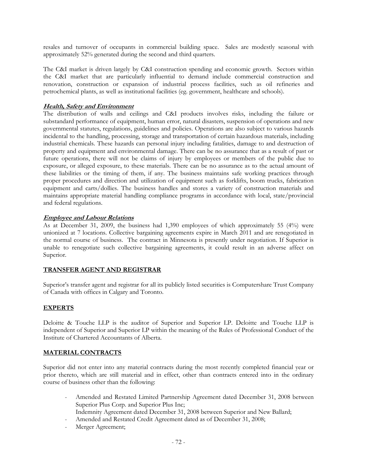resales and turnover of occupants in commercial building space. Sales are modestly seasonal with approximately 52% generated during the second and third quarters.

The C&I market is driven largely by C&I construction spending and economic growth. Sectors within the C&I market that are particularly influential to demand include commercial construction and renovation, construction or expansion of industrial process facilities, such as oil refineries and petrochemical plants, as well as institutional facilities (eg. government, healthcare and schools).

### **Health, Safety and Environment**

The distribution of walls and ceilings and C&I products involves risks, including the failure or substandard performance of equipment, human error, natural disasters, suspension of operations and new governmental statutes, regulations, guidelines and policies. Operations are also subject to various hazards incidental to the handling, processing, storage and transportation of certain hazardous materials, including industrial chemicals. These hazards can personal injury including fatalities, damage to and destruction of property and equipment and environmental damage. There can be no assurance that as a result of past or future operations, there will not be claims of injury by employees or members of the public due to exposure, or alleged exposure, to these materials. There can be no assurance as to the actual amount of these liabilities or the timing of them, if any. The business maintains safe working practices through proper procedures and direction and utilization of equipment such as forklifts, boom trucks, fabrication equipment and carts/dollies. The business handles and stores a variety of construction materials and maintains appropriate material handling compliance programs in accordance with local, state/provincial and federal regulations.

### **Employee and Labour Relations**

As at December 31, 2009, the business had 1,390 employees of which approximately 55 (4%) were unionized at 7 locations. Collective bargaining agreements expire in March 2011 and are renegotiated in the normal course of business. The contract in Minnesota is presently under negotiation. If Superior is unable to renegotiate such collective bargaining agreements, it could result in an adverse affect on Superior.

### **TRANSFER AGENT AND REGISTRAR**

Superior's transfer agent and registrar for all its publicly listed securities is Computershare Trust Company of Canada with offices in Calgary and Toronto.

# **EXPERTS**

Deloitte & Touche LLP is the auditor of Superior and Superior LP. Deloitte and Touche LLP is independent of Superior and Superior LP within the meaning of the Rules of Professional Conduct of the Institute of Chartered Accountants of Alberta.

# **MATERIAL CONTRACTS**

Superior did not enter into any material contracts during the most recently completed financial year or prior thereto, which are still material and in effect, other than contracts entered into in the ordinary course of business other than the following:

- Amended and Restated Limited Partnership Agreement dated December 31, 2008 between Superior Plus Corp. and Superior Plus Inc;
- Indemnity Agreement dated December 31, 2008 between Superior and New Ballard;
- Amended and Restated Credit Agreement dated as of December 31, 2008;
- Merger Agreement;